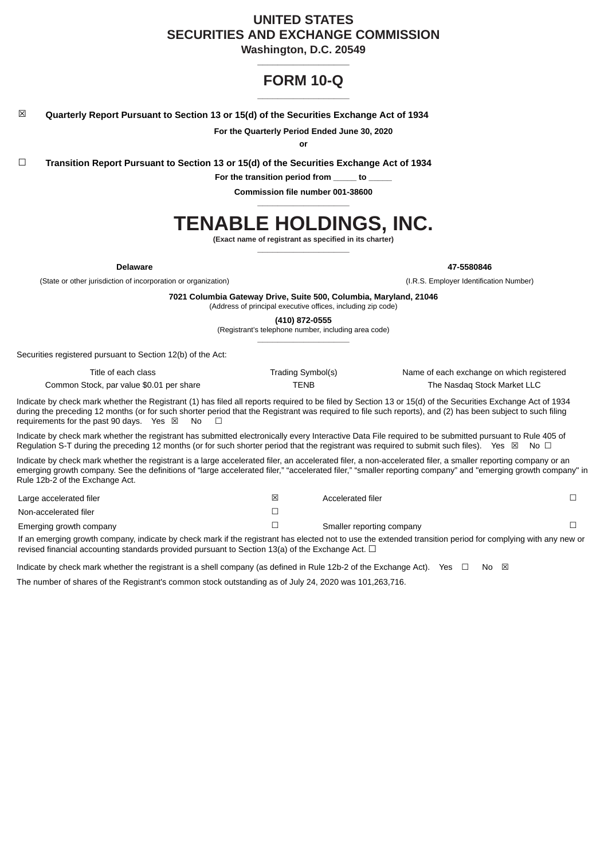# **UNITED STATES SECURITIES AND EXCHANGE COMMISSION**

**Washington, D.C. 20549 \_\_\_\_\_\_\_\_\_\_\_\_\_\_\_\_\_\_**

# **FORM 10-Q \_\_\_\_\_\_\_\_\_\_\_\_\_\_\_\_\_\_**

☒ **Quarterly Report Pursuant to Section 13 or 15(d) of the Securities Exchange Act of 1934**

**For the Quarterly Period Ended June 30, 2020**

**or**

☐ **Transition Report Pursuant to Section 13 or 15(d) of the Securities Exchange Act of 1934**

**For the transition period from \_\_\_\_\_ to \_\_\_\_\_**

**Commission file number 001-38600 \_\_\_\_\_\_\_\_\_\_\_\_\_\_\_\_\_\_**

# **TENABLE HOLDINGS, INC.**

**(Exact name of registrant as specified in its charter) \_\_\_\_\_\_\_\_\_\_\_\_\_\_\_\_\_\_**

(State or other jurisdiction of incorporation or organization) (I.R.S. Employer Identification Number)

**Delaware 47-5580846**

**7021 Columbia Gateway Drive, Suite 500, Columbia, Maryland, 21046** (Address of principal executive offices, including zip code)

**(410) 872-0555**

(Registrant's telephone number, including area code) **\_\_\_\_\_\_\_\_\_\_\_\_\_\_\_\_\_\_**

Securities registered pursuant to Section 12(b) of the Act:

Title of each class Trading Symbol(s) Name of each exchange on which registered

Common Stock, par value \$0.01 per share TENB TENB The Nasdaq Stock Market LLC

Indicate by check mark whether the Registrant (1) has filed all reports required to be filed by Section 13 or 15(d) of the Securities Exchange Act of 1934 during the preceding 12 months (or for such shorter period that the Registrant was required to file such reports), and (2) has been subject to such filing requirements for the past 90 days. Yes  $\boxtimes$  No  $\Box$ 

Indicate by check mark whether the registrant has submitted electronically every Interactive Data File required to be submitted pursuant to Rule 405 of Regulation S-T during the preceding 12 months (or for such shorter period that the registrant was required to submit such files). Yes  $\boxtimes$  No  $\Box$ 

Indicate by check mark whether the registrant is a large accelerated filer, an accelerated filer, a non-accelerated filer, a smaller reporting company or an emerging growth company. See the definitions of "large accelerated filer," "accelerated filer," "smaller reporting company" and "emerging growth company" in Rule 12b-2 of the Exchange Act.

| Large accelerated filer | ⊠ | Accelerated filer         |  |
|-------------------------|---|---------------------------|--|
| Non-accelerated filer   |   |                           |  |
| Emerging growth company |   | Smaller reporting company |  |

If an emerging growth company, indicate by check mark if the registrant has elected not to use the extended transition period for complying with any new or revised financial accounting standards provided pursuant to Section 13(a) of the Exchange Act.  $\Box$ 

Indicate by check mark whether the registrant is a shell company (as defined in Rule 12b-2 of the Exchange Act). Yes  $\Box$  No  $\boxtimes$ 

The number of shares of the Registrant's common stock outstanding as of July 24, 2020 was 101,263,716.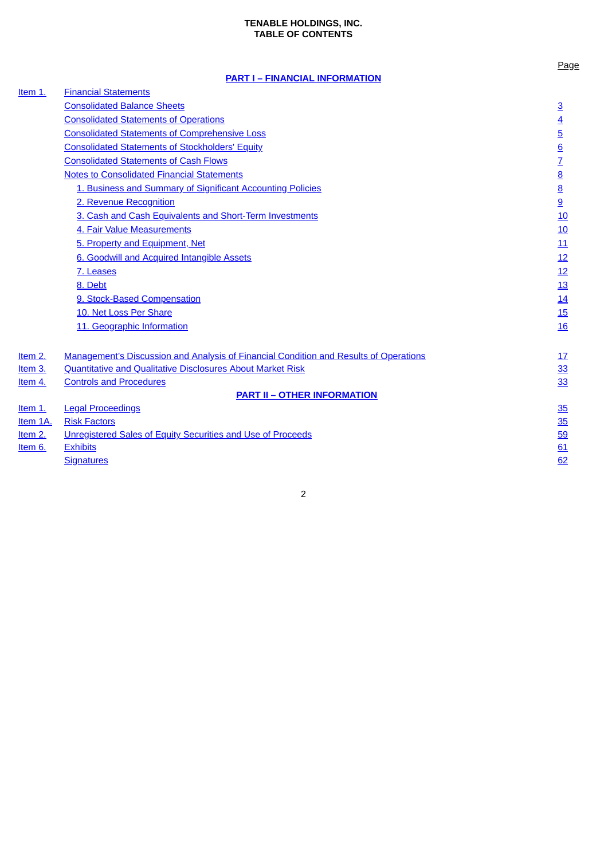#### **TENABLE HOLDINGS, INC. TABLE OF CONTENTS**

## **PART I – FINANCIAL [INFORMATION](#page-2-0)**

<span id="page-1-0"></span>

| Item 1.   | <b>Financial Statements</b>                                                           |                             |
|-----------|---------------------------------------------------------------------------------------|-----------------------------|
|           | <b>Consolidated Balance Sheets</b>                                                    | $\overline{3}$              |
|           | <b>Consolidated Statements of Operations</b>                                          | $\overline{4}$              |
|           | <b>Consolidated Statements of Comprehensive Loss</b>                                  | $\overline{5}$              |
|           | <b>Consolidated Statements of Stockholders' Equity</b>                                |                             |
|           | <b>Consolidated Statements of Cash Flows</b>                                          |                             |
|           | <b>Notes to Consolidated Financial Statements</b>                                     | $\frac{6}{7}$ $\frac{8}{8}$ |
|           | 1. Business and Summary of Significant Accounting Policies                            |                             |
|           | 2. Revenue Recognition                                                                | $\overline{9}$              |
|           | 3. Cash and Cash Equivalents and Short-Term Investments                               | 10                          |
|           | 4. Fair Value Measurements                                                            | 10                          |
|           | 5. Property and Equipment, Net                                                        | $\underline{\textbf{11}}$   |
|           | 6. Goodwill and Acquired Intangible Assets                                            | 12                          |
|           | 7. Leases                                                                             | 12                          |
|           | 8. Debt                                                                               | 13                          |
|           | 9. Stock-Based Compensation                                                           | 14                          |
|           | 10. Net Loss Per Share                                                                | 15                          |
|           | 11. Geographic Information                                                            | 16                          |
|           |                                                                                       |                             |
| Item 2.   | Management's Discussion and Analysis of Financial Condition and Results of Operations | 17                          |
| Item 3.   | <b>Quantitative and Qualitative Disclosures About Market Risk</b>                     | <u>33</u>                   |
| Item 4.   | <b>Controls and Procedures</b>                                                        | 33                          |
|           | <b>PART II - OTHER INFORMATION</b>                                                    |                             |
| Item $1.$ | <b>Legal Proceedings</b>                                                              | 35                          |
| Item 1A.  | <b>Risk Factors</b>                                                                   | 35                          |
| Item 2.   | Unregistered Sales of Equity Securities and Use of Proceeds                           | 59                          |
| Item 6.   | <b>Exhibits</b>                                                                       | 61                          |
|           | <b>Signatures</b>                                                                     | 62                          |
|           |                                                                                       |                             |

2

Page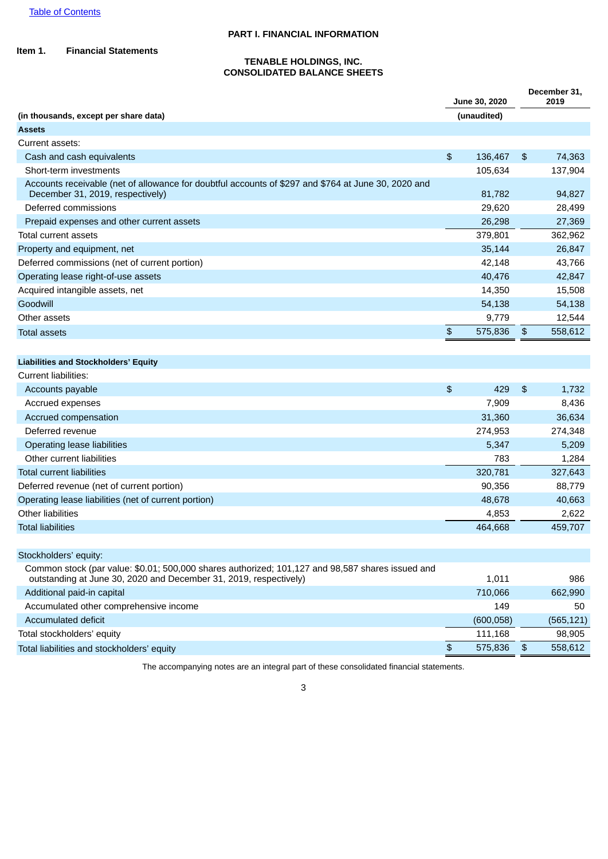## **PART I. FINANCIAL INFORMATION**

# <span id="page-2-1"></span><span id="page-2-0"></span>**Item 1. Financial Statements**

## **TENABLE HOLDINGS, INC. CONSOLIDATED BALANCE SHEETS**

|                                                                                                                                                                       | June 30, 2020 | December 31,<br>2019 |
|-----------------------------------------------------------------------------------------------------------------------------------------------------------------------|---------------|----------------------|
| (in thousands, except per share data)                                                                                                                                 | (unaudited)   |                      |
| <b>Assets</b>                                                                                                                                                         |               |                      |
| Current assets:                                                                                                                                                       |               |                      |
| Cash and cash equivalents                                                                                                                                             | \$<br>136,467 | \$<br>74,363         |
| Short-term investments                                                                                                                                                | 105,634       | 137,904              |
| Accounts receivable (net of allowance for doubtful accounts of \$297 and \$764 at June 30, 2020 and<br>December 31, 2019, respectively)                               | 81,782        | 94,827               |
| Deferred commissions                                                                                                                                                  | 29,620        | 28,499               |
| Prepaid expenses and other current assets                                                                                                                             | 26,298        | 27,369               |
| Total current assets                                                                                                                                                  | 379,801       | 362,962              |
| Property and equipment, net                                                                                                                                           | 35,144        | 26,847               |
| Deferred commissions (net of current portion)                                                                                                                         | 42,148        | 43,766               |
| Operating lease right-of-use assets                                                                                                                                   | 40,476        | 42,847               |
| Acquired intangible assets, net                                                                                                                                       | 14,350        | 15,508               |
| Goodwill                                                                                                                                                              | 54,138        | 54,138               |
| Other assets                                                                                                                                                          | 9,779         | 12,544               |
| <b>Total assets</b>                                                                                                                                                   | \$<br>575,836 | \$<br>558,612        |
|                                                                                                                                                                       |               |                      |
| <b>Liabilities and Stockholders' Equity</b>                                                                                                                           |               |                      |
| <b>Current liabilities:</b>                                                                                                                                           |               |                      |
| Accounts payable                                                                                                                                                      | \$<br>429     | \$<br>1,732          |
| Accrued expenses                                                                                                                                                      | 7,909         | 8,436                |
| Accrued compensation                                                                                                                                                  | 31,360        | 36,634               |
| Deferred revenue                                                                                                                                                      | 274,953       | 274,348              |
| Operating lease liabilities                                                                                                                                           | 5,347         | 5,209                |
| Other current liabilities                                                                                                                                             | 783           | 1,284                |
| <b>Total current liabilities</b>                                                                                                                                      | 320,781       | 327,643              |
| Deferred revenue (net of current portion)                                                                                                                             | 90,356        | 88,779               |
| Operating lease liabilities (net of current portion)                                                                                                                  | 48,678        | 40,663               |
| Other liabilities                                                                                                                                                     | 4,853         | 2,622                |
| <b>Total liabilities</b>                                                                                                                                              | 464,668       | 459,707              |
|                                                                                                                                                                       |               |                      |
| Stockholders' equity:                                                                                                                                                 |               |                      |
| Common stock (par value: \$0.01; 500,000 shares authorized; 101,127 and 98,587 shares issued and<br>outstanding at June 30, 2020 and December 31, 2019, respectively) | 1,011         | 986                  |
| Additional paid-in capital                                                                                                                                            | 710,066       | 662,990              |
| Accumulated other comprehensive income                                                                                                                                | 149           | 50                   |
| Accumulated deficit                                                                                                                                                   | (600, 058)    | (565, 121)           |

Total liabilities and stockholders' equity and the stockholders' equity and the stockholders' equity and the stockholders' equity and the stockholders' equity and the stockholders' equity and the stockholders' equity and t The accompanying notes are an integral part of these consolidated financial statements.

Total stockholders' equity and the stockholders' equity and the stockholders' equity and the stockholders' equity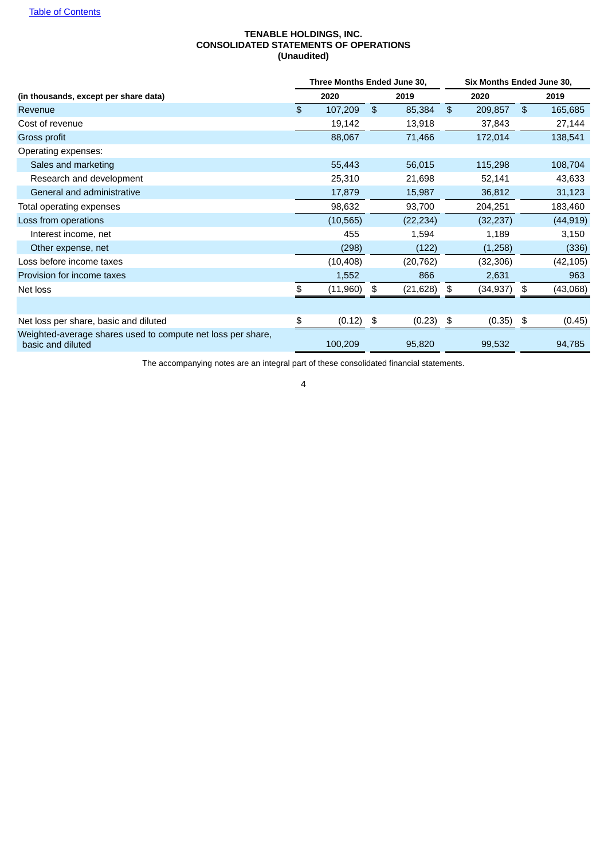## **TENABLE HOLDINGS, INC. CONSOLIDATED STATEMENTS OF OPERATIONS (Unaudited)**

<span id="page-3-0"></span>

|                                                                                  | Three Months Ended June 30, |      |           | Six Months Ended June 30, |           |                |           |
|----------------------------------------------------------------------------------|-----------------------------|------|-----------|---------------------------|-----------|----------------|-----------|
| (in thousands, except per share data)                                            | 2020                        | 2019 |           | 2020                      |           |                | 2019      |
| Revenue                                                                          | \$<br>107,209               | \$   | 85,384    | \$                        | 209,857   | $\mathfrak{P}$ | 165,685   |
| Cost of revenue                                                                  | 19,142                      |      | 13,918    |                           | 37,843    |                | 27,144    |
| Gross profit                                                                     | 88,067                      |      | 71,466    |                           | 172,014   |                | 138,541   |
| Operating expenses:                                                              |                             |      |           |                           |           |                |           |
| Sales and marketing                                                              | 55,443                      |      | 56,015    |                           | 115,298   |                | 108,704   |
| Research and development                                                         | 25,310                      |      | 21,698    |                           | 52,141    |                | 43,633    |
| General and administrative                                                       | 17,879                      |      | 15,987    |                           | 36,812    |                | 31,123    |
| Total operating expenses                                                         | 98,632                      |      | 93,700    |                           | 204,251   |                | 183,460   |
| Loss from operations                                                             | (10, 565)                   |      | (22, 234) |                           | (32, 237) |                | (44, 919) |
| Interest income, net                                                             | 455                         |      | 1,594     |                           | 1,189     |                | 3,150     |
| Other expense, net                                                               | (298)                       |      | (122)     |                           | (1,258)   |                | (336)     |
| Loss before income taxes                                                         | (10, 408)                   |      | (20, 762) |                           | (32, 306) |                | (42, 105) |
| Provision for income taxes                                                       | 1,552                       |      | 866       |                           | 2,631     |                | 963       |
| Net loss                                                                         | \$<br>(11,960)              | \$   | (21, 628) | \$                        | (34,937)  | \$             | (43,068)  |
|                                                                                  |                             |      |           |                           |           |                |           |
| Net loss per share, basic and diluted                                            | \$<br>(0.12)                | \$   | (0.23)    | \$                        | (0.35)    | -\$            | (0.45)    |
| Weighted-average shares used to compute net loss per share,<br>basic and diluted | 100,209                     |      | 95,820    |                           | 99,532    |                | 94,785    |

The accompanying notes are an integral part of these consolidated financial statements.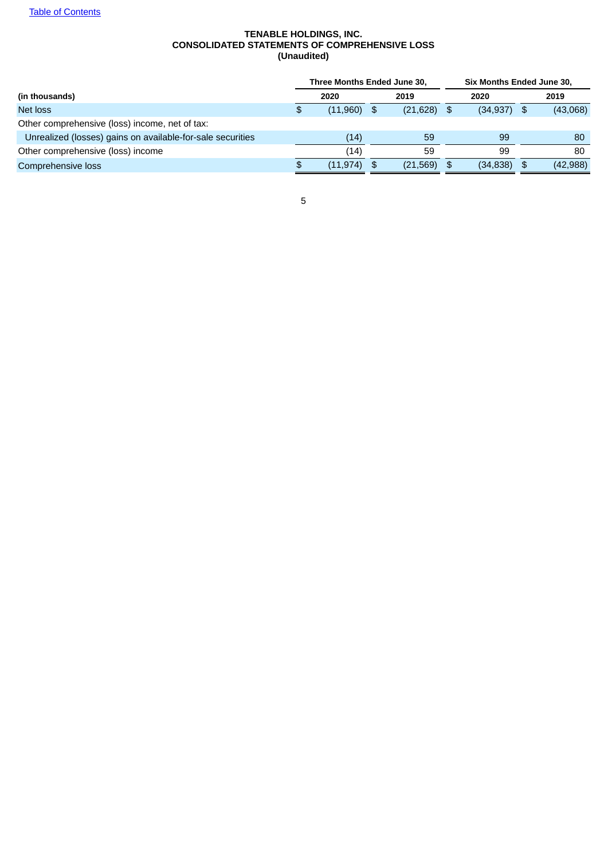## **TENABLE HOLDINGS, INC. CONSOLIDATED STATEMENTS OF COMPREHENSIVE LOSS (Unaudited)**

<span id="page-4-0"></span>

|                                                            | Three Months Ended June 30, |          | Six Months Ended June 30, |               |    |          |  |
|------------------------------------------------------------|-----------------------------|----------|---------------------------|---------------|----|----------|--|
| (in thousands)                                             | 2020                        | 2019     |                           | 2020          |    | 2019     |  |
| Net loss                                                   | \$<br>$(11,960)$ \$         | (21,628) | - SS                      | $(34,937)$ \$ |    | (43,068) |  |
| Other comprehensive (loss) income, net of tax:             |                             |          |                           |               |    |          |  |
| Unrealized (losses) gains on available-for-sale securities | (14)                        | 59       |                           | 99            |    | 80       |  |
| Other comprehensive (loss) income                          | (14)                        | 59       |                           | 99            |    | 80       |  |
| Comprehensive loss                                         | \$<br>(11, 974)             | (21,569) | \$.                       | (34,838)      | \$ | (42,988) |  |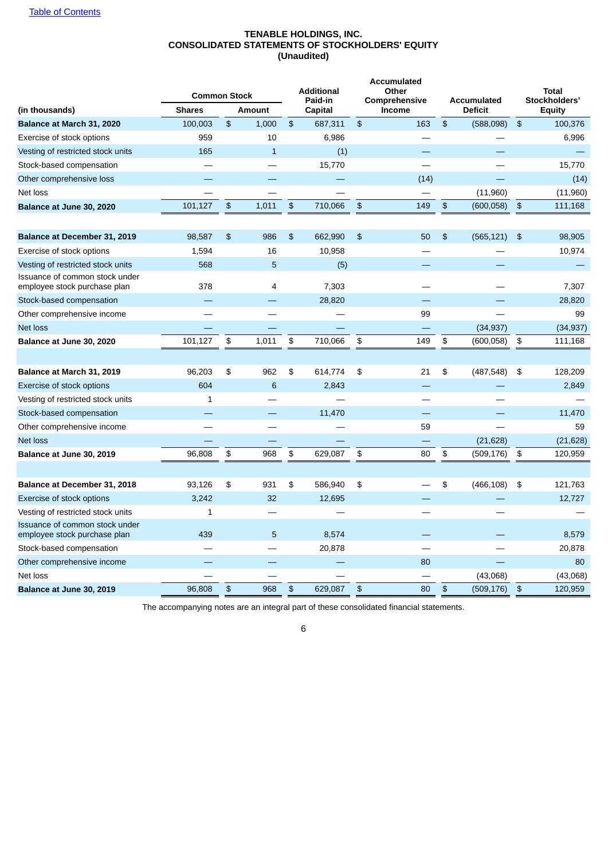## **TENABLE HOLDINGS, INC. CONSOLIDATED STATEMENTS OF STOCKHOLDERS' EQUITY (Unaudited)**

<span id="page-5-0"></span>

|                                                                     |               | <b>Common Stock</b> |              |                | <b>Additional</b><br>Paid-in |                | <b>Accumulated</b><br>Other<br>Comprehensive |                | Accumulated    |                | <b>Total</b><br>Stockholders' |
|---------------------------------------------------------------------|---------------|---------------------|--------------|----------------|------------------------------|----------------|----------------------------------------------|----------------|----------------|----------------|-------------------------------|
| (in thousands)                                                      | <b>Shares</b> |                     | Amount       |                | Capital                      |                | <b>Income</b>                                |                | <b>Deficit</b> |                | Equity                        |
| Balance at March 31, 2020                                           | 100,003       | $\mathfrak{S}$      | 1,000        | $\mathfrak{D}$ | 687,311                      | $\mathfrak{S}$ | 163                                          | $\mathfrak{S}$ | (588,098)      | $\mathfrak{D}$ | 100,376                       |
| Exercise of stock options                                           | 959           |                     | 10           |                | 6,986                        |                |                                              |                |                |                | 6,996                         |
| Vesting of restricted stock units                                   | 165           |                     | $\mathbf{1}$ |                | (1)                          |                |                                              |                |                |                |                               |
| Stock-based compensation                                            |               |                     |              |                | 15,770                       |                |                                              |                |                |                | 15,770                        |
| Other comprehensive loss                                            |               |                     |              |                |                              |                | (14)                                         |                |                |                | (14)                          |
| Net loss                                                            |               |                     |              |                |                              |                |                                              |                | (11,960)       |                | (11,960)                      |
| Balance at June 30, 2020                                            | 101.127       | $\mathfrak{S}$      | 1.011        | $\mathfrak{S}$ | 710.066                      | $\,$           | 149                                          | $\mathfrak{s}$ | (600.058)      | $\mathfrak{S}$ | 111,168                       |
| Balance at December 31, 2019                                        | 98,587        | $\mathfrak{P}$      | 986          | $\mathfrak{D}$ | 662,990                      | $\mathfrak{D}$ | 50                                           | $\mathfrak{S}$ | (565, 121)     | $\mathfrak{F}$ | 98,905                        |
| Exercise of stock options                                           | 1,594         |                     | 16           |                | 10,958                       |                |                                              |                |                |                | 10,974                        |
| Vesting of restricted stock units                                   | 568           |                     | 5            |                | (5)                          |                |                                              |                |                |                |                               |
| Issuance of common stock under<br>employee stock purchase plan      | 378           |                     | 4            |                | 7,303                        |                |                                              |                |                |                | 7,307                         |
| Stock-based compensation                                            |               |                     |              |                | 28,820                       |                |                                              |                |                |                | 28,820                        |
| Other comprehensive income                                          |               |                     |              |                |                              |                | 99                                           |                |                |                | 99                            |
| <b>Net loss</b>                                                     |               |                     |              |                |                              |                |                                              |                | (34, 937)      |                | (34, 937)                     |
| Balance at June 30, 2020                                            | 101,127       | \$                  | 1,011        | \$             | 710,066                      | \$             | 149                                          | \$             | (600, 058)     | \$             | 111,168                       |
|                                                                     |               |                     |              |                |                              |                |                                              |                |                |                |                               |
| Balance at March 31, 2019                                           | 96,203        | \$                  | 962          | \$             | 614,774                      | \$             | 21                                           | \$             | (487, 548)     | \$             | 128,209                       |
| Exercise of stock options                                           | 604           |                     | 6            |                | 2,843                        |                |                                              |                |                |                | 2,849                         |
| Vesting of restricted stock units                                   | 1             |                     |              |                |                              |                |                                              |                |                |                |                               |
| Stock-based compensation                                            |               |                     |              |                | 11,470                       |                |                                              |                |                |                | 11,470                        |
| Other comprehensive income                                          |               |                     |              |                |                              |                | 59                                           |                |                |                | 59                            |
| <b>Net loss</b>                                                     |               |                     |              |                |                              |                |                                              |                | (21, 628)      |                | (21, 628)                     |
| Balance at June 30, 2019                                            | 96,808        | \$                  | 968          | $\frac{2}{3}$  | 629,087                      | \$             | 80                                           | \$             | (509, 176)     | \$             | 120,959                       |
| Balance at December 31, 2018                                        | 93,126        | \$                  | 931          | \$             | 586,940                      | \$             |                                              | \$             | (466, 108)     | \$             | 121,763                       |
|                                                                     | 3,242         |                     | 32           |                | 12,695                       |                |                                              |                |                |                | 12,727                        |
| Exercise of stock options                                           | 1             |                     |              |                |                              |                |                                              |                |                |                |                               |
| Vesting of restricted stock units<br>Issuance of common stock under |               |                     |              |                |                              |                |                                              |                |                |                |                               |
| employee stock purchase plan                                        | 439           |                     | 5            |                | 8,574                        |                |                                              |                |                |                | 8,579                         |
| Stock-based compensation                                            |               |                     |              |                | 20,878                       |                |                                              |                |                |                | 20,878                        |
| Other comprehensive income                                          |               |                     |              |                |                              |                | 80                                           |                |                |                | 80                            |
| Net loss                                                            |               |                     |              |                |                              |                |                                              |                | (43,068)       |                | (43,068)                      |
| Balance at June 30, 2019                                            | 96,808        | \$                  | 968          | $\frac{4}{5}$  | 629,087                      | \$             | 80                                           | $\frac{1}{2}$  | (509, 176)     | $\mathfrak{D}$ | 120,959                       |

The accompanying notes are an integral part of these consolidated financial statements.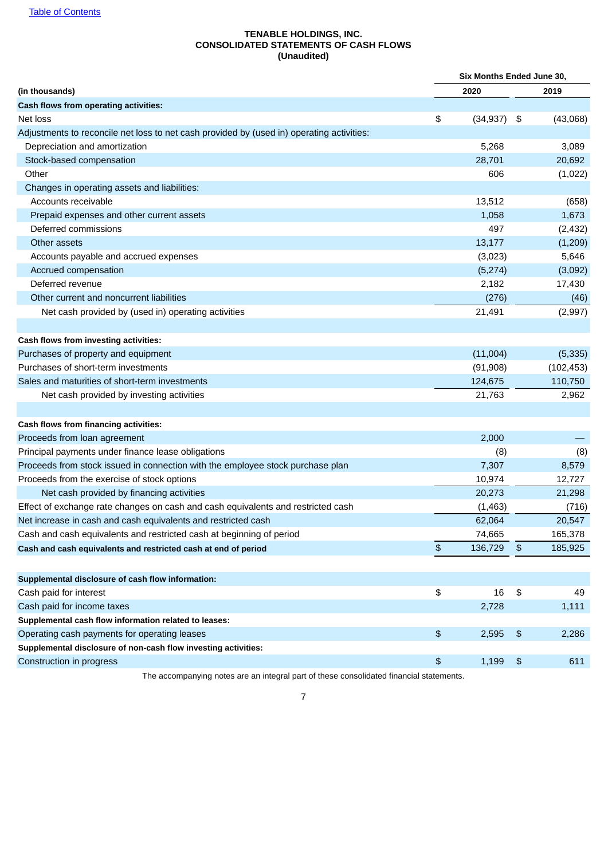## **TENABLE HOLDINGS, INC. CONSOLIDATED STATEMENTS OF CASH FLOWS (Unaudited)**

<span id="page-6-0"></span>

|                                                                                           |                  |           | Six Months Ended June 30,  |            |  |
|-------------------------------------------------------------------------------------------|------------------|-----------|----------------------------|------------|--|
| (in thousands)                                                                            |                  | 2020      |                            | 2019       |  |
| Cash flows from operating activities:                                                     |                  |           |                            |            |  |
| Net loss                                                                                  | \$               | (34, 937) | \$                         | (43,068)   |  |
| Adjustments to reconcile net loss to net cash provided by (used in) operating activities: |                  |           |                            |            |  |
| Depreciation and amortization                                                             |                  | 5,268     |                            | 3,089      |  |
| Stock-based compensation                                                                  |                  | 28,701    |                            | 20,692     |  |
| Other                                                                                     |                  | 606       |                            | (1,022)    |  |
| Changes in operating assets and liabilities:                                              |                  |           |                            |            |  |
| Accounts receivable                                                                       |                  | 13,512    |                            | (658)      |  |
| Prepaid expenses and other current assets                                                 |                  | 1,058     |                            | 1,673      |  |
| Deferred commissions                                                                      |                  | 497       |                            | (2, 432)   |  |
| Other assets                                                                              |                  | 13,177    |                            | (1,209)    |  |
| Accounts payable and accrued expenses                                                     |                  | (3,023)   |                            | 5,646      |  |
| Accrued compensation                                                                      |                  | (5, 274)  |                            | (3,092)    |  |
| Deferred revenue                                                                          |                  | 2,182     |                            | 17,430     |  |
| Other current and noncurrent liabilities                                                  |                  | (276)     |                            | (46)       |  |
| Net cash provided by (used in) operating activities                                       |                  | 21,491    |                            | (2,997)    |  |
|                                                                                           |                  |           |                            |            |  |
| Cash flows from investing activities:                                                     |                  |           |                            |            |  |
| Purchases of property and equipment                                                       |                  | (11,004)  |                            | (5, 335)   |  |
| Purchases of short-term investments                                                       |                  | (91,908)  |                            | (102, 453) |  |
| Sales and maturities of short-term investments                                            |                  | 124,675   |                            | 110,750    |  |
| Net cash provided by investing activities                                                 |                  | 21,763    |                            | 2,962      |  |
|                                                                                           |                  |           |                            |            |  |
| Cash flows from financing activities:                                                     |                  |           |                            |            |  |
| Proceeds from loan agreement                                                              |                  | 2,000     |                            |            |  |
| Principal payments under finance lease obligations                                        |                  | (8)       |                            | (8)        |  |
| Proceeds from stock issued in connection with the employee stock purchase plan            |                  | 7,307     |                            | 8,579      |  |
| Proceeds from the exercise of stock options                                               |                  | 10,974    |                            | 12,727     |  |
| Net cash provided by financing activities                                                 |                  | 20,273    |                            | 21,298     |  |
| Effect of exchange rate changes on cash and cash equivalents and restricted cash          |                  | (1,463)   |                            | (716)      |  |
| Net increase in cash and cash equivalents and restricted cash                             |                  | 62,064    |                            | 20,547     |  |
| Cash and cash equivalents and restricted cash at beginning of period                      |                  | 74,665    |                            | 165,378    |  |
| Cash and cash equivalents and restricted cash at end of period                            | \$               | 136,729   | \$                         | 185,925    |  |
|                                                                                           |                  |           |                            |            |  |
| Supplemental disclosure of cash flow information:                                         |                  |           |                            |            |  |
| Cash paid for interest                                                                    | \$               | 16        | \$                         | 49         |  |
| Cash paid for income taxes                                                                |                  | 2,728     |                            | 1,111      |  |
| Supplemental cash flow information related to leases:                                     |                  |           |                            |            |  |
| Operating cash payments for operating leases                                              | \$               | 2,595     | $\boldsymbol{\theta}$      | 2,286      |  |
| Supplemental disclosure of non-cash flow investing activities:                            |                  |           |                            |            |  |
| Construction in progress                                                                  | $$\mathfrak{s}$$ | 1,199     | $\boldsymbol{\mathsf{\$}}$ | 611        |  |
| The accompanying notes are an integral part of these consolidated financial statements.   |                  |           |                            |            |  |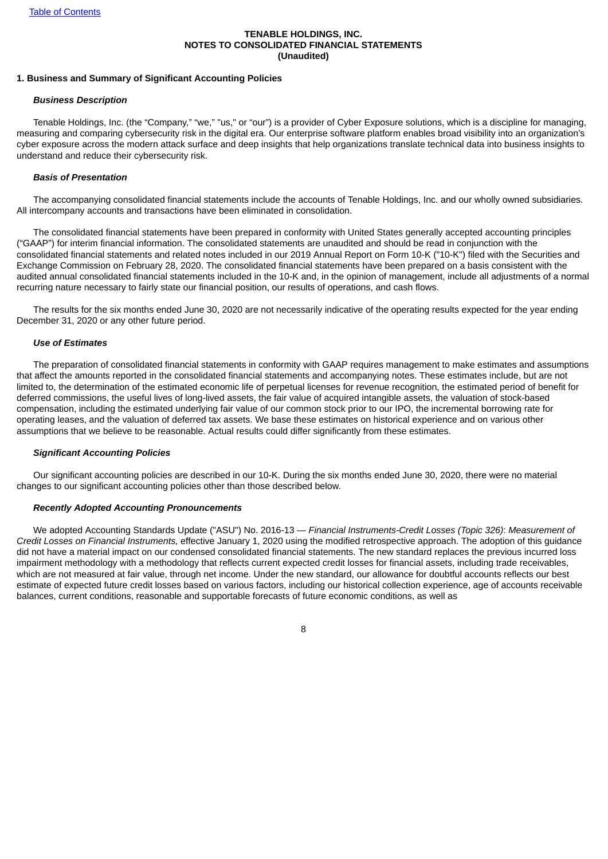#### **TENABLE HOLDINGS, INC. NOTES TO CONSOLIDATED FINANCIAL STATEMENTS (Unaudited)**

#### <span id="page-7-1"></span><span id="page-7-0"></span>**1. Business and Summary of Significant Accounting Policies**

#### *Business Description*

Tenable Holdings, Inc. (the "Company," "we," "us," or "our") is a provider of Cyber Exposure solutions, which is a discipline for managing, measuring and comparing cybersecurity risk in the digital era. Our enterprise software platform enables broad visibility into an organization's cyber exposure across the modern attack surface and deep insights that help organizations translate technical data into business insights to understand and reduce their cybersecurity risk.

#### *Basis of Presentation*

The accompanying consolidated financial statements include the accounts of Tenable Holdings, Inc. and our wholly owned subsidiaries. All intercompany accounts and transactions have been eliminated in consolidation.

The consolidated financial statements have been prepared in conformity with United States generally accepted accounting principles ("GAAP") for interim financial information. The consolidated statements are unaudited and should be read in conjunction with the consolidated financial statements and related notes included in our 2019 Annual Report on Form 10-K ("10-K") filed with the Securities and Exchange Commission on February 28, 2020. The consolidated financial statements have been prepared on a basis consistent with the audited annual consolidated financial statements included in the 10-K and, in the opinion of management, include all adjustments of a normal recurring nature necessary to fairly state our financial position, our results of operations, and cash flows.

The results for the six months ended June 30, 2020 are not necessarily indicative of the operating results expected for the year ending December 31, 2020 or any other future period.

#### *Use of Estimates*

The preparation of consolidated financial statements in conformity with GAAP requires management to make estimates and assumptions that affect the amounts reported in the consolidated financial statements and accompanying notes. These estimates include, but are not limited to, the determination of the estimated economic life of perpetual licenses for revenue recognition, the estimated period of benefit for deferred commissions, the useful lives of long-lived assets, the fair value of acquired intangible assets, the valuation of stock-based compensation, including the estimated underlying fair value of our common stock prior to our IPO, the incremental borrowing rate for operating leases, and the valuation of deferred tax assets. We base these estimates on historical experience and on various other assumptions that we believe to be reasonable. Actual results could differ significantly from these estimates.

## *Significant Accounting Policies*

Our significant accounting policies are described in our 10-K. During the six months ended June 30, 2020, there were no material changes to our significant accounting policies other than those described below.

## *Recently Adopted Accounting Pronouncements*

We adopted Accounting Standards Update ("ASU") No. 2016-13 — *Financial Instruments-Credit Losses (Topic 326)*: *Measurement of Credit Losses on Financial Instruments,* effective January 1, 2020 using the modified retrospective approach. The adoption of this guidance did not have a material impact on our condensed consolidated financial statements. The new standard replaces the previous incurred loss impairment methodology with a methodology that reflects current expected credit losses for financial assets, including trade receivables, which are not measured at fair value, through net income. Under the new standard, our allowance for doubtful accounts reflects our best estimate of expected future credit losses based on various factors, including our historical collection experience, age of accounts receivable balances, current conditions, reasonable and supportable forecasts of future economic conditions, as well as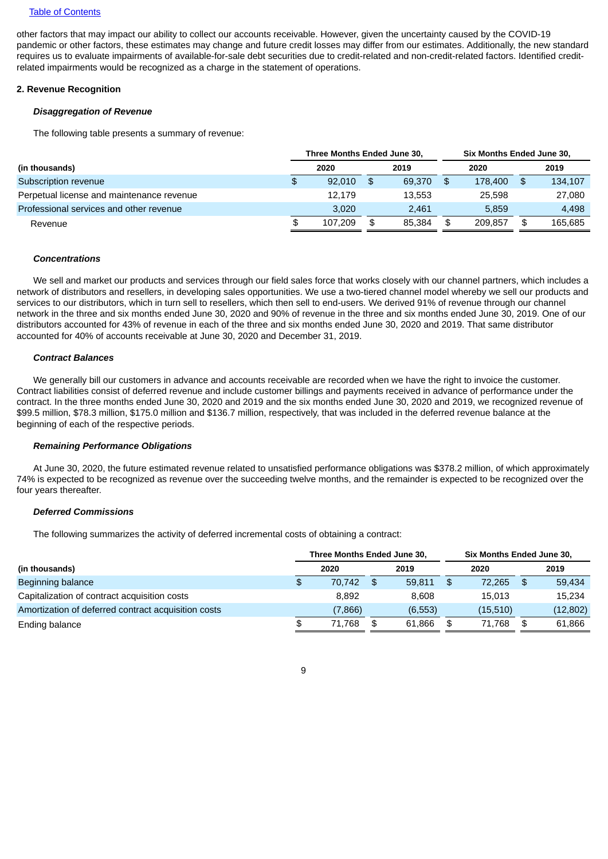other factors that may impact our ability to collect our accounts receivable. However, given the uncertainty caused by the COVID-19 pandemic or other factors, these estimates may change and future credit losses may differ from our estimates. Additionally, the new standard requires us to evaluate impairments of available-for-sale debt securities due to credit-related and non-credit-related factors. Identified creditrelated impairments would be recognized as a charge in the statement of operations.

## <span id="page-8-0"></span>**2. Revenue Recognition**

## *Disaggregation of Revenue*

The following table presents a summary of revenue:

|                                           |    | Three Months Ended June 30, |              | Six Months Ended June 30, |         |    |         |  |
|-------------------------------------------|----|-----------------------------|--------------|---------------------------|---------|----|---------|--|
| (in thousands)                            |    | 2020                        | 2019         |                           | 2020    |    | 2019    |  |
| Subscription revenue                      | \$ | 92.010                      | 69.370       |                           | 178,400 | \$ | 134,107 |  |
| Perpetual license and maintenance revenue |    | 12.179                      | 13.553       |                           | 25.598  |    | 27,080  |  |
| Professional services and other revenue   |    | 3.020                       | 2.461        |                           | 5.859   |    | 4.498   |  |
| Revenue                                   | \$ | 107.209                     | \$<br>85.384 | \$                        | 209.857 |    | 165.685 |  |

## *Concentrations*

We sell and market our products and services through our field sales force that works closely with our channel partners, which includes a network of distributors and resellers, in developing sales opportunities. We use a two-tiered channel model whereby we sell our products and services to our distributors, which in turn sell to resellers, which then sell to end-users. We derived 91% of revenue through our channel network in the three and six months ended June 30, 2020 and 90% of revenue in the three and six months ended June 30, 2019. One of our distributors accounted for 43% of revenue in each of the three and six months ended June 30, 2020 and 2019. That same distributor accounted for 40% of accounts receivable at June 30, 2020 and December 31, 2019.

## *Contract Balances*

We generally bill our customers in advance and accounts receivable are recorded when we have the right to invoice the customer. Contract liabilities consist of deferred revenue and include customer billings and payments received in advance of performance under the contract. In the three months ended June 30, 2020 and 2019 and the six months ended June 30, 2020 and 2019, we recognized revenue of \$99.5 million, \$78.3 million, \$175.0 million and \$136.7 million, respectively, that was included in the deferred revenue balance at the beginning of each of the respective periods.

## *Remaining Performance Obligations*

At June 30, 2020, the future estimated revenue related to unsatisfied performance obligations was \$378.2 million, of which approximately 74% is expected to be recognized as revenue over the succeeding twelve months, and the remainder is expected to be recognized over the four years thereafter.

## *Deferred Commissions*

The following summarizes the activity of deferred incremental costs of obtaining a contract:

|                                                     | Three Months Ended June 30, |              | Six Months Ended June 30, |           |    |           |
|-----------------------------------------------------|-----------------------------|--------------|---------------------------|-----------|----|-----------|
| (in thousands)                                      | 2020                        | 2019         |                           | 2020      |    | 2019      |
| Beginning balance                                   | \$<br>70.742                | \$<br>59,811 | \$                        | 72.265    |    | 59,434    |
| Capitalization of contract acquisition costs        | 8.892                       | 8.608        |                           | 15.013    |    | 15,234    |
| Amortization of deferred contract acquisition costs | (7,866)                     | (6, 553)     |                           | (15, 510) |    | (12, 802) |
| Ending balance                                      | 71.768                      | 61.866       | \$                        | 71.768    | \$ | 61,866    |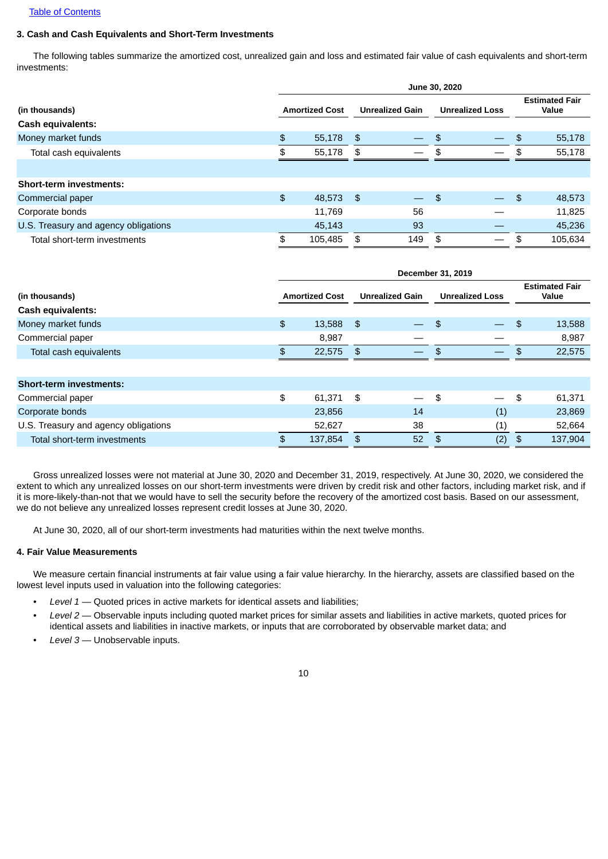## <span id="page-9-0"></span>**3. Cash and Cash Equivalents and Short-Term Investments**

The following tables summarize the amortized cost, unrealized gain and loss and estimated fair value of cash equivalents and short-term investments:

|                                      |               | June 30, 2020         |    |                          |     |                        |    |                                |  |  |  |  |
|--------------------------------------|---------------|-----------------------|----|--------------------------|-----|------------------------|----|--------------------------------|--|--|--|--|
| (in thousands)                       |               | <b>Amortized Cost</b> |    | <b>Unrealized Gain</b>   |     | <b>Unrealized Loss</b> |    | <b>Estimated Fair</b><br>Value |  |  |  |  |
| <b>Cash equivalents:</b>             |               |                       |    |                          |     |                        |    |                                |  |  |  |  |
| Money market funds                   | $\frac{4}{5}$ | 55,178                | \$ | $\overline{\phantom{0}}$ | \$  |                        | \$ | 55,178                         |  |  |  |  |
| Total cash equivalents               |               | 55.178                | \$ |                          | \$  |                        |    | 55,178                         |  |  |  |  |
|                                      |               |                       |    |                          |     |                        |    |                                |  |  |  |  |
| <b>Short-term investments:</b>       |               |                       |    |                          |     |                        |    |                                |  |  |  |  |
| Commercial paper                     | $\frac{1}{2}$ | 48,573                | \$ | $\overline{\phantom{0}}$ | -\$ |                        | \$ | 48,573                         |  |  |  |  |
| Corporate bonds                      |               | 11,769                |    | 56                       |     |                        |    | 11,825                         |  |  |  |  |
| U.S. Treasury and agency obligations |               | 45,143                |    | 93                       |     |                        |    | 45,236                         |  |  |  |  |
| Total short-term investments         | \$            | 105.485               | \$ | 149                      | \$  |                        |    | 105.634                        |  |  |  |  |

|                                      | December 31, 2019 |                       |    |                          |                |                        |    |                                |  |  |  |
|--------------------------------------|-------------------|-----------------------|----|--------------------------|----------------|------------------------|----|--------------------------------|--|--|--|
| (in thousands)                       |                   | <b>Amortized Cost</b> |    | <b>Unrealized Gain</b>   |                | <b>Unrealized Loss</b> |    | <b>Estimated Fair</b><br>Value |  |  |  |
| <b>Cash equivalents:</b>             |                   |                       |    |                          |                |                        |    |                                |  |  |  |
| Money market funds                   | \$                | 13,588                | \$ | $\overline{\phantom{a}}$ | \$             |                        | \$ | 13,588                         |  |  |  |
| Commercial paper                     |                   | 8,987                 |    |                          |                |                        |    | 8,987                          |  |  |  |
| Total cash equivalents               | $\mathbf{E}$      | 22,575                | \$ | الكا                     | $\mathfrak{F}$ |                        | \$ | 22,575                         |  |  |  |
|                                      |                   |                       |    |                          |                |                        |    |                                |  |  |  |
| <b>Short-term investments:</b>       |                   |                       |    |                          |                |                        |    |                                |  |  |  |
| Commercial paper                     | \$                | 61.371                | \$ |                          | \$             |                        | \$ | 61,371                         |  |  |  |
| Corporate bonds                      |                   | 23,856                |    | 14                       |                | (1)                    |    | 23,869                         |  |  |  |
| U.S. Treasury and agency obligations |                   | 52,627                |    | 38                       |                | (1)                    |    | 52,664                         |  |  |  |
| Total short-term investments         | \$                | 137,854               | \$ | 52                       | \$             | (2)                    | \$ | 137,904                        |  |  |  |

Gross unrealized losses were not material at June 30, 2020 and December 31, 2019, respectively. At June 30, 2020, we considered the extent to which any unrealized losses on our short-term investments were driven by credit risk and other factors, including market risk, and if it is more-likely-than-not that we would have to sell the security before the recovery of the amortized cost basis. Based on our assessment, we do not believe any unrealized losses represent credit losses at June 30, 2020.

At June 30, 2020, all of our short-term investments had maturities within the next twelve months.

#### <span id="page-9-1"></span>**4. Fair Value Measurements**

We measure certain financial instruments at fair value using a fair value hierarchy. In the hierarchy, assets are classified based on the lowest level inputs used in valuation into the following categories:

- *Level 1* Quoted prices in active markets for identical assets and liabilities;
- *Level 2* Observable inputs including quoted market prices for similar assets and liabilities in active markets, quoted prices for identical assets and liabilities in inactive markets, or inputs that are corroborated by observable market data; and
- *Level 3* Unobservable inputs.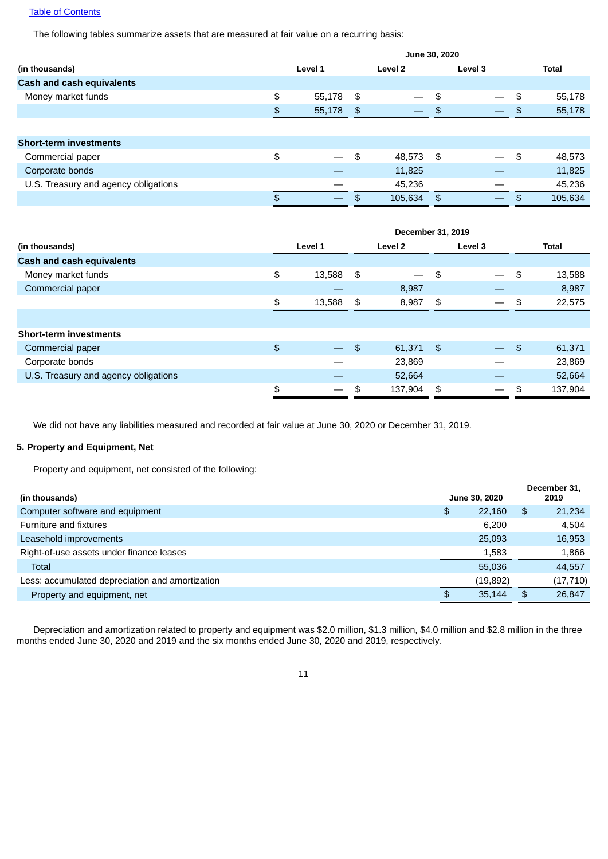The following tables summarize assets that are measured at fair value on a recurring basis:

|                                      |    |         |    | June 30, 2020            |     |         |    |              |
|--------------------------------------|----|---------|----|--------------------------|-----|---------|----|--------------|
| (in thousands)                       |    | Level 1 |    | Level 2                  |     | Level 3 |    | <b>Total</b> |
| <b>Cash and cash equivalents</b>     |    |         |    |                          |     |         |    |              |
| Money market funds                   | \$ | 55,178  | \$ |                          | \$  |         | \$ | 55,178       |
|                                      | \$ | 55,178  | \$ | $\overline{\phantom{0}}$ | -\$ |         | £. | 55,178       |
|                                      |    |         |    |                          |     |         |    |              |
| <b>Short-term investments</b>        |    |         |    |                          |     |         |    |              |
| Commercial paper                     | \$ |         | \$ | 48,573                   | -\$ |         | \$ | 48,573       |
| Corporate bonds                      |    |         |    | 11,825                   |     |         |    | 11,825       |
| U.S. Treasury and agency obligations |    |         |    | 45,236                   |     |         |    | 45,236       |
|                                      | \$ |         |    | 105,634                  | \$  |         |    | 105,634      |

|                                      |    | December 31, 2019 |               |                          |    |         |    |              |  |
|--------------------------------------|----|-------------------|---------------|--------------------------|----|---------|----|--------------|--|
| (in thousands)                       |    | Level 1           |               | Level 2                  |    | Level 3 |    | <b>Total</b> |  |
| <b>Cash and cash equivalents</b>     |    |                   |               |                          |    |         |    |              |  |
| Money market funds                   | \$ | 13,588            | \$            | $\overline{\phantom{0}}$ | \$ |         | \$ | 13,588       |  |
| Commercial paper                     |    |                   |               | 8,987                    |    |         |    | 8,987        |  |
|                                      | \$ | 13,588            | \$            | 8.987                    | \$ |         | \$ | 22,575       |  |
|                                      |    |                   |               |                          |    |         |    |              |  |
| <b>Short-term investments</b>        |    |                   |               |                          |    |         |    |              |  |
| Commercial paper                     | \$ |                   | $\frac{1}{2}$ | 61,371 \$                |    |         | \$ | 61,371       |  |
| Corporate bonds                      |    |                   |               | 23,869                   |    |         |    | 23,869       |  |
| U.S. Treasury and agency obligations |    |                   |               | 52,664                   |    |         |    | 52,664       |  |
|                                      | \$ |                   | \$            | 137.904                  | \$ |         |    | 137,904      |  |

We did not have any liabilities measured and recorded at fair value at June 30, 2020 or December 31, 2019.

## <span id="page-10-0"></span>**5. Property and Equipment, Net**

Property and equipment, net consisted of the following:

| (in thousands)                                  | June 30, 2020 | December 31,<br>2019 |
|-------------------------------------------------|---------------|----------------------|
| Computer software and equipment                 | \$<br>22,160  | \$<br>21,234         |
| Furniture and fixtures                          | 6.200         | 4,504                |
| Leasehold improvements                          | 25,093        | 16,953               |
| Right-of-use assets under finance leases        | 1,583         | 1,866                |
| <b>Total</b>                                    | 55,036        | 44,557               |
| Less: accumulated depreciation and amortization | (19, 892)     | (17, 710)            |
| Property and equipment, net                     | \$<br>35.144  | \$<br>26,847         |

Depreciation and amortization related to property and equipment was \$2.0 million, \$1.3 million, \$4.0 million and \$2.8 million in the three months ended June 30, 2020 and 2019 and the six months ended June 30, 2020 and 2019, respectively.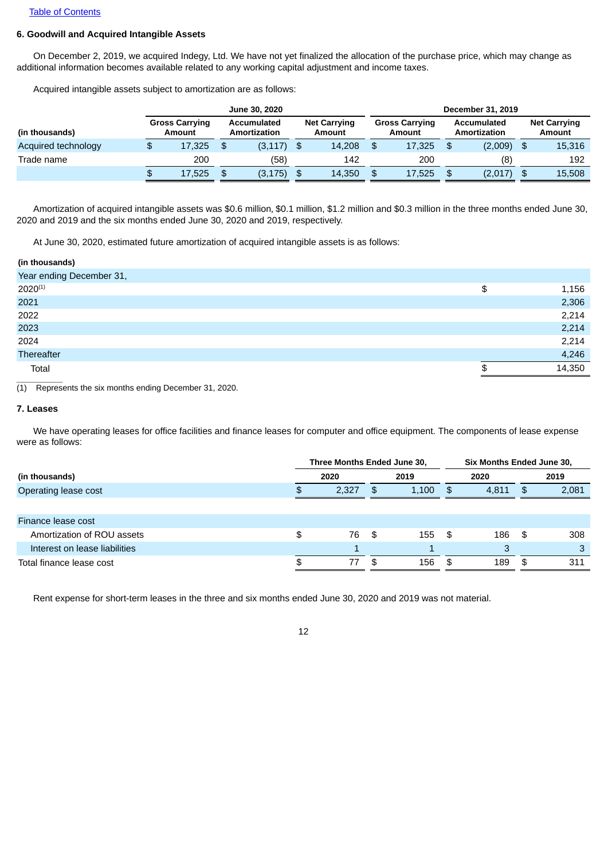## <span id="page-11-0"></span>**6. Goodwill and Acquired Intangible Assets**

On December 2, 2019, we acquired Indegy, Ltd. We have not yet finalized the allocation of the purchase price, which may change as additional information becomes available related to any working capital adjustment and income taxes.

Acquired intangible assets subject to amortization are as follows:

|                     | June 30, 2020 |                                 |  |                                    | December 31, 2019 |                               |  |                                 |     |                                    |    |                               |
|---------------------|---------------|---------------------------------|--|------------------------------------|-------------------|-------------------------------|--|---------------------------------|-----|------------------------------------|----|-------------------------------|
| (in thousands)      |               | <b>Gross Carrying</b><br>Amount |  | <b>Accumulated</b><br>Amortization |                   | <b>Net Carrying</b><br>Amount |  | <b>Gross Carrying</b><br>Amount |     | <b>Accumulated</b><br>Amortization |    | <b>Net Carrying</b><br>Amount |
| Acquired technology |               | 17.325                          |  | (3, 117)                           | - \$              | 14.208                        |  | 17.325                          | \$  | (2,009)                            | \$ | 15,316                        |
| Trade name          |               | 200                             |  | (58)                               |                   | 142                           |  | 200                             |     | (8)                                |    | 192                           |
|                     |               | 17.525                          |  | (3, 175)                           |                   | 14,350                        |  | 17,525                          | \$. | (2,017)                            | \$ | 15,508                        |

Amortization of acquired intangible assets was \$0.6 million, \$0.1 million, \$1.2 million and \$0.3 million in the three months ended June 30, 2020 and 2019 and the six months ended June 30, 2020 and 2019, respectively.

At June 30, 2020, estimated future amortization of acquired intangible assets is as follows:

| (in thousands)           |    |        |
|--------------------------|----|--------|
| Year ending December 31, |    |        |
| $2020^{(1)}$             | \$ | 1,156  |
| 2021                     |    | 2,306  |
| 2022                     |    | 2,214  |
| 2023                     |    | 2,214  |
| 2024                     |    | 2,214  |
| Thereafter               |    | 4,246  |
| Total                    | Φ  | 14,350 |

\_\_\_\_\_\_\_\_\_\_\_\_\_\_\_ (1) Represents the six months ending December 31, 2020.

#### <span id="page-11-1"></span>**7. Leases**

We have operating leases for office facilities and finance leases for computer and office equipment. The components of lease expense were as follows:

|                               |     | Three Months Ended June 30, |      |       |      | Six Months Ended June 30, |      |       |
|-------------------------------|-----|-----------------------------|------|-------|------|---------------------------|------|-------|
| (in thousands)                |     | 2020                        |      | 2019  |      | 2020                      |      | 2019  |
| Operating lease cost          | \$. | 2.327                       | \$.  | 1.100 | \$.  | 4.811                     | \$.  | 2,081 |
|                               |     |                             |      |       |      |                           |      |       |
| Finance lease cost            |     |                             |      |       |      |                           |      |       |
| Amortization of ROU assets    | \$  | 76                          | - \$ | 155   | - \$ | 186                       | - \$ | 308   |
| Interest on lease liabilities |     |                             |      |       |      | 3                         |      | 3     |
| Total finance lease cost      |     | 77                          | £.   | 156   | \$   | 189                       | \$   | 311   |
|                               |     |                             |      |       |      |                           |      |       |

Rent expense for short-term leases in the three and six months ended June 30, 2020 and 2019 was not material.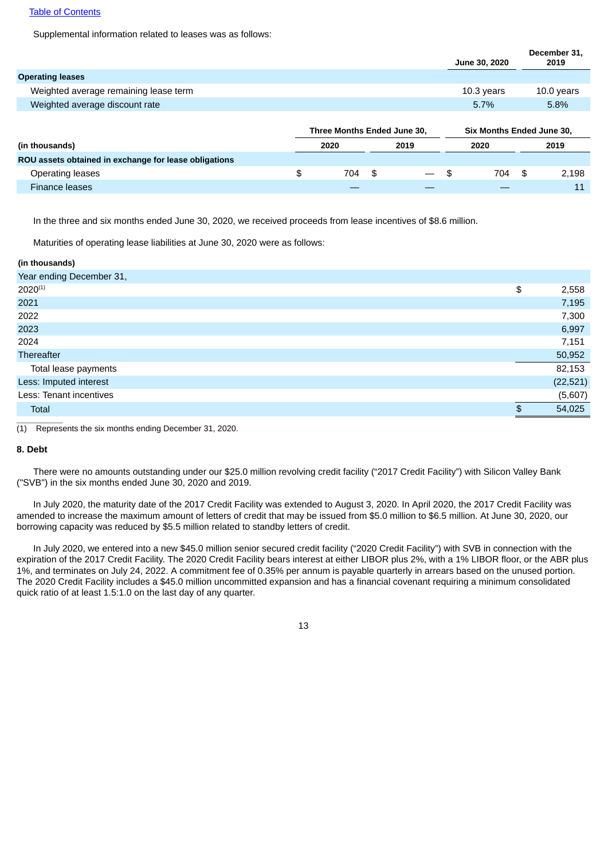Supplemental information related to leases was as follows:

|                                                       |                             |      |      | June 30, 2020             |      | December 31,<br>2019 |
|-------------------------------------------------------|-----------------------------|------|------|---------------------------|------|----------------------|
| <b>Operating leases</b>                               |                             |      |      |                           |      |                      |
| Weighted average remaining lease term                 |                             |      |      | 10.3 years                |      | 10.0 years           |
| Weighted average discount rate                        |                             |      |      | 5.7%                      |      | 5.8%                 |
|                                                       | Three Months Ended June 30, |      |      | Six Months Ended June 30, |      |                      |
| (in thousands)                                        | 2020                        |      | 2019 | 2020                      |      | 2019                 |
| ROU assets obtained in exchange for lease obligations |                             |      |      |                           |      |                      |
| Operating leases                                      | \$<br>704                   | - \$ |      | \$<br>704                 | - \$ | 2.198                |
| <b>Finance leases</b>                                 |                             |      |      |                           |      | 11                   |

In the three and six months ended June 30, 2020, we received proceeds from lease incentives of \$8.6 million.

Maturities of operating lease liabilities at June 30, 2020 were as follows:

| (in thousands) |  |
|----------------|--|
|----------------|--|

| Year ending December 31, |              |
|--------------------------|--------------|
| $2020^{(1)}$             | \$<br>2,558  |
| 2021                     | 7,195        |
| 2022                     | 7,300        |
| 2023                     | 6,997        |
| 2024                     | 7,151        |
| Thereafter               | 50,952       |
| Total lease payments     | 82,153       |
| Less: Imputed interest   | (22, 521)    |
| Less: Tenant incentives  | (5,607)      |
| <b>Total</b>             | \$<br>54,025 |
|                          |              |

(1) Represents the six months ending December 31, 2020.

#### <span id="page-12-0"></span>**8. Debt**

There were no amounts outstanding under our \$25.0 million revolving credit facility ("2017 Credit Facility") with Silicon Valley Bank ("SVB") in the six months ended June 30, 2020 and 2019.

In July 2020, the maturity date of the 2017 Credit Facility was extended to August 3, 2020. In April 2020, the 2017 Credit Facility was amended to increase the maximum amount of letters of credit that may be issued from \$5.0 million to \$6.5 million. At June 30, 2020, our borrowing capacity was reduced by \$5.5 million related to standby letters of credit.

In July 2020, we entered into a new \$45.0 million senior secured credit facility ("2020 Credit Facility") with SVB in connection with the expiration of the 2017 Credit Facility. The 2020 Credit Facility bears interest at either LIBOR plus 2%, with a 1% LIBOR floor, or the ABR plus 1%, and terminates on July 24, 2022. A commitment fee of 0.35% per annum is payable quarterly in arrears based on the unused portion. The 2020 Credit Facility includes a \$45.0 million uncommitted expansion and has a financial covenant requiring a minimum consolidated quick ratio of at least 1.5:1.0 on the last day of any quarter.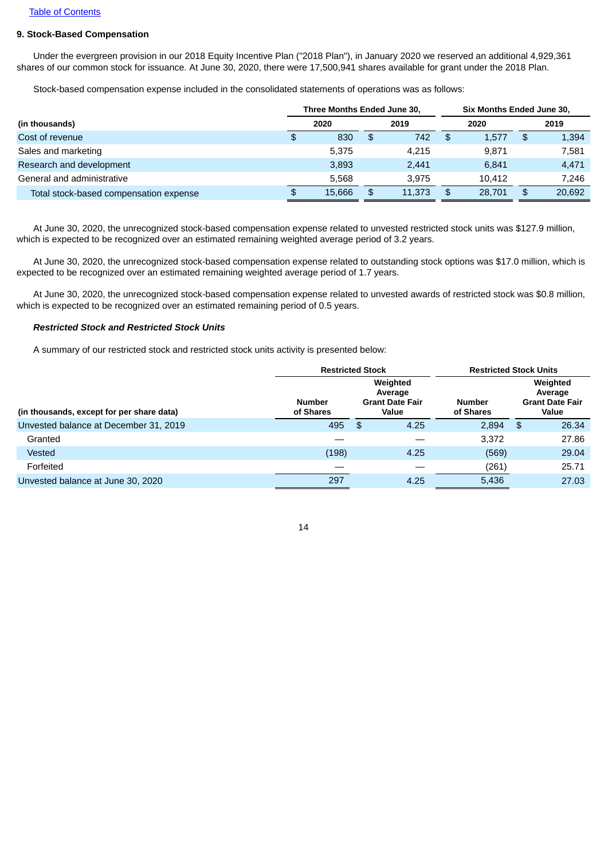## <span id="page-13-0"></span>**9. Stock-Based Compensation**

Under the evergreen provision in our 2018 Equity Incentive Plan ("2018 Plan"), in January 2020 we reserved an additional 4,929,361 shares of our common stock for issuance. At June 30, 2020, there were 17,500,941 shares available for grant under the 2018 Plan.

Stock-based compensation expense included in the consolidated statements of operations was as follows:

|                                        | Three Months Ended June 30, |        |    | Six Months Ended June 30, |     |        |    |        |
|----------------------------------------|-----------------------------|--------|----|---------------------------|-----|--------|----|--------|
| (in thousands)                         |                             | 2020   |    | 2019                      |     | 2020   |    | 2019   |
| Cost of revenue                        | \$                          | 830    | \$ | 742                       | -\$ | 1.577  | \$ | 1,394  |
| Sales and marketing                    |                             | 5.375  |    | 4.215                     |     | 9.871  |    | 7,581  |
| Research and development               |                             | 3.893  |    | 2.441                     |     | 6.841  |    | 4,471  |
| General and administrative             |                             | 5.568  |    | 3.975                     |     | 10.412 |    | 7.246  |
| Total stock-based compensation expense | \$                          | 15.666 | \$ | 11,373                    | \$  | 28.701 | \$ | 20,692 |

At June 30, 2020, the unrecognized stock-based compensation expense related to unvested restricted stock units was \$127.9 million, which is expected to be recognized over an estimated remaining weighted average period of 3.2 years.

At June 30, 2020, the unrecognized stock-based compensation expense related to outstanding stock options was \$17.0 million, which is expected to be recognized over an estimated remaining weighted average period of 1.7 years.

At June 30, 2020, the unrecognized stock-based compensation expense related to unvested awards of restricted stock was \$0.8 million, which is expected to be recognized over an estimated remaining period of 0.5 years.

## *Restricted Stock and Restricted Stock Units*

A summary of our restricted stock and restricted stock units activity is presented below:

|                                           |                            | <b>Restricted Stock</b>                                | <b>Restricted Stock Units</b> |                                                        |  |  |
|-------------------------------------------|----------------------------|--------------------------------------------------------|-------------------------------|--------------------------------------------------------|--|--|
| (in thousands, except for per share data) | <b>Number</b><br>of Shares | Weighted<br>Average<br><b>Grant Date Fair</b><br>Value | Number<br>of Shares           | Weighted<br>Average<br><b>Grant Date Fair</b><br>Value |  |  |
| Unvested balance at December 31, 2019     | 495                        | 4.25<br>-\$                                            | 2,894                         | 26.34<br>\$                                            |  |  |
| Granted                                   |                            |                                                        | 3,372                         | 27.86                                                  |  |  |
| Vested                                    | (198)                      | 4.25                                                   | (569)                         | 29.04                                                  |  |  |
| Forfeited                                 |                            |                                                        | (261)                         | 25.71                                                  |  |  |
| Unvested balance at June 30, 2020         | 297                        | 4.25                                                   | 5,436                         | 27.03                                                  |  |  |

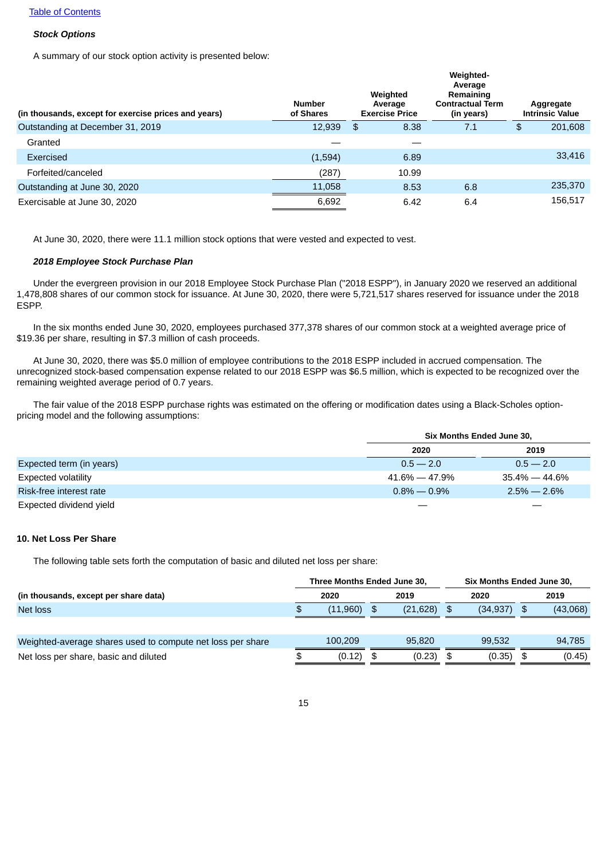## *Stock Options*

A summary of our stock option activity is presented below:

| (in thousands, except for exercise prices and years) | Number<br>of Shares | Weighted<br>Average<br><b>Exercise Price</b> | Weighted-<br>Average<br>Remaining<br><b>Contractual Term</b><br>(in years) | Aggregate<br><b>Intrinsic Value</b> |
|------------------------------------------------------|---------------------|----------------------------------------------|----------------------------------------------------------------------------|-------------------------------------|
| Outstanding at December 31, 2019                     | 12,939              | 8.38<br>\$                                   | 7.1                                                                        | \$<br>201,608                       |
| Granted                                              |                     |                                              |                                                                            |                                     |
| Exercised                                            | (1, 594)            | 6.89                                         |                                                                            | 33,416                              |
| Forfeited/canceled                                   | (287)               | 10.99                                        |                                                                            |                                     |
| Outstanding at June 30, 2020                         | 11,058              | 8.53                                         | 6.8                                                                        | 235,370                             |
| Exercisable at June 30, 2020                         | 6,692               | 6.42                                         | 6.4                                                                        | 156,517                             |

At June 30, 2020, there were 11.1 million stock options that were vested and expected to vest.

## *2018 Employee Stock Purchase Plan*

Under the evergreen provision in our 2018 Employee Stock Purchase Plan ("2018 ESPP"), in January 2020 we reserved an additional 1,478,808 shares of our common stock for issuance. At June 30, 2020, there were 5,721,517 shares reserved for issuance under the 2018 ESPP.

In the six months ended June 30, 2020, employees purchased 377,378 shares of our common stock at a weighted average price of \$19.36 per share, resulting in \$7.3 million of cash proceeds.

At June 30, 2020, there was \$5.0 million of employee contributions to the 2018 ESPP included in accrued compensation. The unrecognized stock-based compensation expense related to our 2018 ESPP was \$6.5 million, which is expected to be recognized over the remaining weighted average period of 0.7 years.

The fair value of the 2018 ESPP purchase rights was estimated on the offering or modification dates using a Black-Scholes optionpricing model and the following assumptions:

|                            | Six Months Ended June 30, |                   |
|----------------------------|---------------------------|-------------------|
|                            | 2020                      | 2019              |
| Expected term (in years)   | $0.5 - 2.0$               | $0.5 - 2.0$       |
| <b>Expected volatility</b> | 41.6% — 47.9%             | $35.4\% - 44.6\%$ |
| Risk-free interest rate    | $0.8\% - 0.9\%$           | $2.5\% - 2.6\%$   |
| Expected dividend yield    |                           |                   |

#### <span id="page-14-0"></span>**10. Net Loss Per Share**

The following table sets forth the computation of basic and diluted net loss per share:

| Three Months Ended June 30.                                |    |          |      |           | Six Months Ended June 30. |          |     |          |
|------------------------------------------------------------|----|----------|------|-----------|---------------------------|----------|-----|----------|
| (in thousands, except per share data)                      |    | 2020     |      | 2019      |                           | 2020     |     | 2019     |
| Net loss                                                   | \$ | (11.960) | - \$ | (21, 628) | \$.                       | (34.937) | \$. | (43,068) |
|                                                            |    |          |      |           |                           |          |     |          |
| Weighted-average shares used to compute net loss per share |    | 100,209  |      | 95.820    |                           | 99.532   |     | 94.785   |
| Net loss per share, basic and diluted                      | \$ | (0.12)   |      | (0.23)    | S                         | (0.35)   | \$  | (0.45)   |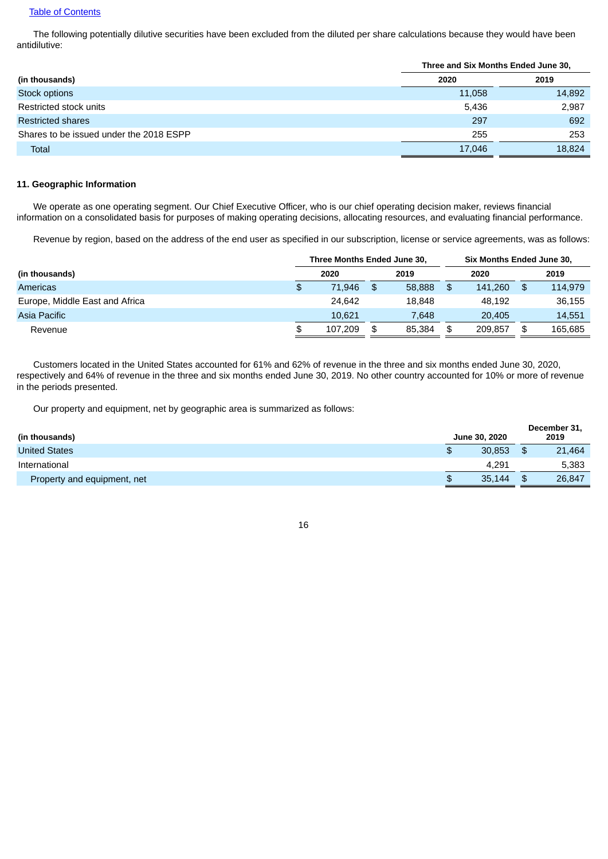The following potentially dilutive securities have been excluded from the diluted per share calculations because they would have been antidilutive:

|                                         | Three and Six Months Ended June 30, |        |
|-----------------------------------------|-------------------------------------|--------|
| (in thousands)                          | 2020                                | 2019   |
| Stock options                           | 11,058                              | 14,892 |
| Restricted stock units                  | 5,436                               | 2,987  |
| <b>Restricted shares</b>                | 297                                 | 692    |
| Shares to be issued under the 2018 ESPP | 255                                 | 253    |
| <b>Total</b>                            | 17,046                              | 18,824 |

## <span id="page-15-0"></span>**11. Geographic Information**

We operate as one operating segment. Our Chief Executive Officer, who is our chief operating decision maker, reviews financial information on a consolidated basis for purposes of making operating decisions, allocating resources, and evaluating financial performance.

Revenue by region, based on the address of the end user as specified in our subscription, license or service agreements, was as follows:

|                                | Three Months Ended June 30, |         |      |        | Six Months Ended June 30, |         |      |         |
|--------------------------------|-----------------------------|---------|------|--------|---------------------------|---------|------|---------|
| (in thousands)                 | 2020                        |         | 2019 |        | 2020                      |         | 2019 |         |
| Americas                       | \$                          | 71.946  |      | 58.888 | \$                        | 141,260 | \$   | 114,979 |
| Europe, Middle East and Africa |                             | 24.642  |      | 18.848 |                           | 48.192  |      | 36,155  |
| Asia Pacific                   |                             | 10.621  |      | 7.648  |                           | 20,405  |      | 14,551  |
| Revenue                        |                             | 107.209 |      | 85.384 | \$                        | 209.857 | \$   | 165.685 |

Customers located in the United States accounted for 61% and 62% of revenue in the three and six months ended June 30, 2020, respectively and 64% of revenue in the three and six months ended June 30, 2019. No other country accounted for 10% or more of revenue in the periods presented.

Our property and equipment, net by geographic area is summarized as follows:

| (in thousands)              | June 30, 2020 | December 31,<br>2019 |
|-----------------------------|---------------|----------------------|
| <b>United States</b>        | 30.853<br>\$  | \$<br>21.464         |
| International               | 4.291         | 5,383                |
| Property and equipment, net | 35.144<br>\$  | \$<br>26,847         |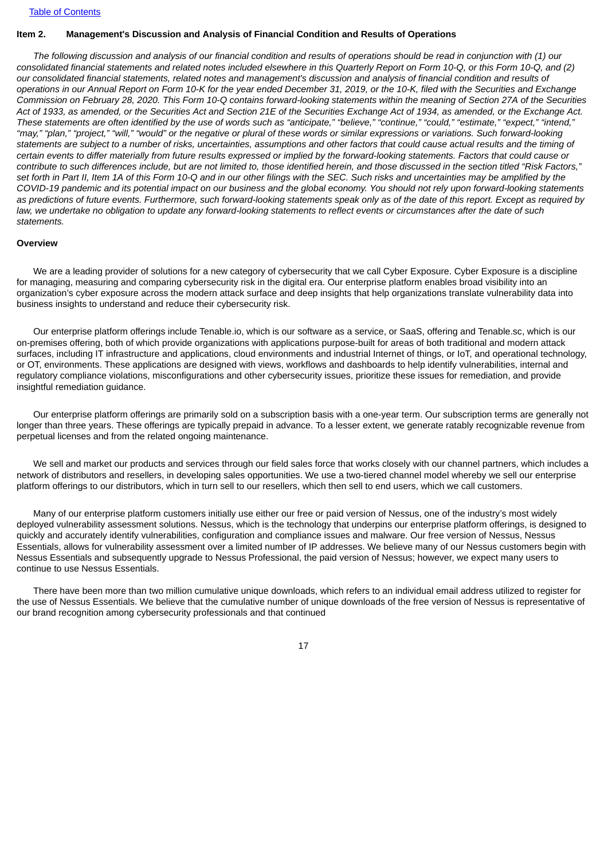#### <span id="page-16-0"></span>**Item 2. Management's Discussion and Analysis of Financial Condition and Results of Operations**

The following discussion and analysis of our financial condition and results of operations should be read in conjunction with (1) our consolidated financial statements and related notes included elsewhere in this Ouarterly Report on Form 10-O, or this Form 10-O, and (2) our consolidated financial statements, related notes and management's discussion and analysis of financial condition and results of operations in our Annual Report on Form 10-K for the year ended December 31, 2019, or the 10-K, filed with the Securities and Exchange Commission on February 28, 2020. This Form 10-O contains forward-looking statements within the meaning of Section 27A of the Securities Act of 1933, as amended, or the Securities Act and Section 21E of the Securities Exchange Act of 1934, as amended, or the Exchange Act. These statements are often identified by the use of words such as "anticipate," "believe," "continue," "could," "estimate," "expect," "intend," "may," "plan," "project," "will," "would" or the negative or plural of these words or similar expressions or variations. Such forward-looking statements are subject to a number of risks, uncertainties, assumptions and other factors that could cause actual results and the timing of certain events to differ materially from future results expressed or implied by the forward-looking statements. Factors that could cause or contribute to such differences include, but are not limited to, those identified herein, and those discussed in the section titled "Risk Factors." set forth in Part II, Item 1A of this Form 10-O and in our other filings with the SEC. Such risks and uncertainties may be amplified by the COVID-19 pandemic and its potential impact on our business and the global economy. You should not rely upon forward-looking statements as predictions of future events. Furthermore, such forward-looking statements speak only as of the date of this report. Except as required by law, we undertake no obligation to update any forward-looking statements to reflect events or circumstances after the date of such *statements.*

#### **Overview**

We are a leading provider of solutions for a new category of cybersecurity that we call Cyber Exposure. Cyber Exposure is a discipline for managing, measuring and comparing cybersecurity risk in the digital era. Our enterprise platform enables broad visibility into an organization's cyber exposure across the modern attack surface and deep insights that help organizations translate vulnerability data into business insights to understand and reduce their cybersecurity risk.

Our enterprise platform offerings include Tenable.io, which is our software as a service, or SaaS, offering and Tenable.sc, which is our on-premises offering, both of which provide organizations with applications purpose-built for areas of both traditional and modern attack surfaces, including IT infrastructure and applications, cloud environments and industrial Internet of things, or IoT, and operational technology, or OT, environments. These applications are designed with views, workflows and dashboards to help identify vulnerabilities, internal and regulatory compliance violations, misconfigurations and other cybersecurity issues, prioritize these issues for remediation, and provide insightful remediation guidance.

Our enterprise platform offerings are primarily sold on a subscription basis with a one-year term. Our subscription terms are generally not longer than three years. These offerings are typically prepaid in advance. To a lesser extent, we generate ratably recognizable revenue from perpetual licenses and from the related ongoing maintenance.

We sell and market our products and services through our field sales force that works closely with our channel partners, which includes a network of distributors and resellers, in developing sales opportunities. We use a two-tiered channel model whereby we sell our enterprise platform offerings to our distributors, which in turn sell to our resellers, which then sell to end users, which we call customers.

Many of our enterprise platform customers initially use either our free or paid version of Nessus, one of the industry's most widely deployed vulnerability assessment solutions. Nessus, which is the technology that underpins our enterprise platform offerings, is designed to quickly and accurately identify vulnerabilities, configuration and compliance issues and malware. Our free version of Nessus, Nessus Essentials, allows for vulnerability assessment over a limited number of IP addresses. We believe many of our Nessus customers begin with Nessus Essentials and subsequently upgrade to Nessus Professional, the paid version of Nessus; however, we expect many users to continue to use Nessus Essentials.

There have been more than two million cumulative unique downloads, which refers to an individual email address utilized to register for the use of Nessus Essentials. We believe that the cumulative number of unique downloads of the free version of Nessus is representative of our brand recognition among cybersecurity professionals and that continued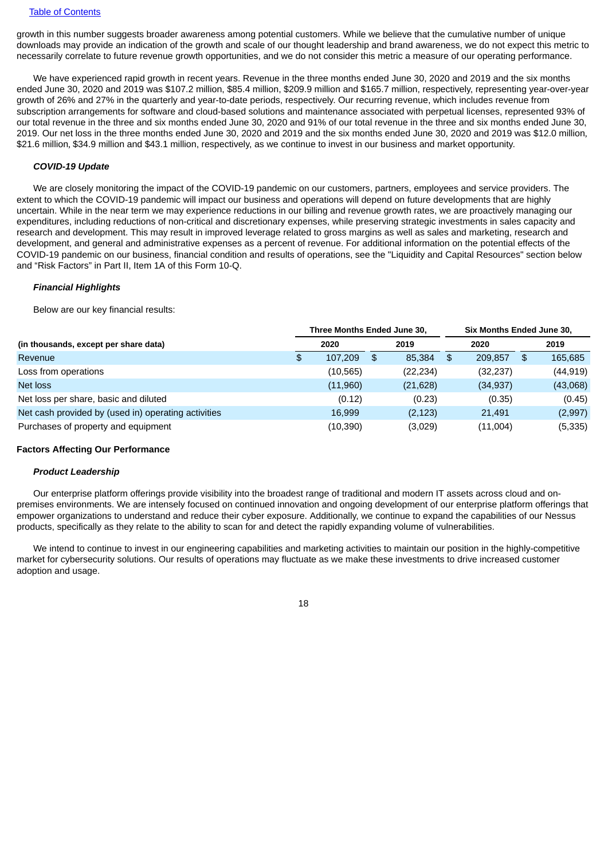growth in this number suggests broader awareness among potential customers. While we believe that the cumulative number of unique downloads may provide an indication of the growth and scale of our thought leadership and brand awareness, we do not expect this metric to necessarily correlate to future revenue growth opportunities, and we do not consider this metric a measure of our operating performance.

We have experienced rapid growth in recent years. Revenue in the three months ended June 30, 2020 and 2019 and the six months ended June 30, 2020 and 2019 was \$107.2 million, \$85.4 million, \$209.9 million and \$165.7 million, respectively, representing year-over-year growth of 26% and 27% in the quarterly and year-to-date periods, respectively. Our recurring revenue, which includes revenue from subscription arrangements for software and cloud-based solutions and maintenance associated with perpetual licenses, represented 93% of our total revenue in the three and six months ended June 30, 2020 and 91% of our total revenue in the three and six months ended June 30, 2019. Our net loss in the three months ended June 30, 2020 and 2019 and the six months ended June 30, 2020 and 2019 was \$12.0 million, \$21.6 million, \$34.9 million and \$43.1 million, respectively, as we continue to invest in our business and market opportunity.

#### *COVID-19 Update*

We are closely monitoring the impact of the COVID-19 pandemic on our customers, partners, employees and service providers. The extent to which the COVID-19 pandemic will impact our business and operations will depend on future developments that are highly uncertain. While in the near term we may experience reductions in our billing and revenue growth rates, we are proactively managing our expenditures, including reductions of non-critical and discretionary expenses, while preserving strategic investments in sales capacity and research and development. This may result in improved leverage related to gross margins as well as sales and marketing, research and development, and general and administrative expenses as a percent of revenue. For additional information on the potential effects of the COVID-19 pandemic on our business, financial condition and results of operations, see the "Liquidity and Capital Resources" section below and "Risk Factors" in Part II, Item 1A of this Form 10-Q.

#### *Financial Highlights*

Below are our key financial results:

|                                                     | Three Months Ended June 30, |           |    |           | Six Months Ended June 30. |           |                |           |
|-----------------------------------------------------|-----------------------------|-----------|----|-----------|---------------------------|-----------|----------------|-----------|
| (in thousands, except per share data)               |                             | 2020      |    | 2019      |                           | 2020      |                | 2019      |
| Revenue                                             | \$                          | 107.209   | \$ | 85.384    | -\$                       | 209.857   | $\mathfrak{L}$ | 165,685   |
| Loss from operations                                |                             | (10, 565) |    | (22,234)  |                           | (32, 237) |                | (44, 919) |
| Net loss                                            |                             | (11,960)  |    | (21, 628) |                           | (34, 937) |                | (43,068)  |
| Net loss per share, basic and diluted               |                             | (0.12)    |    | (0.23)    |                           | (0.35)    |                | (0.45)    |
| Net cash provided by (used in) operating activities |                             | 16.999    |    | (2, 123)  |                           | 21,491    |                | (2,997)   |
| Purchases of property and equipment                 |                             | (10, 390) |    | (3,029)   |                           | (11,004)  |                | (5, 335)  |

## **Factors Affecting Our Performance**

#### *Product Leadership*

Our enterprise platform offerings provide visibility into the broadest range of traditional and modern IT assets across cloud and onpremises environments. We are intensely focused on continued innovation and ongoing development of our enterprise platform offerings that empower organizations to understand and reduce their cyber exposure. Additionally, we continue to expand the capabilities of our Nessus products, specifically as they relate to the ability to scan for and detect the rapidly expanding volume of vulnerabilities.

We intend to continue to invest in our engineering capabilities and marketing activities to maintain our position in the highly-competitive market for cybersecurity solutions. Our results of operations may fluctuate as we make these investments to drive increased customer adoption and usage.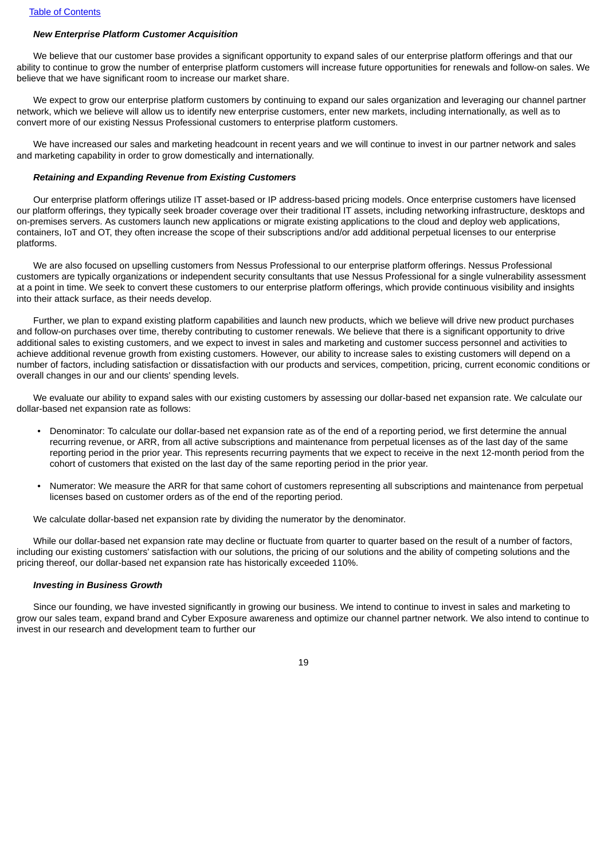## *New Enterprise Platform Customer Acquisition*

We believe that our customer base provides a significant opportunity to expand sales of our enterprise platform offerings and that our ability to continue to grow the number of enterprise platform customers will increase future opportunities for renewals and follow-on sales. We believe that we have significant room to increase our market share.

We expect to grow our enterprise platform customers by continuing to expand our sales organization and leveraging our channel partner network, which we believe will allow us to identify new enterprise customers, enter new markets, including internationally, as well as to convert more of our existing Nessus Professional customers to enterprise platform customers.

We have increased our sales and marketing headcount in recent years and we will continue to invest in our partner network and sales and marketing capability in order to grow domestically and internationally.

#### *Retaining and Expanding Revenue from Existing Customers*

Our enterprise platform offerings utilize IT asset-based or IP address-based pricing models. Once enterprise customers have licensed our platform offerings, they typically seek broader coverage over their traditional IT assets, including networking infrastructure, desktops and on-premises servers. As customers launch new applications or migrate existing applications to the cloud and deploy web applications, containers, IoT and OT, they often increase the scope of their subscriptions and/or add additional perpetual licenses to our enterprise platforms.

We are also focused on upselling customers from Nessus Professional to our enterprise platform offerings. Nessus Professional customers are typically organizations or independent security consultants that use Nessus Professional for a single vulnerability assessment at a point in time. We seek to convert these customers to our enterprise platform offerings, which provide continuous visibility and insights into their attack surface, as their needs develop.

Further, we plan to expand existing platform capabilities and launch new products, which we believe will drive new product purchases and follow-on purchases over time, thereby contributing to customer renewals. We believe that there is a significant opportunity to drive additional sales to existing customers, and we expect to invest in sales and marketing and customer success personnel and activities to achieve additional revenue growth from existing customers. However, our ability to increase sales to existing customers will depend on a number of factors, including satisfaction or dissatisfaction with our products and services, competition, pricing, current economic conditions or overall changes in our and our clients' spending levels.

We evaluate our ability to expand sales with our existing customers by assessing our dollar-based net expansion rate. We calculate our dollar-based net expansion rate as follows:

- Denominator: To calculate our dollar-based net expansion rate as of the end of a reporting period, we first determine the annual recurring revenue, or ARR, from all active subscriptions and maintenance from perpetual licenses as of the last day of the same reporting period in the prior year. This represents recurring payments that we expect to receive in the next 12-month period from the cohort of customers that existed on the last day of the same reporting period in the prior year.
- Numerator: We measure the ARR for that same cohort of customers representing all subscriptions and maintenance from perpetual licenses based on customer orders as of the end of the reporting period.

We calculate dollar-based net expansion rate by dividing the numerator by the denominator.

While our dollar-based net expansion rate may decline or fluctuate from quarter to quarter based on the result of a number of factors, including our existing customers' satisfaction with our solutions, the pricing of our solutions and the ability of competing solutions and the pricing thereof, our dollar-based net expansion rate has historically exceeded 110%.

## *Investing in Business Growth*

Since our founding, we have invested significantly in growing our business. We intend to continue to invest in sales and marketing to grow our sales team, expand brand and Cyber Exposure awareness and optimize our channel partner network. We also intend to continue to invest in our research and development team to further our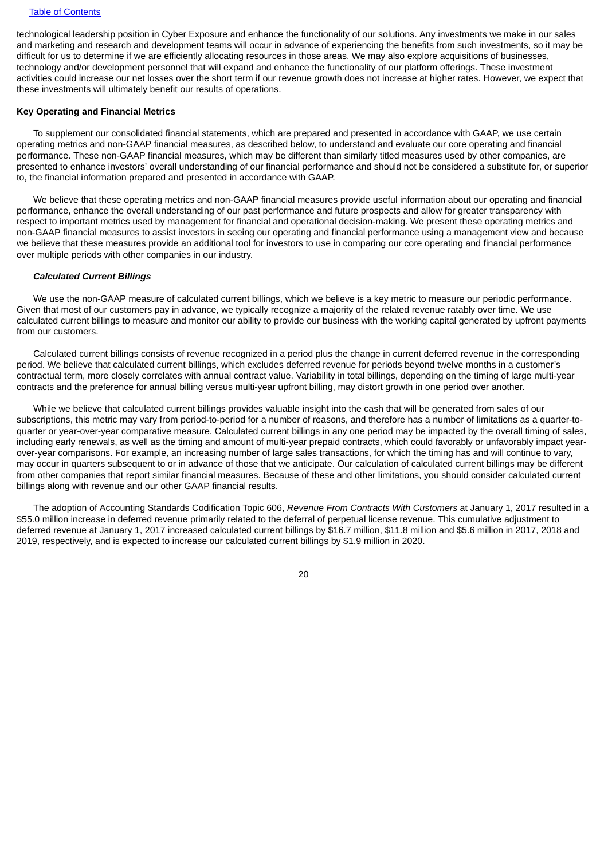technological leadership position in Cyber Exposure and enhance the functionality of our solutions. Any investments we make in our sales and marketing and research and development teams will occur in advance of experiencing the benefits from such investments, so it may be difficult for us to determine if we are efficiently allocating resources in those areas. We may also explore acquisitions of businesses, technology and/or development personnel that will expand and enhance the functionality of our platform offerings. These investment activities could increase our net losses over the short term if our revenue growth does not increase at higher rates. However, we expect that these investments will ultimately benefit our results of operations.

#### **Key Operating and Financial Metrics**

To supplement our consolidated financial statements, which are prepared and presented in accordance with GAAP, we use certain operating metrics and non-GAAP financial measures, as described below, to understand and evaluate our core operating and financial performance. These non-GAAP financial measures, which may be different than similarly titled measures used by other companies, are presented to enhance investors' overall understanding of our financial performance and should not be considered a substitute for, or superior to, the financial information prepared and presented in accordance with GAAP.

We believe that these operating metrics and non-GAAP financial measures provide useful information about our operating and financial performance, enhance the overall understanding of our past performance and future prospects and allow for greater transparency with respect to important metrics used by management for financial and operational decision-making. We present these operating metrics and non-GAAP financial measures to assist investors in seeing our operating and financial performance using a management view and because we believe that these measures provide an additional tool for investors to use in comparing our core operating and financial performance over multiple periods with other companies in our industry.

#### *Calculated Current Billings*

We use the non-GAAP measure of calculated current billings, which we believe is a key metric to measure our periodic performance. Given that most of our customers pay in advance, we typically recognize a majority of the related revenue ratably over time. We use calculated current billings to measure and monitor our ability to provide our business with the working capital generated by upfront payments from our customers.

Calculated current billings consists of revenue recognized in a period plus the change in current deferred revenue in the corresponding period. We believe that calculated current billings, which excludes deferred revenue for periods beyond twelve months in a customer's contractual term, more closely correlates with annual contract value. Variability in total billings, depending on the timing of large multi-year contracts and the preference for annual billing versus multi-year upfront billing, may distort growth in one period over another.

While we believe that calculated current billings provides valuable insight into the cash that will be generated from sales of our subscriptions, this metric may vary from period-to-period for a number of reasons, and therefore has a number of limitations as a quarter-toquarter or year-over-year comparative measure. Calculated current billings in any one period may be impacted by the overall timing of sales, including early renewals, as well as the timing and amount of multi-year prepaid contracts, which could favorably or unfavorably impact yearover-year comparisons. For example, an increasing number of large sales transactions, for which the timing has and will continue to vary, may occur in quarters subsequent to or in advance of those that we anticipate. Our calculation of calculated current billings may be different from other companies that report similar financial measures. Because of these and other limitations, you should consider calculated current billings along with revenue and our other GAAP financial results.

The adoption of Accounting Standards Codification Topic 606, *Revenue From Contracts With Customers* at January 1, 2017 resulted in a \$55.0 million increase in deferred revenue primarily related to the deferral of perpetual license revenue. This cumulative adjustment to deferred revenue at January 1, 2017 increased calculated current billings by \$16.7 million, \$11.8 million and \$5.6 million in 2017, 2018 and 2019, respectively, and is expected to increase our calculated current billings by \$1.9 million in 2020.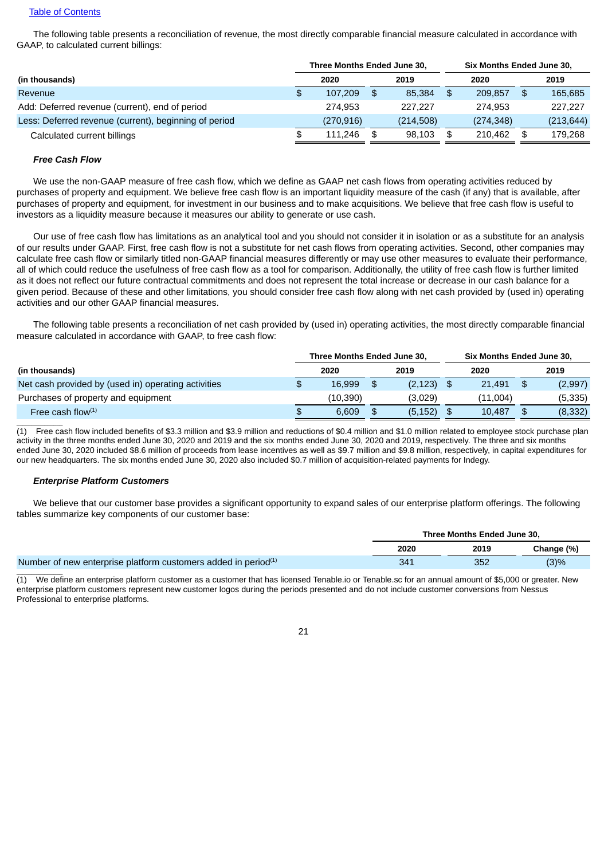The following table presents a reconciliation of revenue, the most directly comparable financial measure calculated in accordance with GAAP, to calculated current billings:

| Three Months Ended June 30,                           |      |            |      |           | Six Months Ended June 30, |            |      |            |
|-------------------------------------------------------|------|------------|------|-----------|---------------------------|------------|------|------------|
| (in thousands)                                        | 2020 |            | 2019 |           | 2020                      |            | 2019 |            |
| Revenue                                               | \$   | 107.209    |      | 85,384    |                           | 209.857    |      | 165,685    |
| Add: Deferred revenue (current), end of period        |      | 274.953    |      | 227,227   |                           | 274.953    |      | 227,227    |
| Less: Deferred revenue (current), beginning of period |      | (270, 916) |      | (214.508) |                           | (274, 348) |      | (213, 644) |
| Calculated current billings                           |      | 111.246    |      | 98.103    |                           | 210.462    |      | 179,268    |

#### *Free Cash Flow*

We use the non-GAAP measure of free cash flow, which we define as GAAP net cash flows from operating activities reduced by purchases of property and equipment. We believe free cash flow is an important liquidity measure of the cash (if any) that is available, after purchases of property and equipment, for investment in our business and to make acquisitions. We believe that free cash flow is useful to investors as a liquidity measure because it measures our ability to generate or use cash.

Our use of free cash flow has limitations as an analytical tool and you should not consider it in isolation or as a substitute for an analysis of our results under GAAP. First, free cash flow is not a substitute for net cash flows from operating activities. Second, other companies may calculate free cash flow or similarly titled non-GAAP financial measures differently or may use other measures to evaluate their performance, all of which could reduce the usefulness of free cash flow as a tool for comparison. Additionally, the utility of free cash flow is further limited as it does not reflect our future contractual commitments and does not represent the total increase or decrease in our cash balance for a given period. Because of these and other limitations, you should consider free cash flow along with net cash provided by (used in) operating activities and our other GAAP financial measures.

The following table presents a reconciliation of net cash provided by (used in) operating activities, the most directly comparable financial measure calculated in accordance with GAAP, to free cash flow:

|                                                     | Three Months Ended June 30, |          |  |          |  | Six Months Ended June 30, |  |          |  |
|-----------------------------------------------------|-----------------------------|----------|--|----------|--|---------------------------|--|----------|--|
| (in thousands)                                      |                             | 2020     |  | 2019     |  | 2020                      |  | 2019     |  |
| Net cash provided by (used in) operating activities |                             | 16.999   |  | (2, 123) |  | 21.491                    |  | (2,997)  |  |
| Purchases of property and equipment                 |                             | (10.390) |  | (3,029)  |  | (11,004)                  |  | (5, 335) |  |
| Free cash flow $(1)$                                |                             | 6.609    |  | (5, 152) |  | 10.487                    |  | (8, 332) |  |

(1) Free cash flow included benefits of \$3.3 million and \$3.9 million and reductions of \$0.4 million and \$1.0 million related to employee stock purchase plan activity in the three months ended June 30, 2020 and 2019 and the six months ended June 30, 2020 and 2019, respectively. The three and six months ended June 30, 2020 included \$8.6 million of proceeds from lease incentives as well as \$9.7 million and \$9.8 million, respectively, in capital expenditures for our new headquarters. The six months ended June 30, 2020 also included \$0.7 million of acquisition-related payments for Indegy.

#### *Enterprise Platform Customers*

We believe that our customer base provides a significant opportunity to expand sales of our enterprise platform offerings. The following tables summarize key components of our customer base:

|                                                                   |      | Three Months Ended June 30, |            |  |  |  |  |  |
|-------------------------------------------------------------------|------|-----------------------------|------------|--|--|--|--|--|
|                                                                   | 2020 | 2019                        | Change (%) |  |  |  |  |  |
| Number of new enterprise platform customers added in period $(1)$ | 341  | 352                         | (3)%       |  |  |  |  |  |
|                                                                   |      |                             |            |  |  |  |  |  |

(1) We define an enterprise platform customer as a customer that has licensed Tenable.io or Tenable.sc for an annual amount of \$5,000 or greater. New enterprise platform customers represent new customer logos during the periods presented and do not include customer conversions from Nessus Professional to enterprise platforms.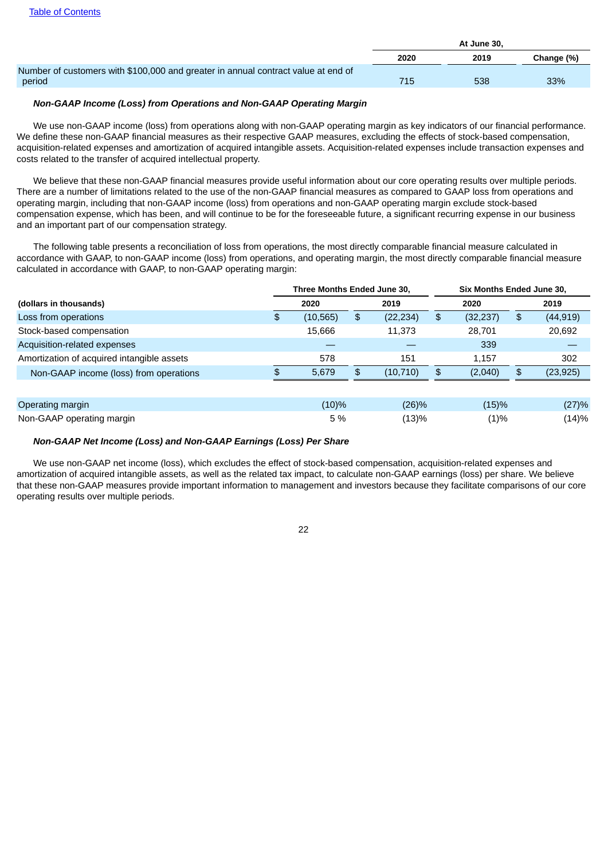|                                                                                   |      | At June 30. |                   |
|-----------------------------------------------------------------------------------|------|-------------|-------------------|
|                                                                                   | 2020 | 2019        | <b>Change (%)</b> |
| Number of customers with \$100,000 and greater in annual contract value at end of |      |             |                   |
| period                                                                            | 715  | 538         | 33%               |

## *Non-GAAP Income (Loss) from Operations and Non-GAAP Operating Margin*

We use non-GAAP income (loss) from operations along with non-GAAP operating margin as key indicators of our financial performance. We define these non-GAAP financial measures as their respective GAAP measures, excluding the effects of stock-based compensation, acquisition-related expenses and amortization of acquired intangible assets. Acquisition-related expenses include transaction expenses and costs related to the transfer of acquired intellectual property.

We believe that these non-GAAP financial measures provide useful information about our core operating results over multiple periods. There are a number of limitations related to the use of the non-GAAP financial measures as compared to GAAP loss from operations and operating margin, including that non-GAAP income (loss) from operations and non-GAAP operating margin exclude stock-based compensation expense, which has been, and will continue to be for the foreseeable future, a significant recurring expense in our business and an important part of our compensation strategy.

The following table presents a reconciliation of loss from operations, the most directly comparable financial measure calculated in accordance with GAAP, to non-GAAP income (loss) from operations, and operating margin, the most directly comparable financial measure calculated in accordance with GAAP, to non-GAAP operating margin:

|                                            | Three Months Ended June 30, |    |           | Six Months Ended June 30, |           |     |           |  |
|--------------------------------------------|-----------------------------|----|-----------|---------------------------|-----------|-----|-----------|--|
| (dollars in thousands)                     | 2020                        |    | 2019      |                           | 2020      |     | 2019      |  |
| Loss from operations                       | \$<br>(10, 565)             | \$ | (22, 234) | \$                        | (32, 237) | \$  | (44, 919) |  |
| Stock-based compensation                   | 15,666                      |    | 11,373    |                           | 28,701    |     | 20,692    |  |
| Acquisition-related expenses               |                             |    |           |                           | 339       |     |           |  |
| Amortization of acquired intangible assets | 578                         |    | 151       |                           | 1,157     |     | 302       |  |
| Non-GAAP income (loss) from operations     | 5,679                       | \$ | (10, 710) | \$                        | (2,040)   | \$. | (23, 925) |  |
|                                            |                             |    |           |                           |           |     |           |  |
| Operating margin                           | (10)%                       |    | (26)%     |                           | (15)%     |     | (27)%     |  |
| Non-GAAP operating margin                  | 5 %                         |    | (13)%     |                           | (1)%      |     | (14)%     |  |

## *Non-GAAP Net Income (Loss) and Non-GAAP Earnings (Loss) Per Share*

We use non-GAAP net income (loss), which excludes the effect of stock-based compensation, acquisition-related expenses and amortization of acquired intangible assets, as well as the related tax impact, to calculate non-GAAP earnings (loss) per share. We believe that these non-GAAP measures provide important information to management and investors because they facilitate comparisons of our core operating results over multiple periods.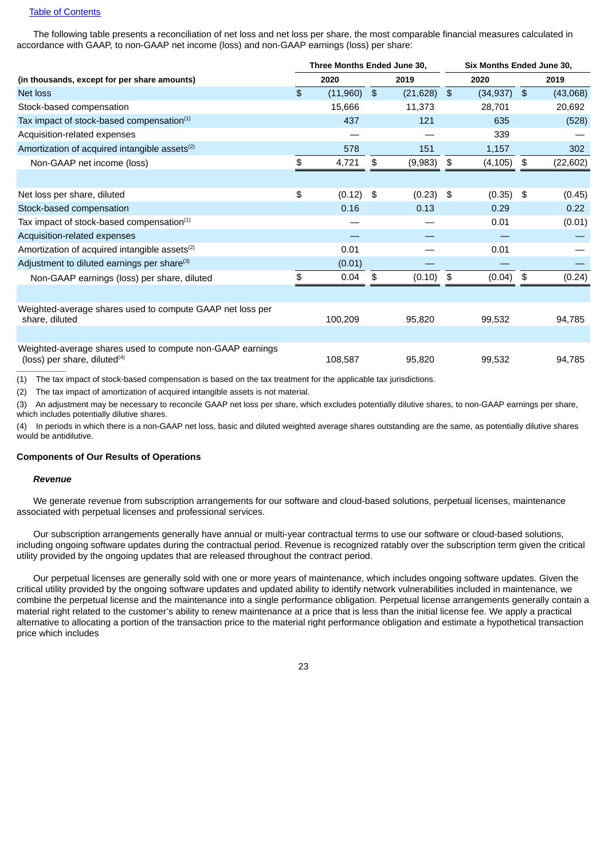The following table presents a reconciliation of net loss and net loss per share, the most comparable financial measures calculated in accordance with GAAP, to non-GAAP net income (loss) and non-GAAP earnings (loss) per share:

|                                                                                              | Three Months Ended June 30, |                            | Six Months Ended June 30, |               |           |      |           |
|----------------------------------------------------------------------------------------------|-----------------------------|----------------------------|---------------------------|---------------|-----------|------|-----------|
| (in thousands, except for per share amounts)                                                 | 2020                        |                            | 2019                      | 2020          |           | 2019 |           |
| Net loss                                                                                     | \$<br>(11,960)              | \$                         | (21, 628)                 | $\frac{3}{2}$ | (34, 937) | \$   | (43,068)  |
| Stock-based compensation                                                                     | 15,666                      |                            | 11,373                    |               | 28,701    |      | 20,692    |
| Tax impact of stock-based compensation <sup>(1)</sup>                                        | 437                         |                            | 121                       |               | 635       |      | (528)     |
| Acquisition-related expenses                                                                 |                             |                            |                           |               | 339       |      |           |
| Amortization of acquired intangible assets <sup>(2)</sup>                                    | 578                         |                            | 151                       |               | 1,157     |      | 302       |
| Non-GAAP net income (loss)                                                                   | \$<br>4,721                 | $\boldsymbol{\mathsf{\$}}$ | (9,983)                   | \$            | (4, 105)  | \$   | (22, 602) |
|                                                                                              |                             |                            |                           |               |           |      |           |
| Net loss per share, diluted                                                                  | \$<br>(0.12)                | \$                         | (0.23)                    | \$            | (0.35)    | \$   | (0.45)    |
| Stock-based compensation                                                                     | 0.16                        |                            | 0.13                      |               | 0.29      |      | 0.22      |
| Tax impact of stock-based compensation <sup>(1)</sup>                                        |                             |                            |                           |               | 0.01      |      | (0.01)    |
| Acquisition-related expenses                                                                 |                             |                            |                           |               |           |      |           |
| Amortization of acquired intangible assets $(2)$                                             | 0.01                        |                            |                           |               | 0.01      |      |           |
| Adjustment to diluted earnings per share <sup>(3)</sup>                                      | (0.01)                      |                            |                           |               |           |      |           |
| Non-GAAP earnings (loss) per share, diluted                                                  | 0.04                        | \$                         | (0.10)                    | \$            | (0.04)    | \$   | (0.24)    |
|                                                                                              |                             |                            |                           |               |           |      |           |
| Weighted-average shares used to compute GAAP net loss per<br>share, diluted                  | 100,209                     |                            | 95,820                    |               | 99,532    |      | 94,785    |
|                                                                                              |                             |                            |                           |               |           |      |           |
| Weighted-average shares used to compute non-GAAP earnings<br>(loss) per share, diluted $(4)$ | 108,587                     |                            | 95,820                    |               | 99,532    |      | 94.785    |

(1) The tax impact of stock-based compensation is based on the tax treatment for the applicable tax jurisdictions.

(2) The tax impact of amortization of acquired intangible assets is not material.

(3) An adjustment may be necessary to reconcile GAAP net loss per share, which excludes potentially dilutive shares, to non-GAAP earnings per share, which includes potentially dilutive shares.

(4) In periods in which there is a non-GAAP net loss, basic and diluted weighted average shares outstanding are the same, as potentially dilutive shares would be antidilutive.

## **Components of Our Results of Operations**

#### *Revenue*

We generate revenue from subscription arrangements for our software and cloud-based solutions, perpetual licenses, maintenance associated with perpetual licenses and professional services.

Our subscription arrangements generally have annual or multi-year contractual terms to use our software or cloud-based solutions, including ongoing software updates during the contractual period. Revenue is recognized ratably over the subscription term given the critical utility provided by the ongoing updates that are released throughout the contract period.

Our perpetual licenses are generally sold with one or more years of maintenance, which includes ongoing software updates. Given the critical utility provided by the ongoing software updates and updated ability to identify network vulnerabilities included in maintenance, we combine the perpetual license and the maintenance into a single performance obligation. Perpetual license arrangements generally contain a material right related to the customer's ability to renew maintenance at a price that is less than the initial license fee. We apply a practical alternative to allocating a portion of the transaction price to the material right performance obligation and estimate a hypothetical transaction price which includes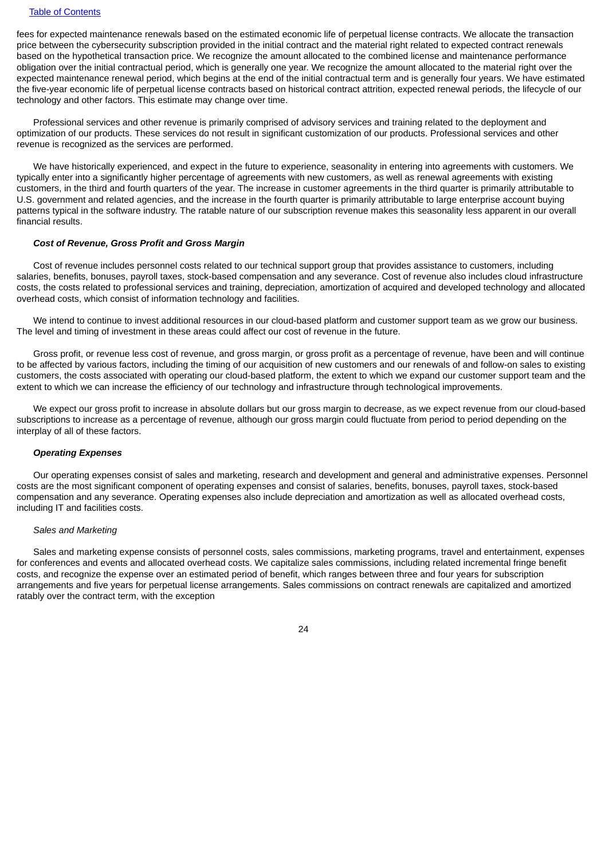fees for expected maintenance renewals based on the estimated economic life of perpetual license contracts. We allocate the transaction price between the cybersecurity subscription provided in the initial contract and the material right related to expected contract renewals based on the hypothetical transaction price. We recognize the amount allocated to the combined license and maintenance performance obligation over the initial contractual period, which is generally one year. We recognize the amount allocated to the material right over the expected maintenance renewal period, which begins at the end of the initial contractual term and is generally four years. We have estimated the five-year economic life of perpetual license contracts based on historical contract attrition, expected renewal periods, the lifecycle of our technology and other factors. This estimate may change over time.

Professional services and other revenue is primarily comprised of advisory services and training related to the deployment and optimization of our products. These services do not result in significant customization of our products. Professional services and other revenue is recognized as the services are performed.

We have historically experienced, and expect in the future to experience, seasonality in entering into agreements with customers. We typically enter into a significantly higher percentage of agreements with new customers, as well as renewal agreements with existing customers, in the third and fourth quarters of the year. The increase in customer agreements in the third quarter is primarily attributable to U.S. government and related agencies, and the increase in the fourth quarter is primarily attributable to large enterprise account buying patterns typical in the software industry. The ratable nature of our subscription revenue makes this seasonality less apparent in our overall financial results.

#### *Cost of Revenue, Gross Profit and Gross Margin*

Cost of revenue includes personnel costs related to our technical support group that provides assistance to customers, including salaries, benefits, bonuses, payroll taxes, stock-based compensation and any severance. Cost of revenue also includes cloud infrastructure costs, the costs related to professional services and training, depreciation, amortization of acquired and developed technology and allocated overhead costs, which consist of information technology and facilities.

We intend to continue to invest additional resources in our cloud-based platform and customer support team as we grow our business. The level and timing of investment in these areas could affect our cost of revenue in the future.

Gross profit, or revenue less cost of revenue, and gross margin, or gross profit as a percentage of revenue, have been and will continue to be affected by various factors, including the timing of our acquisition of new customers and our renewals of and follow-on sales to existing customers, the costs associated with operating our cloud-based platform, the extent to which we expand our customer support team and the extent to which we can increase the efficiency of our technology and infrastructure through technological improvements.

We expect our gross profit to increase in absolute dollars but our gross margin to decrease, as we expect revenue from our cloud-based subscriptions to increase as a percentage of revenue, although our gross margin could fluctuate from period to period depending on the interplay of all of these factors.

## *Operating Expenses*

Our operating expenses consist of sales and marketing, research and development and general and administrative expenses. Personnel costs are the most significant component of operating expenses and consist of salaries, benefits, bonuses, payroll taxes, stock-based compensation and any severance. Operating expenses also include depreciation and amortization as well as allocated overhead costs, including IT and facilities costs.

#### *Sales and Marketing*

Sales and marketing expense consists of personnel costs, sales commissions, marketing programs, travel and entertainment, expenses for conferences and events and allocated overhead costs. We capitalize sales commissions, including related incremental fringe benefit costs, and recognize the expense over an estimated period of benefit, which ranges between three and four years for subscription arrangements and five years for perpetual license arrangements. Sales commissions on contract renewals are capitalized and amortized ratably over the contract term, with the exception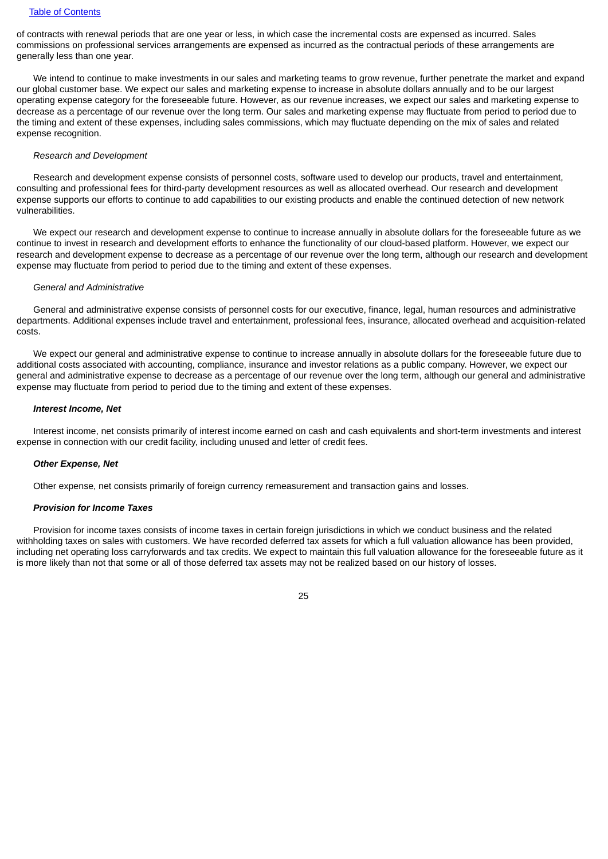of contracts with renewal periods that are one year or less, in which case the incremental costs are expensed as incurred. Sales commissions on professional services arrangements are expensed as incurred as the contractual periods of these arrangements are generally less than one year.

We intend to continue to make investments in our sales and marketing teams to grow revenue, further penetrate the market and expand our global customer base. We expect our sales and marketing expense to increase in absolute dollars annually and to be our largest operating expense category for the foreseeable future. However, as our revenue increases, we expect our sales and marketing expense to decrease as a percentage of our revenue over the long term. Our sales and marketing expense may fluctuate from period to period due to the timing and extent of these expenses, including sales commissions, which may fluctuate depending on the mix of sales and related expense recognition.

#### *Research and Development*

Research and development expense consists of personnel costs, software used to develop our products, travel and entertainment, consulting and professional fees for third-party development resources as well as allocated overhead. Our research and development expense supports our efforts to continue to add capabilities to our existing products and enable the continued detection of new network vulnerabilities.

We expect our research and development expense to continue to increase annually in absolute dollars for the foreseeable future as we continue to invest in research and development efforts to enhance the functionality of our cloud-based platform. However, we expect our research and development expense to decrease as a percentage of our revenue over the long term, although our research and development expense may fluctuate from period to period due to the timing and extent of these expenses.

#### *General and Administrative*

General and administrative expense consists of personnel costs for our executive, finance, legal, human resources and administrative departments. Additional expenses include travel and entertainment, professional fees, insurance, allocated overhead and acquisition-related costs.

We expect our general and administrative expense to continue to increase annually in absolute dollars for the foreseeable future due to additional costs associated with accounting, compliance, insurance and investor relations as a public company. However, we expect our general and administrative expense to decrease as a percentage of our revenue over the long term, although our general and administrative expense may fluctuate from period to period due to the timing and extent of these expenses.

#### *Interest Income, Net*

Interest income, net consists primarily of interest income earned on cash and cash equivalents and short-term investments and interest expense in connection with our credit facility, including unused and letter of credit fees.

#### *Other Expense, Net*

Other expense, net consists primarily of foreign currency remeasurement and transaction gains and losses.

#### *Provision for Income Taxes*

Provision for income taxes consists of income taxes in certain foreign jurisdictions in which we conduct business and the related withholding taxes on sales with customers. We have recorded deferred tax assets for which a full valuation allowance has been provided, including net operating loss carryforwards and tax credits. We expect to maintain this full valuation allowance for the foreseeable future as it is more likely than not that some or all of those deferred tax assets may not be realized based on our history of losses.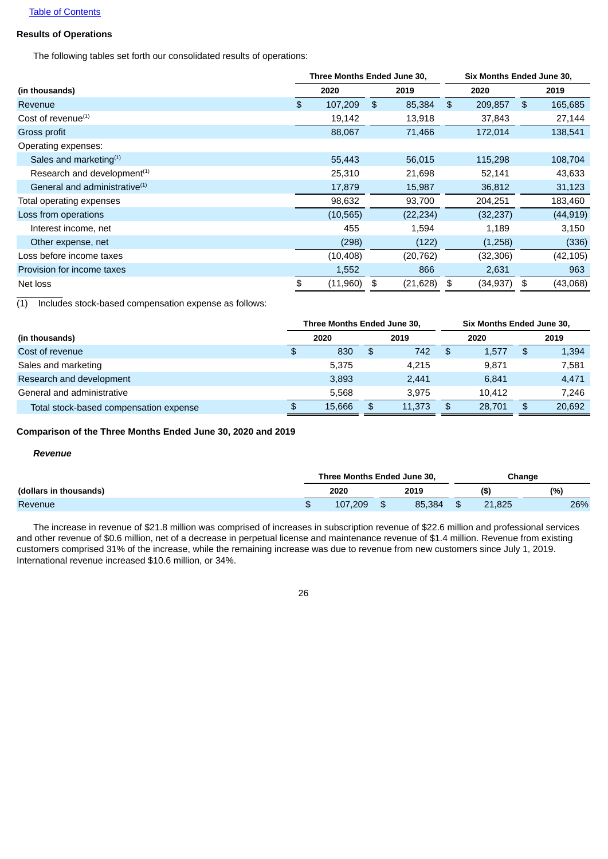## **Results of Operations**

The following tables set forth our consolidated results of operations:

|                                           | Three Months Ended June 30, |           |    |           |    | Six Months Ended June 30, |    |           |  |
|-------------------------------------------|-----------------------------|-----------|----|-----------|----|---------------------------|----|-----------|--|
| (in thousands)                            |                             | 2020      |    | 2019      |    | 2020                      |    | 2019      |  |
| Revenue                                   | \$                          | 107,209   | \$ | 85,384    | \$ | 209,857                   | \$ | 165,685   |  |
| Cost of revenue <sup>(1)</sup>            |                             | 19,142    |    | 13,918    |    | 37,843                    |    | 27,144    |  |
| Gross profit                              |                             | 88,067    |    | 71,466    |    | 172,014                   |    | 138,541   |  |
| Operating expenses:                       |                             |           |    |           |    |                           |    |           |  |
| Sales and marketing <sup>(1)</sup>        |                             | 55,443    |    | 56,015    |    | 115,298                   |    | 108,704   |  |
| Research and development <sup>(1)</sup>   |                             | 25,310    |    | 21,698    |    | 52,141                    |    | 43,633    |  |
| General and administrative <sup>(1)</sup> |                             | 17,879    |    | 15,987    |    | 36,812                    |    | 31,123    |  |
| Total operating expenses                  |                             | 98,632    |    | 93,700    |    | 204,251                   |    | 183,460   |  |
| Loss from operations                      |                             | (10, 565) |    | (22, 234) |    | (32, 237)                 |    | (44, 919) |  |
| Interest income, net                      |                             | 455       |    | 1,594     |    | 1,189                     |    | 3,150     |  |
| Other expense, net                        |                             | (298)     |    | (122)     |    | (1,258)                   |    | (336)     |  |
| Loss before income taxes                  |                             | (10, 408) |    | (20, 762) |    | (32, 306)                 |    | (42, 105) |  |
| Provision for income taxes                |                             | 1,552     |    | 866       |    | 2,631                     |    | 963       |  |
| Net loss                                  | \$                          | (11,960)  | \$ | (21, 628) | \$ | (34, 937)                 | \$ | (43,068)  |  |

 $\mathcal{L}_\text{max}$ (1) Includes stock-based compensation expense as follows:

|                                        |              | Three Months Ended June 30, |              | Six Months Ended June 30, |        |    |        |
|----------------------------------------|--------------|-----------------------------|--------------|---------------------------|--------|----|--------|
| (in thousands)                         | 2020<br>2019 |                             |              | 2020                      | 2019   |    |        |
| Cost of revenue                        | \$           | 830                         | \$<br>742.   | \$                        | 1.577  | \$ | 1,394  |
| Sales and marketing                    |              | 5.375                       | 4.215        |                           | 9.871  |    | 7.581  |
| Research and development               |              | 3.893                       | 2.441        |                           | 6.841  |    | 4,471  |
| General and administrative             |              | 5.568                       | 3.975        |                           | 10.412 |    | 7.246  |
| Total stock-based compensation expense | \$           | 15.666                      | \$<br>11,373 | \$                        | 28,701 | \$ | 20.692 |

## **Comparison of the Three Months Ended June 30, 2020 and 2019**

## *Revenue*

|                        | Three Months Ended June 30, |         |  | Change |  |        |      |
|------------------------|-----------------------------|---------|--|--------|--|--------|------|
| (dollars in thousands) |                             | 2020    |  | 2019   |  | (5)    | (% ) |
| Revenue                |                             | 107.209 |  | 85.384 |  | 21.825 | 26%  |

The increase in revenue of \$21.8 million was comprised of increases in subscription revenue of \$22.6 million and professional services and other revenue of \$0.6 million, net of a decrease in perpetual license and maintenance revenue of \$1.4 million. Revenue from existing customers comprised 31% of the increase, while the remaining increase was due to revenue from new customers since July 1, 2019. International revenue increased \$10.6 million, or 34%.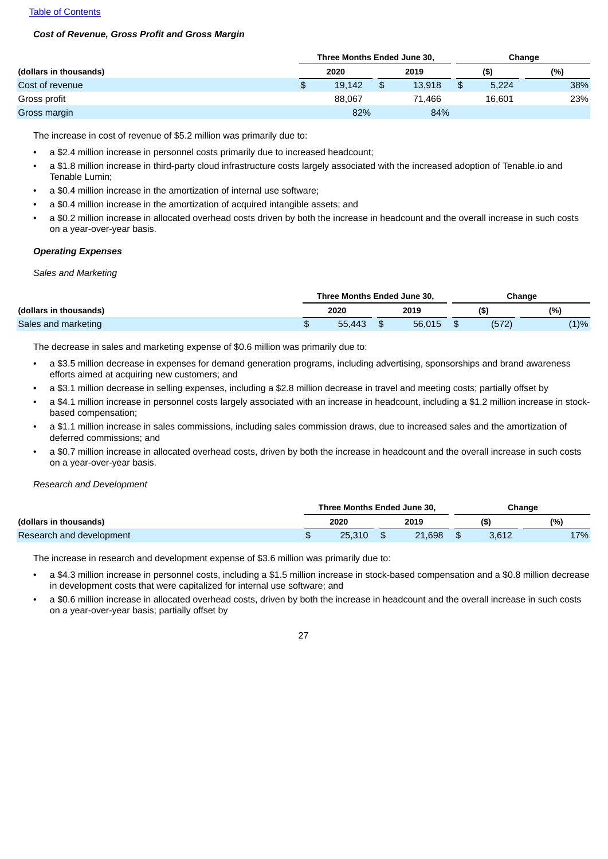## *Cost of Revenue, Gross Profit and Gross Margin*

|                        |  | Three Months Ended June 30, |              | Change |         |     |
|------------------------|--|-----------------------------|--------------|--------|---------|-----|
| (dollars in thousands) |  | 2020                        | 2019         |        | $($ \$) | (%) |
| Cost of revenue        |  | 19.142                      | \$<br>13.918 |        | 5.224   | 38% |
| Gross profit           |  | 88.067                      | 71.466       |        | 16.601  | 23% |
| Gross margin           |  | 82%                         | 84%          |        |         |     |

The increase in cost of revenue of \$5.2 million was primarily due to:

- a \$2.4 million increase in personnel costs primarily due to increased headcount;
- a \$1.8 million increase in third-party cloud infrastructure costs largely associated with the increased adoption of Tenable.io and Tenable Lumin;
- a \$0.4 million increase in the amortization of internal use software;
- a \$0.4 million increase in the amortization of acquired intangible assets; and
- a \$0.2 million increase in allocated overhead costs driven by both the increase in headcount and the overall increase in such costs on a year-over-year basis.

#### *Operating Expenses*

*Sales and Marketing*

|                        |  | Three Months Ended June 30, |  |      |  | Change       |      |  |
|------------------------|--|-----------------------------|--|------|--|--------------|------|--|
| (dollars in thousands) |  | 2020                        |  | 2019 |  | (\$          | (%)  |  |
| Sales and marketing    |  | 55 443                      |  |      |  | パニフの<br>51 Z | (1)% |  |

The decrease in sales and marketing expense of \$0.6 million was primarily due to:

- a \$3.5 million decrease in expenses for demand generation programs, including advertising, sponsorships and brand awareness efforts aimed at acquiring new customers; and
- a \$3.1 million decrease in selling expenses, including a \$2.8 million decrease in travel and meeting costs; partially offset by
- a \$4.1 million increase in personnel costs largely associated with an increase in headcount, including a \$1.2 million increase in stockbased compensation;
- a \$1.1 million increase in sales commissions, including sales commission draws, due to increased sales and the amortization of deferred commissions; and
- a \$0.7 million increase in allocated overhead costs, driven by both the increase in headcount and the overall increase in such costs on a year-over-year basis.

*Research and Development*

|                          |  | Three Months Ended June 30. |  |        | Change |     |  |
|--------------------------|--|-----------------------------|--|--------|--------|-----|--|
| (dollars in thousands)   |  | 2020                        |  | 2019   | (\$`   | (%) |  |
| Research and development |  | 25,310                      |  | 21.698 | 3.612  | 17% |  |

The increase in research and development expense of \$3.6 million was primarily due to:

- a \$4.3 million increase in personnel costs, including a \$1.5 million increase in stock-based compensation and a \$0.8 million decrease in development costs that were capitalized for internal use software; and
- a \$0.6 million increase in allocated overhead costs, driven by both the increase in headcount and the overall increase in such costs on a year-over-year basis; partially offset by

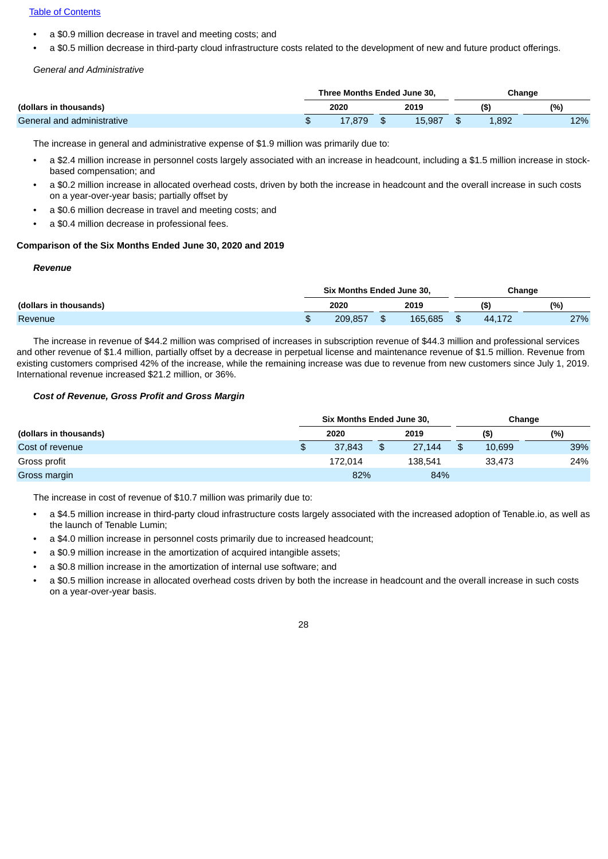- a \$0.9 million decrease in travel and meeting costs; and
- a \$0.5 million decrease in third-party cloud infrastructure costs related to the development of new and future product offerings.

*General and Administrative*

|                            | Three Months Ended June 30, |        |  | Change |  |       |     |
|----------------------------|-----------------------------|--------|--|--------|--|-------|-----|
| (dollars in thousands)     |                             | 2020   |  | 2019   |  | (\$)  | (%) |
| General and administrative |                             | 17.879 |  | 15.987 |  | 1.892 | 12% |

The increase in general and administrative expense of \$1.9 million was primarily due to:

- a \$2.4 million increase in personnel costs largely associated with an increase in headcount, including a \$1.5 million increase in stockbased compensation; and
- a \$0.2 million increase in allocated overhead costs, driven by both the increase in headcount and the overall increase in such costs on a year-over-year basis; partially offset by
- a \$0.6 million decrease in travel and meeting costs; and
- a \$0.4 million decrease in professional fees.

## **Comparison of the Six Months Ended June 30, 2020 and 2019**

#### *Revenue*

|                        | Six Months Ended June 30. |         |  |         | Change |        |     |
|------------------------|---------------------------|---------|--|---------|--------|--------|-----|
| (dollars in thousands) | 2020<br>2019              |         |  | (5)     | (%)    |        |     |
| Revenue                |                           | 209.857 |  | 165.685 |        | 44.172 | 27% |

The increase in revenue of \$44.2 million was comprised of increases in subscription revenue of \$44.3 million and professional services and other revenue of \$1.4 million, partially offset by a decrease in perpetual license and maintenance revenue of \$1.5 million. Revenue from existing customers comprised 42% of the increase, while the remaining increase was due to revenue from new customers since July 1, 2019. International revenue increased \$21.2 million, or 36%.

## *Cost of Revenue, Gross Profit and Gross Margin*

|                        | Six Months Ended June 30, |    | Change  |    |        |     |
|------------------------|---------------------------|----|---------|----|--------|-----|
| (dollars in thousands) | 2020                      |    | 2019    |    | (\$)   | (%) |
| Cost of revenue        | 37.843                    | \$ | 27.144  | \$ | 10.699 | 39% |
| Gross profit           | 172.014                   |    | 138.541 |    | 33.473 | 24% |
| Gross margin           | 82%                       |    | 84%     |    |        |     |

The increase in cost of revenue of \$10.7 million was primarily due to:

- a \$4.5 million increase in third-party cloud infrastructure costs largely associated with the increased adoption of Tenable.io, as well as the launch of Tenable Lumin;
- a \$4.0 million increase in personnel costs primarily due to increased headcount;
- a \$0.9 million increase in the amortization of acquired intangible assets;
- a \$0.8 million increase in the amortization of internal use software; and
- a \$0.5 million increase in allocated overhead costs driven by both the increase in headcount and the overall increase in such costs on a year-over-year basis.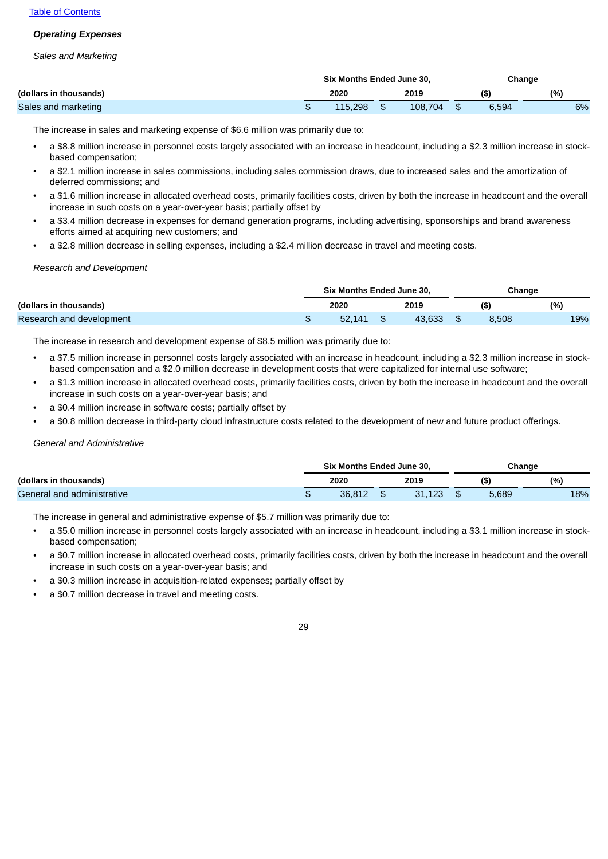## *Operating Expenses*

*Sales and Marketing*

|                        |      | Six Months Ended June 30, |      |         |      | Change |     |  |
|------------------------|------|---------------------------|------|---------|------|--------|-----|--|
| (dollars in thousands) | 2020 |                           | 2019 |         | (\$) |        | (%) |  |
| Sales and marketing    |      | 115,298                   |      | 108.704 |      | 6.594  | 6%  |  |

The increase in sales and marketing expense of \$6.6 million was primarily due to:

- a \$8.8 million increase in personnel costs largely associated with an increase in headcount, including a \$2.3 million increase in stockbased compensation;
- a \$2.1 million increase in sales commissions, including sales commission draws, due to increased sales and the amortization of deferred commissions; and
- a \$1.6 million increase in allocated overhead costs, primarily facilities costs, driven by both the increase in headcount and the overall increase in such costs on a year-over-year basis; partially offset by
- a \$3.4 million decrease in expenses for demand generation programs, including advertising, sponsorships and brand awareness efforts aimed at acquiring new customers; and
- a \$2.8 million decrease in selling expenses, including a \$2.4 million decrease in travel and meeting costs.

*Research and Development*

|                          |  | Six Months Ended June 30. |  |      |  |       | Change |  |  |
|--------------------------|--|---------------------------|--|------|--|-------|--------|--|--|
| (dollars in thousands)   |  | 2020                      |  | 2019 |  | (5)   | (% )   |  |  |
| Research and development |  | 52.141                    |  |      |  | 8,508 | 19%    |  |  |

The increase in research and development expense of \$8.5 million was primarily due to:

- a \$7.5 million increase in personnel costs largely associated with an increase in headcount, including a \$2.3 million increase in stockbased compensation and a \$2.0 million decrease in development costs that were capitalized for internal use software;
- a \$1.3 million increase in allocated overhead costs, primarily facilities costs, driven by both the increase in headcount and the overall increase in such costs on a year-over-year basis; and
- a \$0.4 million increase in software costs; partially offset by
- a \$0.8 million decrease in third-party cloud infrastructure costs related to the development of new and future product offerings.

*General and Administrative*

|                            |  | Six Months Ended June 30. |  |        |  | Change |     |  |
|----------------------------|--|---------------------------|--|--------|--|--------|-----|--|
| (dollars in thousands)     |  | 2020                      |  | 2019   |  | (\$)   | (%) |  |
| General and administrative |  | 36.812                    |  | 31.123 |  | 5,689  | 18% |  |

The increase in general and administrative expense of \$5.7 million was primarily due to:

- a \$5.0 million increase in personnel costs largely associated with an increase in headcount, including a \$3.1 million increase in stockbased compensation;
- a \$0.7 million increase in allocated overhead costs, primarily facilities costs, driven by both the increase in headcount and the overall increase in such costs on a year-over-year basis; and
- a \$0.3 million increase in acquisition-related expenses; partially offset by
- a \$0.7 million decrease in travel and meeting costs.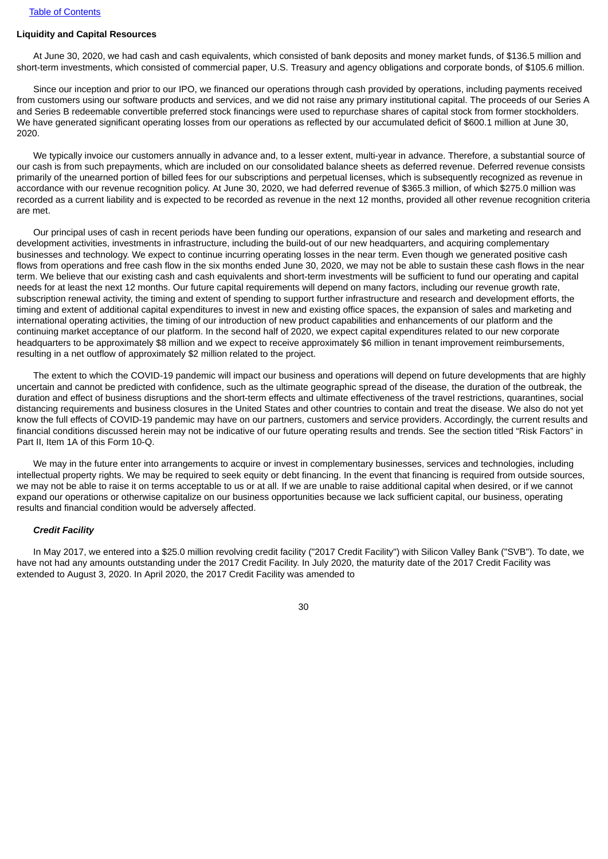#### **Liquidity and Capital Resources**

At June 30, 2020, we had cash and cash equivalents, which consisted of bank deposits and money market funds, of \$136.5 million and short-term investments, which consisted of commercial paper, U.S. Treasury and agency obligations and corporate bonds, of \$105.6 million.

Since our inception and prior to our IPO, we financed our operations through cash provided by operations, including payments received from customers using our software products and services, and we did not raise any primary institutional capital. The proceeds of our Series A and Series B redeemable convertible preferred stock financings were used to repurchase shares of capital stock from former stockholders. We have generated significant operating losses from our operations as reflected by our accumulated deficit of \$600.1 million at June 30, 2020.

We typically invoice our customers annually in advance and, to a lesser extent, multi-year in advance. Therefore, a substantial source of our cash is from such prepayments, which are included on our consolidated balance sheets as deferred revenue. Deferred revenue consists primarily of the unearned portion of billed fees for our subscriptions and perpetual licenses, which is subsequently recognized as revenue in accordance with our revenue recognition policy. At June 30, 2020, we had deferred revenue of \$365.3 million, of which \$275.0 million was recorded as a current liability and is expected to be recorded as revenue in the next 12 months, provided all other revenue recognition criteria are met.

Our principal uses of cash in recent periods have been funding our operations, expansion of our sales and marketing and research and development activities, investments in infrastructure, including the build-out of our new headquarters, and acquiring complementary businesses and technology. We expect to continue incurring operating losses in the near term. Even though we generated positive cash flows from operations and free cash flow in the six months ended June 30, 2020, we may not be able to sustain these cash flows in the near term. We believe that our existing cash and cash equivalents and short-term investments will be sufficient to fund our operating and capital needs for at least the next 12 months. Our future capital requirements will depend on many factors, including our revenue growth rate, subscription renewal activity, the timing and extent of spending to support further infrastructure and research and development efforts, the timing and extent of additional capital expenditures to invest in new and existing office spaces, the expansion of sales and marketing and international operating activities, the timing of our introduction of new product capabilities and enhancements of our platform and the continuing market acceptance of our platform. In the second half of 2020, we expect capital expenditures related to our new corporate headquarters to be approximately \$8 million and we expect to receive approximately \$6 million in tenant improvement reimbursements, resulting in a net outflow of approximately \$2 million related to the project.

The extent to which the COVID-19 pandemic will impact our business and operations will depend on future developments that are highly uncertain and cannot be predicted with confidence, such as the ultimate geographic spread of the disease, the duration of the outbreak, the duration and effect of business disruptions and the short-term effects and ultimate effectiveness of the travel restrictions, quarantines, social distancing requirements and business closures in the United States and other countries to contain and treat the disease. We also do not yet know the full effects of COVID-19 pandemic may have on our partners, customers and service providers. Accordingly, the current results and financial conditions discussed herein may not be indicative of our future operating results and trends. See the section titled "Risk Factors" in Part II, Item 1A of this Form 10-Q.

We may in the future enter into arrangements to acquire or invest in complementary businesses, services and technologies, including intellectual property rights. We may be required to seek equity or debt financing. In the event that financing is required from outside sources, we may not be able to raise it on terms acceptable to us or at all. If we are unable to raise additional capital when desired, or if we cannot expand our operations or otherwise capitalize on our business opportunities because we lack sufficient capital, our business, operating results and financial condition would be adversely affected.

#### *Credit Facility*

In May 2017, we entered into a \$25.0 million revolving credit facility ("2017 Credit Facility") with Silicon Valley Bank ("SVB"). To date, we have not had any amounts outstanding under the 2017 Credit Facility. In July 2020, the maturity date of the 2017 Credit Facility was extended to August 3, 2020. In April 2020, the 2017 Credit Facility was amended to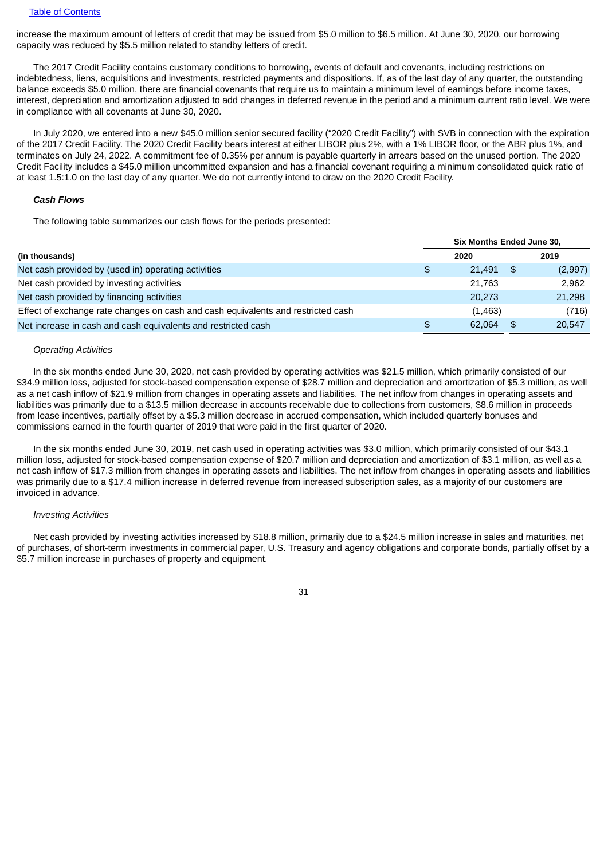increase the maximum amount of letters of credit that may be issued from \$5.0 million to \$6.5 million. At June 30, 2020, our borrowing capacity was reduced by \$5.5 million related to standby letters of credit.

The 2017 Credit Facility contains customary conditions to borrowing, events of default and covenants, including restrictions on indebtedness, liens, acquisitions and investments, restricted payments and dispositions. If, as of the last day of any quarter, the outstanding balance exceeds \$5.0 million, there are financial covenants that require us to maintain a minimum level of earnings before income taxes, interest, depreciation and amortization adjusted to add changes in deferred revenue in the period and a minimum current ratio level. We were in compliance with all covenants at June 30, 2020.

In July 2020, we entered into a new \$45.0 million senior secured facility ("2020 Credit Facility") with SVB in connection with the expiration of the 2017 Credit Facility. The 2020 Credit Facility bears interest at either LIBOR plus 2%, with a 1% LIBOR floor, or the ABR plus 1%, and terminates on July 24, 2022. A commitment fee of 0.35% per annum is payable quarterly in arrears based on the unused portion. The 2020 Credit Facility includes a \$45.0 million uncommitted expansion and has a financial covenant requiring a minimum consolidated quick ratio of at least 1.5:1.0 on the last day of any quarter. We do not currently intend to draw on the 2020 Credit Facility.

#### *Cash Flows*

The following table summarizes our cash flows for the periods presented:

|                                                                                  | Six Months Ended June 30, |          |  |         |  |  |  |  |
|----------------------------------------------------------------------------------|---------------------------|----------|--|---------|--|--|--|--|
| (in thousands)                                                                   |                           | 2020     |  | 2019    |  |  |  |  |
| Net cash provided by (used in) operating activities                              | \$                        | 21.491   |  | (2,997) |  |  |  |  |
| Net cash provided by investing activities                                        |                           | 21.763   |  | 2.962   |  |  |  |  |
| Net cash provided by financing activities                                        |                           | 20,273   |  | 21,298  |  |  |  |  |
| Effect of exchange rate changes on cash and cash equivalents and restricted cash |                           | (1, 463) |  | (716)   |  |  |  |  |
| Net increase in cash and cash equivalents and restricted cash                    | £.                        | 62.064   |  | 20,547  |  |  |  |  |

#### *Operating Activities*

In the six months ended June 30, 2020, net cash provided by operating activities was \$21.5 million, which primarily consisted of our \$34.9 million loss, adjusted for stock-based compensation expense of \$28.7 million and depreciation and amortization of \$5.3 million, as well as a net cash inflow of \$21.9 million from changes in operating assets and liabilities. The net inflow from changes in operating assets and liabilities was primarily due to a \$13.5 million decrease in accounts receivable due to collections from customers, \$8.6 million in proceeds from lease incentives, partially offset by a \$5.3 million decrease in accrued compensation, which included quarterly bonuses and commissions earned in the fourth quarter of 2019 that were paid in the first quarter of 2020.

In the six months ended June 30, 2019, net cash used in operating activities was \$3.0 million, which primarily consisted of our \$43.1 million loss, adjusted for stock-based compensation expense of \$20.7 million and depreciation and amortization of \$3.1 million, as well as a net cash inflow of \$17.3 million from changes in operating assets and liabilities. The net inflow from changes in operating assets and liabilities was primarily due to a \$17.4 million increase in deferred revenue from increased subscription sales, as a majority of our customers are invoiced in advance.

#### *Investing Activities*

Net cash provided by investing activities increased by \$18.8 million, primarily due to a \$24.5 million increase in sales and maturities, net of purchases, of short-term investments in commercial paper, U.S. Treasury and agency obligations and corporate bonds, partially offset by a \$5.7 million increase in purchases of property and equipment.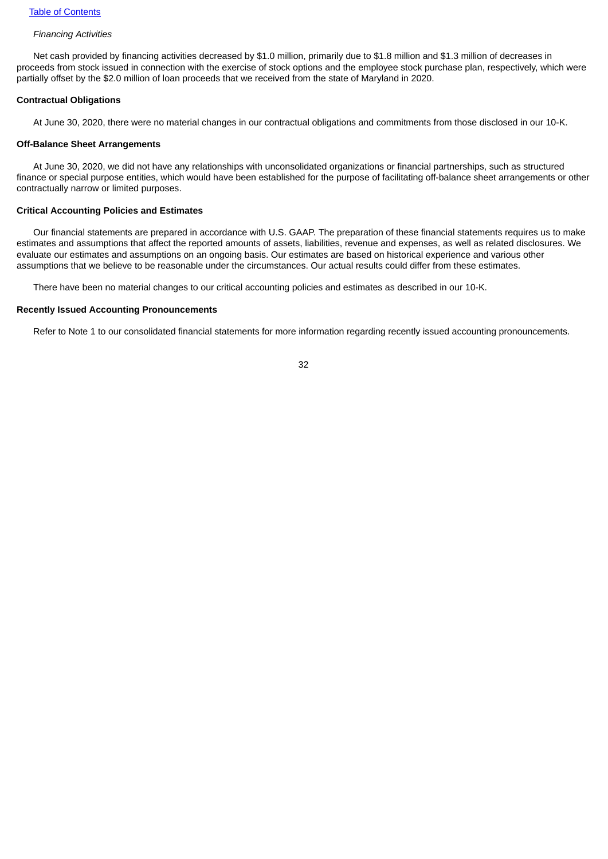#### *Financing Activities*

Net cash provided by financing activities decreased by \$1.0 million, primarily due to \$1.8 million and \$1.3 million of decreases in proceeds from stock issued in connection with the exercise of stock options and the employee stock purchase plan, respectively, which were partially offset by the \$2.0 million of loan proceeds that we received from the state of Maryland in 2020.

#### **Contractual Obligations**

At June 30, 2020, there were no material changes in our contractual obligations and commitments from those disclosed in our 10-K.

#### **Off-Balance Sheet Arrangements**

At June 30, 2020, we did not have any relationships with unconsolidated organizations or financial partnerships, such as structured finance or special purpose entities, which would have been established for the purpose of facilitating off-balance sheet arrangements or other contractually narrow or limited purposes.

## **Critical Accounting Policies and Estimates**

Our financial statements are prepared in accordance with U.S. GAAP. The preparation of these financial statements requires us to make estimates and assumptions that affect the reported amounts of assets, liabilities, revenue and expenses, as well as related disclosures. We evaluate our estimates and assumptions on an ongoing basis. Our estimates are based on historical experience and various other assumptions that we believe to be reasonable under the circumstances. Our actual results could differ from these estimates.

There have been no material changes to our critical accounting policies and estimates as described in our 10-K.

## **Recently Issued Accounting Pronouncements**

Refer to Note 1 to our consolidated financial statements for more information regarding recently issued accounting pronouncements.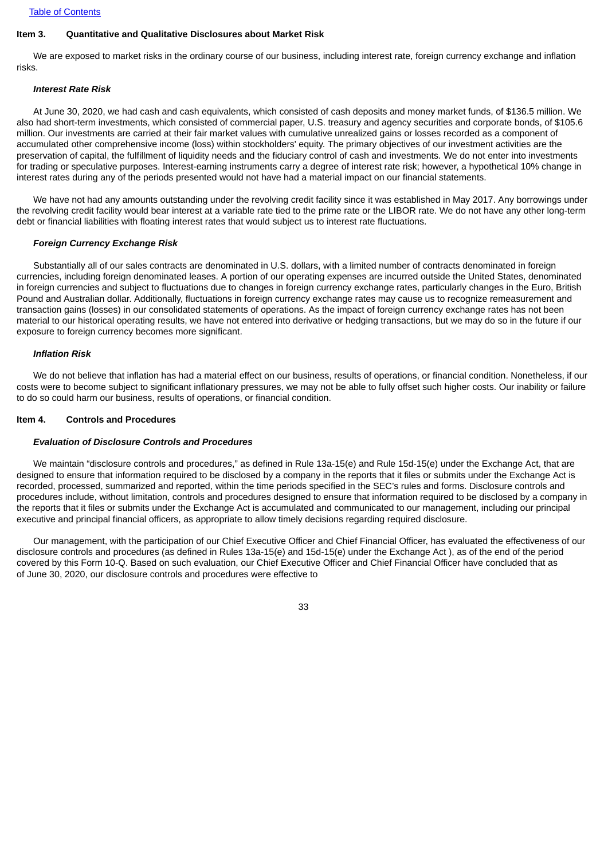#### <span id="page-32-0"></span>**Item 3. Quantitative and Qualitative Disclosures about Market Risk**

We are exposed to market risks in the ordinary course of our business, including interest rate, foreign currency exchange and inflation risks.

#### *Interest Rate Risk*

At June 30, 2020, we had cash and cash equivalents, which consisted of cash deposits and money market funds, of \$136.5 million. We also had short-term investments, which consisted of commercial paper, U.S. treasury and agency securities and corporate bonds, of \$105.6 million. Our investments are carried at their fair market values with cumulative unrealized gains or losses recorded as a component of accumulated other comprehensive income (loss) within stockholders' equity. The primary objectives of our investment activities are the preservation of capital, the fulfillment of liquidity needs and the fiduciary control of cash and investments. We do not enter into investments for trading or speculative purposes. Interest-earning instruments carry a degree of interest rate risk; however, a hypothetical 10% change in interest rates during any of the periods presented would not have had a material impact on our financial statements.

We have not had any amounts outstanding under the revolving credit facility since it was established in May 2017. Any borrowings under the revolving credit facility would bear interest at a variable rate tied to the prime rate or the LIBOR rate. We do not have any other long-term debt or financial liabilities with floating interest rates that would subject us to interest rate fluctuations.

#### *Foreign Currency Exchange Risk*

Substantially all of our sales contracts are denominated in U.S. dollars, with a limited number of contracts denominated in foreign currencies, including foreign denominated leases. A portion of our operating expenses are incurred outside the United States, denominated in foreign currencies and subject to fluctuations due to changes in foreign currency exchange rates, particularly changes in the Euro, British Pound and Australian dollar. Additionally, fluctuations in foreign currency exchange rates may cause us to recognize remeasurement and transaction gains (losses) in our consolidated statements of operations. As the impact of foreign currency exchange rates has not been material to our historical operating results, we have not entered into derivative or hedging transactions, but we may do so in the future if our exposure to foreign currency becomes more significant.

#### *Inflation Risk*

We do not believe that inflation has had a material effect on our business, results of operations, or financial condition. Nonetheless, if our costs were to become subject to significant inflationary pressures, we may not be able to fully offset such higher costs. Our inability or failure to do so could harm our business, results of operations, or financial condition.

#### <span id="page-32-1"></span>**Item 4. Controls and Procedures**

#### *Evaluation of Disclosure Controls and Procedures*

We maintain "disclosure controls and procedures," as defined in Rule 13a-15(e) and Rule 15d-15(e) under the Exchange Act, that are designed to ensure that information required to be disclosed by a company in the reports that it files or submits under the Exchange Act is recorded, processed, summarized and reported, within the time periods specified in the SEC's rules and forms. Disclosure controls and procedures include, without limitation, controls and procedures designed to ensure that information required to be disclosed by a company in the reports that it files or submits under the Exchange Act is accumulated and communicated to our management, including our principal executive and principal financial officers, as appropriate to allow timely decisions regarding required disclosure.

Our management, with the participation of our Chief Executive Officer and Chief Financial Officer, has evaluated the effectiveness of our disclosure controls and procedures (as defined in Rules 13a-15(e) and 15d-15(e) under the Exchange Act ), as of the end of the period covered by this Form 10-Q. Based on such evaluation, our Chief Executive Officer and Chief Financial Officer have concluded that as of June 30, 2020, our disclosure controls and procedures were effective to

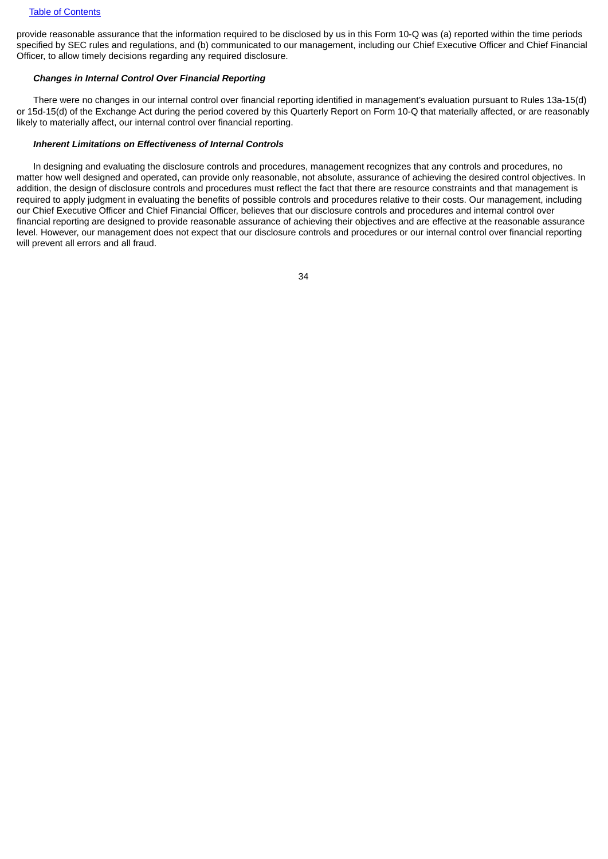provide reasonable assurance that the information required to be disclosed by us in this Form 10-Q was (a) reported within the time periods specified by SEC rules and regulations, and (b) communicated to our management, including our Chief Executive Officer and Chief Financial Officer, to allow timely decisions regarding any required disclosure.

#### *Changes in Internal Control Over Financial Reporting*

There were no changes in our internal control over financial reporting identified in management's evaluation pursuant to Rules 13a-15(d) or 15d-15(d) of the Exchange Act during the period covered by this Quarterly Report on Form 10-Q that materially affected, or are reasonably likely to materially affect, our internal control over financial reporting.

#### *Inherent Limitations on Effectiveness of Internal Controls*

In designing and evaluating the disclosure controls and procedures, management recognizes that any controls and procedures, no matter how well designed and operated, can provide only reasonable, not absolute, assurance of achieving the desired control objectives. In addition, the design of disclosure controls and procedures must reflect the fact that there are resource constraints and that management is required to apply judgment in evaluating the benefits of possible controls and procedures relative to their costs. Our management, including our Chief Executive Officer and Chief Financial Officer, believes that our disclosure controls and procedures and internal control over financial reporting are designed to provide reasonable assurance of achieving their objectives and are effective at the reasonable assurance level. However, our management does not expect that our disclosure controls and procedures or our internal control over financial reporting will prevent all errors and all fraud.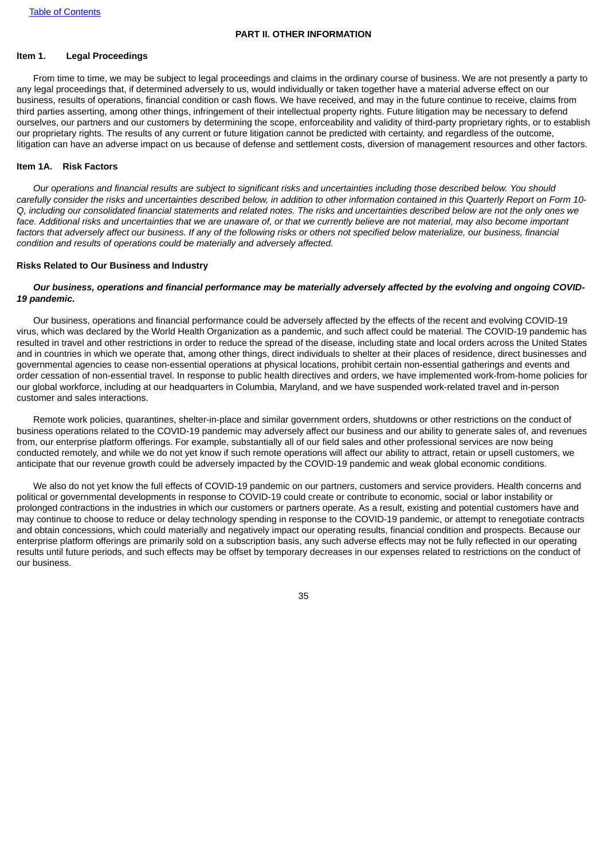#### **PART II. OTHER INFORMATION**

#### <span id="page-34-1"></span><span id="page-34-0"></span>**Item 1. Legal Proceedings**

From time to time, we may be subject to legal proceedings and claims in the ordinary course of business. We are not presently a party to any legal proceedings that, if determined adversely to us, would individually or taken together have a material adverse effect on our business, results of operations, financial condition or cash flows. We have received, and may in the future continue to receive, claims from third parties asserting, among other things, infringement of their intellectual property rights. Future litigation may be necessary to defend ourselves, our partners and our customers by determining the scope, enforceability and validity of third-party proprietary rights, or to establish our proprietary rights. The results of any current or future litigation cannot be predicted with certainty, and regardless of the outcome, litigation can have an adverse impact on us because of defense and settlement costs, diversion of management resources and other factors.

#### <span id="page-34-2"></span>**Item 1A. Risk Factors**

Our operations and financial results are subject to significant risks and uncertainties including those described below. You should carefully consider the risks and uncertainties described below, in addition to other information contained in this Quarterly Report on Form 10-O, including our consolidated financial statements and related notes. The risks and uncertainties described below are not the only ones we face. Additional risks and uncertainties that we are unaware of, or that we currently believe are not material, may also become important factors that adversely affect our business. If any of the following risks or others not specified below materialize, our business, financial *condition and results of operations could be materially and adversely affected.*

#### **Risks Related to Our Business and Industry**

## Our business, operations and financial performance may be materially adversely affected by the evolving and ongoing COVID-*19 pandemic.*

Our business, operations and financial performance could be adversely affected by the effects of the recent and evolving COVID-19 virus, which was declared by the World Health Organization as a pandemic, and such affect could be material. The COVID-19 pandemic has resulted in travel and other restrictions in order to reduce the spread of the disease, including state and local orders across the United States and in countries in which we operate that, among other things, direct individuals to shelter at their places of residence, direct businesses and governmental agencies to cease non-essential operations at physical locations, prohibit certain non-essential gatherings and events and order cessation of non-essential travel. In response to public health directives and orders, we have implemented work-from-home policies for our global workforce, including at our headquarters in Columbia, Maryland, and we have suspended work-related travel and in-person customer and sales interactions.

Remote work policies, quarantines, shelter-in-place and similar government orders, shutdowns or other restrictions on the conduct of business operations related to the COVID-19 pandemic may adversely affect our business and our ability to generate sales of, and revenues from, our enterprise platform offerings. For example, substantially all of our field sales and other professional services are now being conducted remotely, and while we do not yet know if such remote operations will affect our ability to attract, retain or upsell customers, we anticipate that our revenue growth could be adversely impacted by the COVID-19 pandemic and weak global economic conditions.

We also do not yet know the full effects of COVID-19 pandemic on our partners, customers and service providers. Health concerns and political or governmental developments in response to COVID-19 could create or contribute to economic, social or labor instability or prolonged contractions in the industries in which our customers or partners operate. As a result, existing and potential customers have and may continue to choose to reduce or delay technology spending in response to the COVID-19 pandemic, or attempt to renegotiate contracts and obtain concessions, which could materially and negatively impact our operating results, financial condition and prospects. Because our enterprise platform offerings are primarily sold on a subscription basis, any such adverse effects may not be fully reflected in our operating results until future periods, and such effects may be offset by temporary decreases in our expenses related to restrictions on the conduct of our business.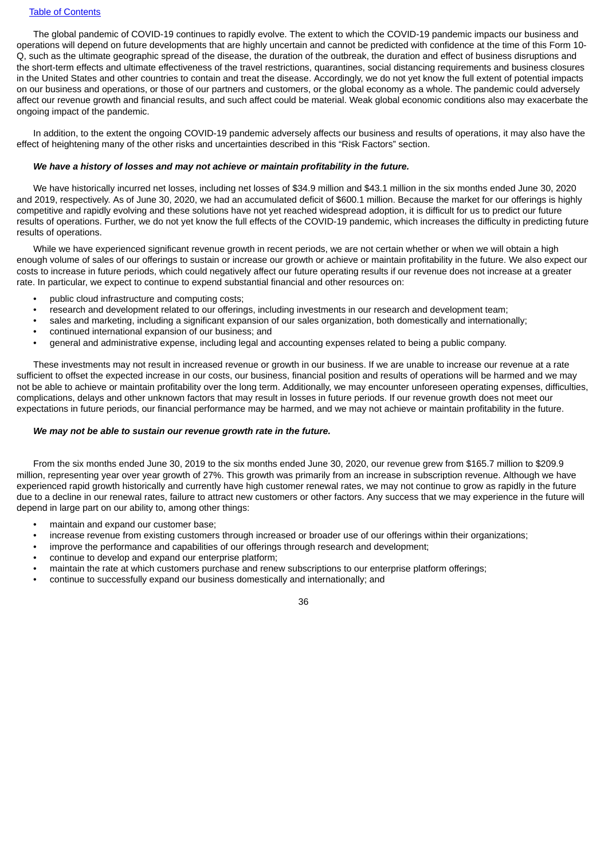The global pandemic of COVID-19 continues to rapidly evolve. The extent to which the COVID-19 pandemic impacts our business and operations will depend on future developments that are highly uncertain and cannot be predicted with confidence at the time of this Form 10- Q, such as the ultimate geographic spread of the disease, the duration of the outbreak, the duration and effect of business disruptions and the short-term effects and ultimate effectiveness of the travel restrictions, quarantines, social distancing requirements and business closures in the United States and other countries to contain and treat the disease. Accordingly, we do not yet know the full extent of potential impacts on our business and operations, or those of our partners and customers, or the global economy as a whole. The pandemic could adversely affect our revenue growth and financial results, and such affect could be material. Weak global economic conditions also may exacerbate the ongoing impact of the pandemic.

In addition, to the extent the ongoing COVID-19 pandemic adversely affects our business and results of operations, it may also have the effect of heightening many of the other risks and uncertainties described in this "Risk Factors" section.

#### *We have a history of losses and may not achieve or maintain profitability in the future.*

We have historically incurred net losses, including net losses of \$34.9 million and \$43.1 million in the six months ended June 30, 2020 and 2019, respectively. As of June 30, 2020, we had an accumulated deficit of \$600.1 million. Because the market for our offerings is highly competitive and rapidly evolving and these solutions have not yet reached widespread adoption, it is difficult for us to predict our future results of operations. Further, we do not yet know the full effects of the COVID-19 pandemic, which increases the difficulty in predicting future results of operations.

While we have experienced significant revenue growth in recent periods, we are not certain whether or when we will obtain a high enough volume of sales of our offerings to sustain or increase our growth or achieve or maintain profitability in the future. We also expect our costs to increase in future periods, which could negatively affect our future operating results if our revenue does not increase at a greater rate. In particular, we expect to continue to expend substantial financial and other resources on:

- public cloud infrastructure and computing costs;
- research and development related to our offerings, including investments in our research and development team;
- sales and marketing, including a significant expansion of our sales organization, both domestically and internationally;
- continued international expansion of our business; and
- general and administrative expense, including legal and accounting expenses related to being a public company.

These investments may not result in increased revenue or growth in our business. If we are unable to increase our revenue at a rate sufficient to offset the expected increase in our costs, our business, financial position and results of operations will be harmed and we may not be able to achieve or maintain profitability over the long term. Additionally, we may encounter unforeseen operating expenses, difficulties, complications, delays and other unknown factors that may result in losses in future periods. If our revenue growth does not meet our expectations in future periods, our financial performance may be harmed, and we may not achieve or maintain profitability in the future.

#### *We may not be able to sustain our revenue growth rate in the future.*

From the six months ended June 30, 2019 to the six months ended June 30, 2020, our revenue grew from \$165.7 million to \$209.9 million, representing year over year growth of 27%. This growth was primarily from an increase in subscription revenue. Although we have experienced rapid growth historically and currently have high customer renewal rates, we may not continue to grow as rapidly in the future due to a decline in our renewal rates, failure to attract new customers or other factors. Any success that we may experience in the future will depend in large part on our ability to, among other things:

- maintain and expand our customer base:
- increase revenue from existing customers through increased or broader use of our offerings within their organizations;
- improve the performance and capabilities of our offerings through research and development;
- continue to develop and expand our enterprise platform;
- maintain the rate at which customers purchase and renew subscriptions to our enterprise platform offerings;
- continue to successfully expand our business domestically and internationally; and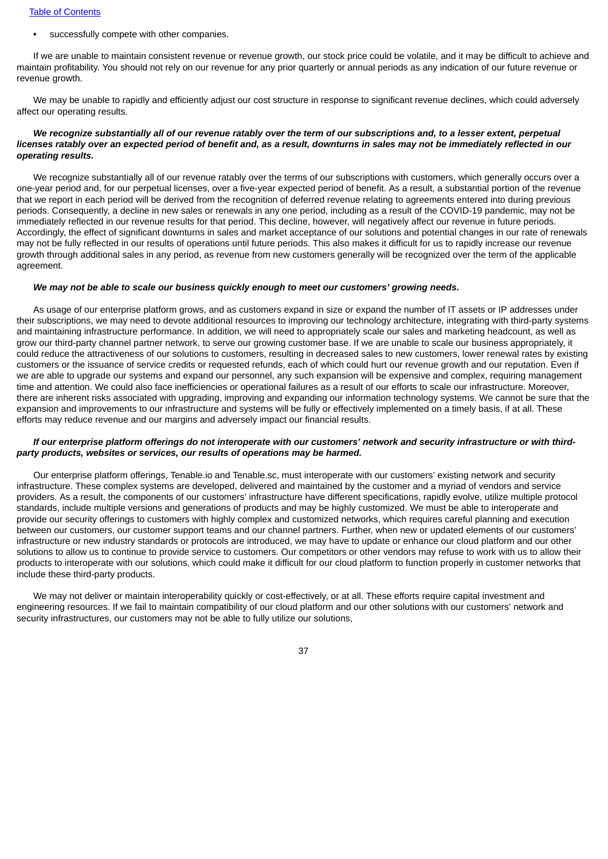successfully compete with other companies.

If we are unable to maintain consistent revenue or revenue growth, our stock price could be volatile, and it may be difficult to achieve and maintain profitability. You should not rely on our revenue for any prior quarterly or annual periods as any indication of our future revenue or revenue growth.

We may be unable to rapidly and efficiently adjust our cost structure in response to significant revenue declines, which could adversely affect our operating results.

#### We recognize substantially all of our revenue ratably over the term of our subscriptions and, to a lesser extent, perpetual licenses ratably over an expected period of benefit and, as a result, downturns in sales may not be immediately reflected in our *operating results.*

We recognize substantially all of our revenue ratably over the terms of our subscriptions with customers, which generally occurs over a one-year period and, for our perpetual licenses, over a five-year expected period of benefit. As a result, a substantial portion of the revenue that we report in each period will be derived from the recognition of deferred revenue relating to agreements entered into during previous periods. Consequently, a decline in new sales or renewals in any one period, including as a result of the COVID-19 pandemic, may not be immediately reflected in our revenue results for that period. This decline, however, will negatively affect our revenue in future periods. Accordingly, the effect of significant downturns in sales and market acceptance of our solutions and potential changes in our rate of renewals may not be fully reflected in our results of operations until future periods. This also makes it difficult for us to rapidly increase our revenue growth through additional sales in any period, as revenue from new customers generally will be recognized over the term of the applicable agreement.

#### *We may not be able to scale our business quickly enough to meet our customers' growing needs.*

As usage of our enterprise platform grows, and as customers expand in size or expand the number of IT assets or IP addresses under their subscriptions, we may need to devote additional resources to improving our technology architecture, integrating with third-party systems and maintaining infrastructure performance. In addition, we will need to appropriately scale our sales and marketing headcount, as well as grow our third-party channel partner network, to serve our growing customer base. If we are unable to scale our business appropriately, it could reduce the attractiveness of our solutions to customers, resulting in decreased sales to new customers, lower renewal rates by existing customers or the issuance of service credits or requested refunds, each of which could hurt our revenue growth and our reputation. Even if we are able to upgrade our systems and expand our personnel, any such expansion will be expensive and complex, requiring management time and attention. We could also face inefficiencies or operational failures as a result of our efforts to scale our infrastructure. Moreover, there are inherent risks associated with upgrading, improving and expanding our information technology systems. We cannot be sure that the expansion and improvements to our infrastructure and systems will be fully or effectively implemented on a timely basis, if at all. These efforts may reduce revenue and our margins and adversely impact our financial results.

## If our enterprise platform offerings do not interoperate with our customers' network and security infrastructure or with third*party products, websites or services, our results of operations may be harmed.*

Our enterprise platform offerings, Tenable.io and Tenable.sc, must interoperate with our customers' existing network and security infrastructure. These complex systems are developed, delivered and maintained by the customer and a myriad of vendors and service providers. As a result, the components of our customers' infrastructure have different specifications, rapidly evolve, utilize multiple protocol standards, include multiple versions and generations of products and may be highly customized. We must be able to interoperate and provide our security offerings to customers with highly complex and customized networks, which requires careful planning and execution between our customers, our customer support teams and our channel partners. Further, when new or updated elements of our customers' infrastructure or new industry standards or protocols are introduced, we may have to update or enhance our cloud platform and our other solutions to allow us to continue to provide service to customers. Our competitors or other vendors may refuse to work with us to allow their products to interoperate with our solutions, which could make it difficult for our cloud platform to function properly in customer networks that include these third-party products.

We may not deliver or maintain interoperability quickly or cost-effectively, or at all. These efforts require capital investment and engineering resources. If we fail to maintain compatibility of our cloud platform and our other solutions with our customers' network and security infrastructures, our customers may not be able to fully utilize our solutions,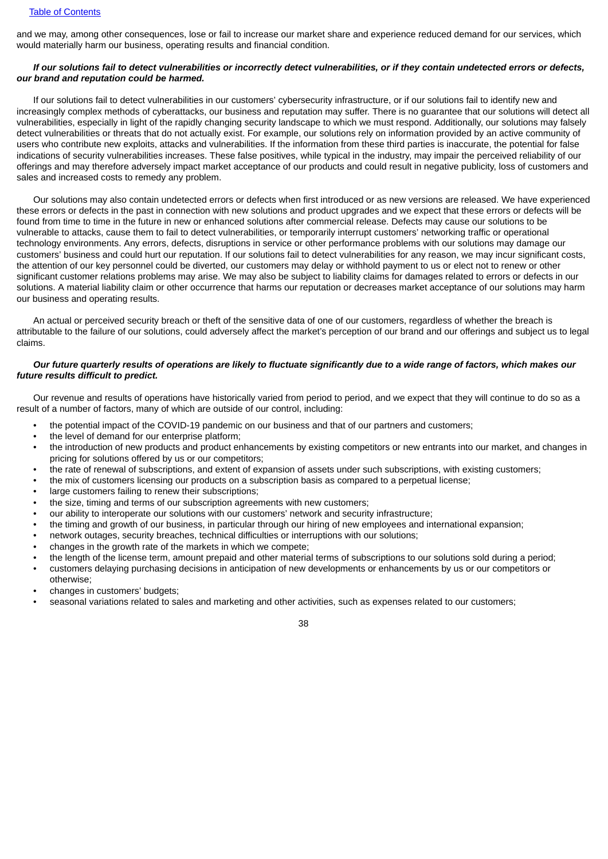and we may, among other consequences, lose or fail to increase our market share and experience reduced demand for our services, which would materially harm our business, operating results and financial condition.

## If our solutions fail to detect vulnerabilities or incorrectly detect vulnerabilities, or if they contain undetected errors or defects, *our brand and reputation could be harmed.*

If our solutions fail to detect vulnerabilities in our customers' cybersecurity infrastructure, or if our solutions fail to identify new and increasingly complex methods of cyberattacks, our business and reputation may suffer. There is no guarantee that our solutions will detect all vulnerabilities, especially in light of the rapidly changing security landscape to which we must respond. Additionally, our solutions may falsely detect vulnerabilities or threats that do not actually exist. For example, our solutions rely on information provided by an active community of users who contribute new exploits, attacks and vulnerabilities. If the information from these third parties is inaccurate, the potential for false indications of security vulnerabilities increases. These false positives, while typical in the industry, may impair the perceived reliability of our offerings and may therefore adversely impact market acceptance of our products and could result in negative publicity, loss of customers and sales and increased costs to remedy any problem.

Our solutions may also contain undetected errors or defects when first introduced or as new versions are released. We have experienced these errors or defects in the past in connection with new solutions and product upgrades and we expect that these errors or defects will be found from time to time in the future in new or enhanced solutions after commercial release. Defects may cause our solutions to be vulnerable to attacks, cause them to fail to detect vulnerabilities, or temporarily interrupt customers' networking traffic or operational technology environments. Any errors, defects, disruptions in service or other performance problems with our solutions may damage our customers' business and could hurt our reputation. If our solutions fail to detect vulnerabilities for any reason, we may incur significant costs, the attention of our key personnel could be diverted, our customers may delay or withhold payment to us or elect not to renew or other significant customer relations problems may arise. We may also be subject to liability claims for damages related to errors or defects in our solutions. A material liability claim or other occurrence that harms our reputation or decreases market acceptance of our solutions may harm our business and operating results.

An actual or perceived security breach or theft of the sensitive data of one of our customers, regardless of whether the breach is attributable to the failure of our solutions, could adversely affect the market's perception of our brand and our offerings and subject us to legal claims.

## Our future quarterly results of operations are likely to fluctuate significantly due to a wide range of factors, which makes our *future results difficult to predict.*

Our revenue and results of operations have historically varied from period to period, and we expect that they will continue to do so as a result of a number of factors, many of which are outside of our control, including:

- the potential impact of the COVID-19 pandemic on our business and that of our partners and customers;
- the level of demand for our enterprise platform:
- the introduction of new products and product enhancements by existing competitors or new entrants into our market, and changes in pricing for solutions offered by us or our competitors;
- the rate of renewal of subscriptions, and extent of expansion of assets under such subscriptions, with existing customers;
- the mix of customers licensing our products on a subscription basis as compared to a perpetual license;
- large customers failing to renew their subscriptions;
- the size, timing and terms of our subscription agreements with new customers;
- our ability to interoperate our solutions with our customers' network and security infrastructure;
- the timing and growth of our business, in particular through our hiring of new employees and international expansion;
- network outages, security breaches, technical difficulties or interruptions with our solutions;
- changes in the growth rate of the markets in which we compete;
- the length of the license term, amount prepaid and other material terms of subscriptions to our solutions sold during a period;
- customers delaying purchasing decisions in anticipation of new developments or enhancements by us or our competitors or otherwise;
- changes in customers' budgets;
- seasonal variations related to sales and marketing and other activities, such as expenses related to our customers;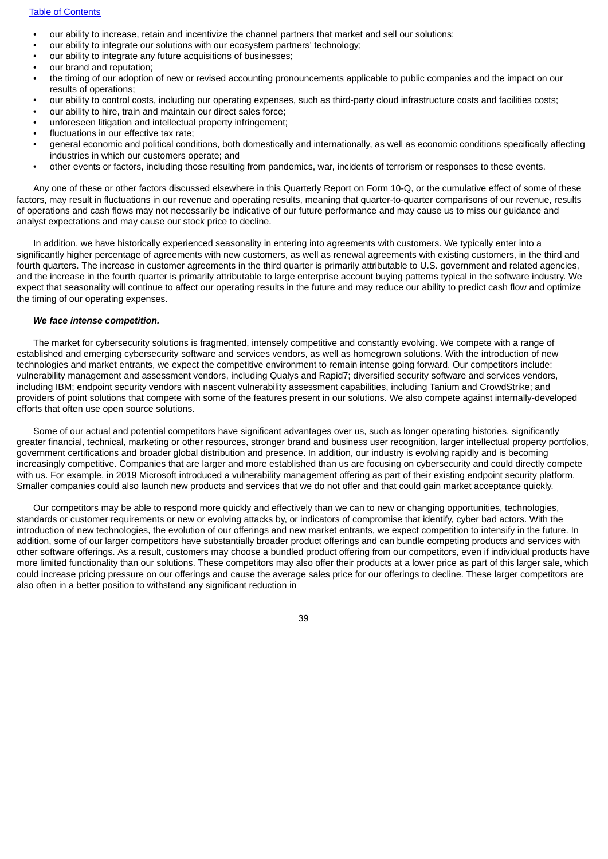- our ability to increase, retain and incentivize the channel partners that market and sell our solutions;
- our ability to integrate our solutions with our ecosystem partners' technology;
- our ability to integrate any future acquisitions of businesses;
- our brand and reputation;
- the timing of our adoption of new or revised accounting pronouncements applicable to public companies and the impact on our results of operations;
- our ability to control costs, including our operating expenses, such as third-party cloud infrastructure costs and facilities costs;
- our ability to hire, train and maintain our direct sales force;
- unforeseen litigation and intellectual property infringement;
- fluctuations in our effective tax rate;
- general economic and political conditions, both domestically and internationally, as well as economic conditions specifically affecting industries in which our customers operate; and
- other events or factors, including those resulting from pandemics, war, incidents of terrorism or responses to these events.

Any one of these or other factors discussed elsewhere in this Quarterly Report on Form 10-Q, or the cumulative effect of some of these factors, may result in fluctuations in our revenue and operating results, meaning that quarter-to-quarter comparisons of our revenue, results of operations and cash flows may not necessarily be indicative of our future performance and may cause us to miss our guidance and analyst expectations and may cause our stock price to decline.

In addition, we have historically experienced seasonality in entering into agreements with customers. We typically enter into a significantly higher percentage of agreements with new customers, as well as renewal agreements with existing customers, in the third and fourth quarters. The increase in customer agreements in the third quarter is primarily attributable to U.S. government and related agencies, and the increase in the fourth quarter is primarily attributable to large enterprise account buying patterns typical in the software industry. We expect that seasonality will continue to affect our operating results in the future and may reduce our ability to predict cash flow and optimize the timing of our operating expenses.

#### *We face intense competition.*

The market for cybersecurity solutions is fragmented, intensely competitive and constantly evolving. We compete with a range of established and emerging cybersecurity software and services vendors, as well as homegrown solutions. With the introduction of new technologies and market entrants, we expect the competitive environment to remain intense going forward. Our competitors include: vulnerability management and assessment vendors, including Qualys and Rapid7; diversified security software and services vendors, including IBM; endpoint security vendors with nascent vulnerability assessment capabilities, including Tanium and CrowdStrike; and providers of point solutions that compete with some of the features present in our solutions. We also compete against internally-developed efforts that often use open source solutions.

Some of our actual and potential competitors have significant advantages over us, such as longer operating histories, significantly greater financial, technical, marketing or other resources, stronger brand and business user recognition, larger intellectual property portfolios, government certifications and broader global distribution and presence. In addition, our industry is evolving rapidly and is becoming increasingly competitive. Companies that are larger and more established than us are focusing on cybersecurity and could directly compete with us. For example, in 2019 Microsoft introduced a vulnerability management offering as part of their existing endpoint security platform. Smaller companies could also launch new products and services that we do not offer and that could gain market acceptance quickly.

Our competitors may be able to respond more quickly and effectively than we can to new or changing opportunities, technologies, standards or customer requirements or new or evolving attacks by, or indicators of compromise that identify, cyber bad actors. With the introduction of new technologies, the evolution of our offerings and new market entrants, we expect competition to intensify in the future. In addition, some of our larger competitors have substantially broader product offerings and can bundle competing products and services with other software offerings. As a result, customers may choose a bundled product offering from our competitors, even if individual products have more limited functionality than our solutions. These competitors may also offer their products at a lower price as part of this larger sale, which could increase pricing pressure on our offerings and cause the average sales price for our offerings to decline. These larger competitors are also often in a better position to withstand any significant reduction in

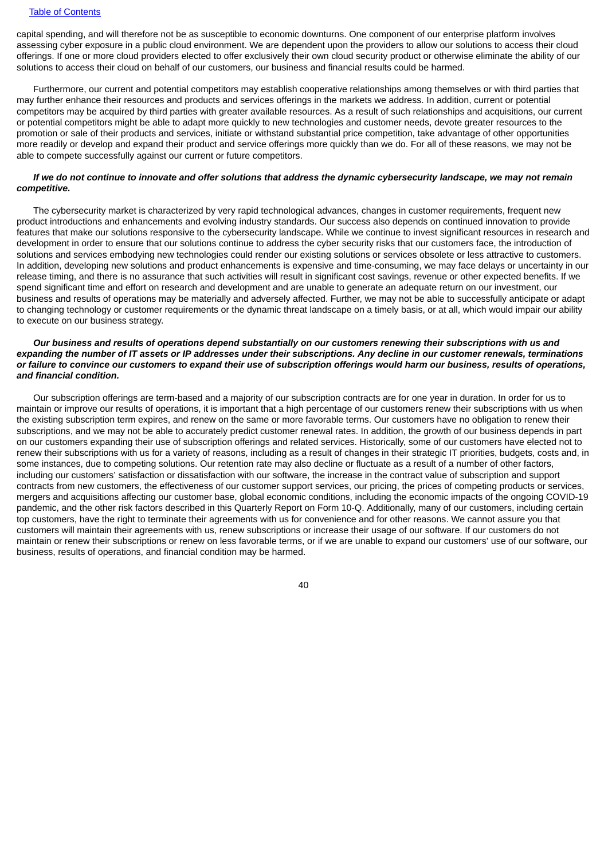capital spending, and will therefore not be as susceptible to economic downturns. One component of our enterprise platform involves assessing cyber exposure in a public cloud environment. We are dependent upon the providers to allow our solutions to access their cloud offerings. If one or more cloud providers elected to offer exclusively their own cloud security product or otherwise eliminate the ability of our solutions to access their cloud on behalf of our customers, our business and financial results could be harmed.

Furthermore, our current and potential competitors may establish cooperative relationships among themselves or with third parties that may further enhance their resources and products and services offerings in the markets we address. In addition, current or potential competitors may be acquired by third parties with greater available resources. As a result of such relationships and acquisitions, our current or potential competitors might be able to adapt more quickly to new technologies and customer needs, devote greater resources to the promotion or sale of their products and services, initiate or withstand substantial price competition, take advantage of other opportunities more readily or develop and expand their product and service offerings more quickly than we do. For all of these reasons, we may not be able to compete successfully against our current or future competitors.

## If we do not continue to innovate and offer solutions that address the dynamic cybersecurity landscape, we may not remain *competitive.*

The cybersecurity market is characterized by very rapid technological advances, changes in customer requirements, frequent new product introductions and enhancements and evolving industry standards. Our success also depends on continued innovation to provide features that make our solutions responsive to the cybersecurity landscape. While we continue to invest significant resources in research and development in order to ensure that our solutions continue to address the cyber security risks that our customers face, the introduction of solutions and services embodying new technologies could render our existing solutions or services obsolete or less attractive to customers. In addition, developing new solutions and product enhancements is expensive and time-consuming, we may face delays or uncertainty in our release timing, and there is no assurance that such activities will result in significant cost savings, revenue or other expected benefits. If we spend significant time and effort on research and development and are unable to generate an adequate return on our investment, our business and results of operations may be materially and adversely affected. Further, we may not be able to successfully anticipate or adapt to changing technology or customer requirements or the dynamic threat landscape on a timely basis, or at all, which would impair our ability to execute on our business strategy.

## Our business and results of operations depend substantially on our customers renewing their subscriptions with us and expanding the number of IT assets or IP addresses under their subscriptions. Any decline in our customer renewals, terminations or failure to convince our customers to expand their use of subscription offerings would harm our business, results of operations, *and financial condition.*

Our subscription offerings are term-based and a majority of our subscription contracts are for one year in duration. In order for us to maintain or improve our results of operations, it is important that a high percentage of our customers renew their subscriptions with us when the existing subscription term expires, and renew on the same or more favorable terms. Our customers have no obligation to renew their subscriptions, and we may not be able to accurately predict customer renewal rates. In addition, the growth of our business depends in part on our customers expanding their use of subscription offerings and related services. Historically, some of our customers have elected not to renew their subscriptions with us for a variety of reasons, including as a result of changes in their strategic IT priorities, budgets, costs and, in some instances, due to competing solutions. Our retention rate may also decline or fluctuate as a result of a number of other factors, including our customers' satisfaction or dissatisfaction with our software, the increase in the contract value of subscription and support contracts from new customers, the effectiveness of our customer support services, our pricing, the prices of competing products or services, mergers and acquisitions affecting our customer base, global economic conditions, including the economic impacts of the ongoing COVID-19 pandemic, and the other risk factors described in this Quarterly Report on Form 10-Q. Additionally, many of our customers, including certain top customers, have the right to terminate their agreements with us for convenience and for other reasons. We cannot assure you that customers will maintain their agreements with us, renew subscriptions or increase their usage of our software. If our customers do not maintain or renew their subscriptions or renew on less favorable terms, or if we are unable to expand our customers' use of our software, our business, results of operations, and financial condition may be harmed.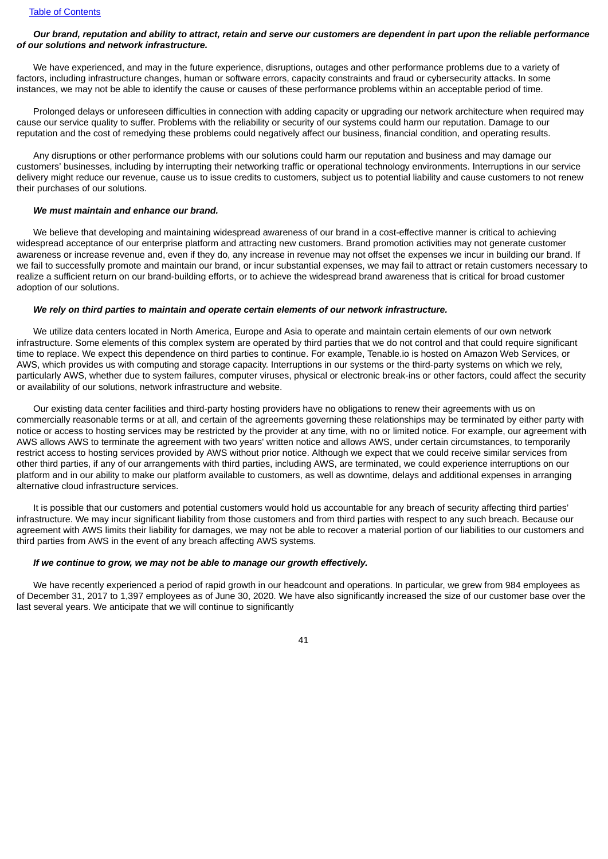#### Our brand, reputation and ability to attract, retain and serve our customers are dependent in part upon the reliable performance *of our solutions and network infrastructure.*

We have experienced, and may in the future experience, disruptions, outages and other performance problems due to a variety of factors, including infrastructure changes, human or software errors, capacity constraints and fraud or cybersecurity attacks. In some instances, we may not be able to identify the cause or causes of these performance problems within an acceptable period of time.

Prolonged delays or unforeseen difficulties in connection with adding capacity or upgrading our network architecture when required may cause our service quality to suffer. Problems with the reliability or security of our systems could harm our reputation. Damage to our reputation and the cost of remedying these problems could negatively affect our business, financial condition, and operating results.

Any disruptions or other performance problems with our solutions could harm our reputation and business and may damage our customers' businesses, including by interrupting their networking traffic or operational technology environments. Interruptions in our service delivery might reduce our revenue, cause us to issue credits to customers, subject us to potential liability and cause customers to not renew their purchases of our solutions.

## *We must maintain and enhance our brand.*

We believe that developing and maintaining widespread awareness of our brand in a cost-effective manner is critical to achieving widespread acceptance of our enterprise platform and attracting new customers. Brand promotion activities may not generate customer awareness or increase revenue and, even if they do, any increase in revenue may not offset the expenses we incur in building our brand. If we fail to successfully promote and maintain our brand, or incur substantial expenses, we may fail to attract or retain customers necessary to realize a sufficient return on our brand-building efforts, or to achieve the widespread brand awareness that is critical for broad customer adoption of our solutions.

#### *We rely on third parties to maintain and operate certain elements of our network infrastructure.*

We utilize data centers located in North America, Europe and Asia to operate and maintain certain elements of our own network infrastructure. Some elements of this complex system are operated by third parties that we do not control and that could require significant time to replace. We expect this dependence on third parties to continue. For example, Tenable.io is hosted on Amazon Web Services, or AWS, which provides us with computing and storage capacity. Interruptions in our systems or the third-party systems on which we rely, particularly AWS, whether due to system failures, computer viruses, physical or electronic break-ins or other factors, could affect the security or availability of our solutions, network infrastructure and website.

Our existing data center facilities and third-party hosting providers have no obligations to renew their agreements with us on commercially reasonable terms or at all, and certain of the agreements governing these relationships may be terminated by either party with notice or access to hosting services may be restricted by the provider at any time, with no or limited notice. For example, our agreement with AWS allows AWS to terminate the agreement with two years' written notice and allows AWS, under certain circumstances, to temporarily restrict access to hosting services provided by AWS without prior notice. Although we expect that we could receive similar services from other third parties, if any of our arrangements with third parties, including AWS, are terminated, we could experience interruptions on our platform and in our ability to make our platform available to customers, as well as downtime, delays and additional expenses in arranging alternative cloud infrastructure services.

It is possible that our customers and potential customers would hold us accountable for any breach of security affecting third parties' infrastructure. We may incur significant liability from those customers and from third parties with respect to any such breach. Because our agreement with AWS limits their liability for damages, we may not be able to recover a material portion of our liabilities to our customers and third parties from AWS in the event of any breach affecting AWS systems.

#### *If we continue to grow, we may not be able to manage our growth effectively.*

We have recently experienced a period of rapid growth in our headcount and operations. In particular, we grew from 984 employees as of December 31, 2017 to 1,397 employees as of June 30, 2020. We have also significantly increased the size of our customer base over the last several years. We anticipate that we will continue to significantly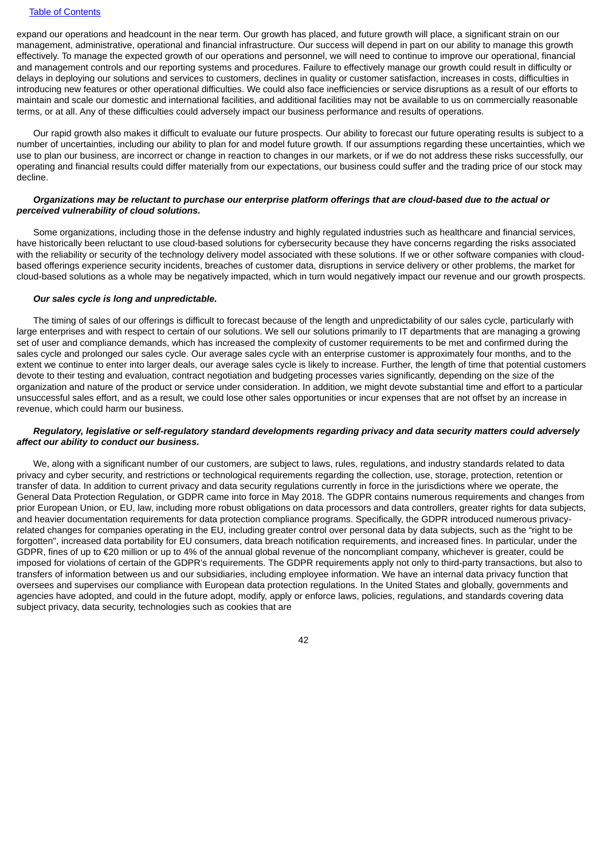expand our operations and headcount in the near term. Our growth has placed, and future growth will place, a significant strain on our management, administrative, operational and financial infrastructure. Our success will depend in part on our ability to manage this growth effectively. To manage the expected growth of our operations and personnel, we will need to continue to improve our operational, financial and management controls and our reporting systems and procedures. Failure to effectively manage our growth could result in difficulty or delays in deploying our solutions and services to customers, declines in quality or customer satisfaction, increases in costs, difficulties in introducing new features or other operational difficulties. We could also face inefficiencies or service disruptions as a result of our efforts to maintain and scale our domestic and international facilities, and additional facilities may not be available to us on commercially reasonable terms, or at all. Any of these difficulties could adversely impact our business performance and results of operations.

Our rapid growth also makes it difficult to evaluate our future prospects. Our ability to forecast our future operating results is subject to a number of uncertainties, including our ability to plan for and model future growth. If our assumptions regarding these uncertainties, which we use to plan our business, are incorrect or change in reaction to changes in our markets, or if we do not address these risks successfully, our operating and financial results could differ materially from our expectations, our business could suffer and the trading price of our stock may decline.

#### Organizations may be reluctant to purchase our enterprise platform offerings that are cloud-based due to the actual or *perceived vulnerability of cloud solutions.*

Some organizations, including those in the defense industry and highly regulated industries such as healthcare and financial services, have historically been reluctant to use cloud-based solutions for cybersecurity because they have concerns regarding the risks associated with the reliability or security of the technology delivery model associated with these solutions. If we or other software companies with cloudbased offerings experience security incidents, breaches of customer data, disruptions in service delivery or other problems, the market for cloud-based solutions as a whole may be negatively impacted, which in turn would negatively impact our revenue and our growth prospects.

#### *Our sales cycle is long and unpredictable.*

The timing of sales of our offerings is difficult to forecast because of the length and unpredictability of our sales cycle, particularly with large enterprises and with respect to certain of our solutions. We sell our solutions primarily to IT departments that are managing a growing set of user and compliance demands, which has increased the complexity of customer requirements to be met and confirmed during the sales cycle and prolonged our sales cycle. Our average sales cycle with an enterprise customer is approximately four months, and to the extent we continue to enter into larger deals, our average sales cycle is likely to increase. Further, the length of time that potential customers devote to their testing and evaluation, contract negotiation and budgeting processes varies significantly, depending on the size of the organization and nature of the product or service under consideration. In addition, we might devote substantial time and effort to a particular unsuccessful sales effort, and as a result, we could lose other sales opportunities or incur expenses that are not offset by an increase in revenue, which could harm our business.

#### *Regulatory, legislative or self-regulatory standard developments regarding privacy and data security matters could adversely affect our ability to conduct our business.*

We, along with a significant number of our customers, are subject to laws, rules, regulations, and industry standards related to data privacy and cyber security, and restrictions or technological requirements regarding the collection, use, storage, protection, retention or transfer of data. In addition to current privacy and data security regulations currently in force in the jurisdictions where we operate, the General Data Protection Regulation, or GDPR came into force in May 2018. The GDPR contains numerous requirements and changes from prior European Union, or EU, law, including more robust obligations on data processors and data controllers, greater rights for data subjects. and heavier documentation requirements for data protection compliance programs. Specifically, the GDPR introduced numerous privacyrelated changes for companies operating in the EU, including greater control over personal data by data subjects, such as the "right to be forgotten", increased data portability for EU consumers, data breach notification requirements, and increased fines. In particular, under the GDPR, fines of up to €20 million or up to 4% of the annual global revenue of the noncompliant company, whichever is greater, could be imposed for violations of certain of the GDPR's requirements. The GDPR requirements apply not only to third-party transactions, but also to transfers of information between us and our subsidiaries, including employee information. We have an internal data privacy function that oversees and supervises our compliance with European data protection regulations. In the United States and globally, governments and agencies have adopted, and could in the future adopt, modify, apply or enforce laws, policies, regulations, and standards covering data subject privacy, data security, technologies such as cookies that are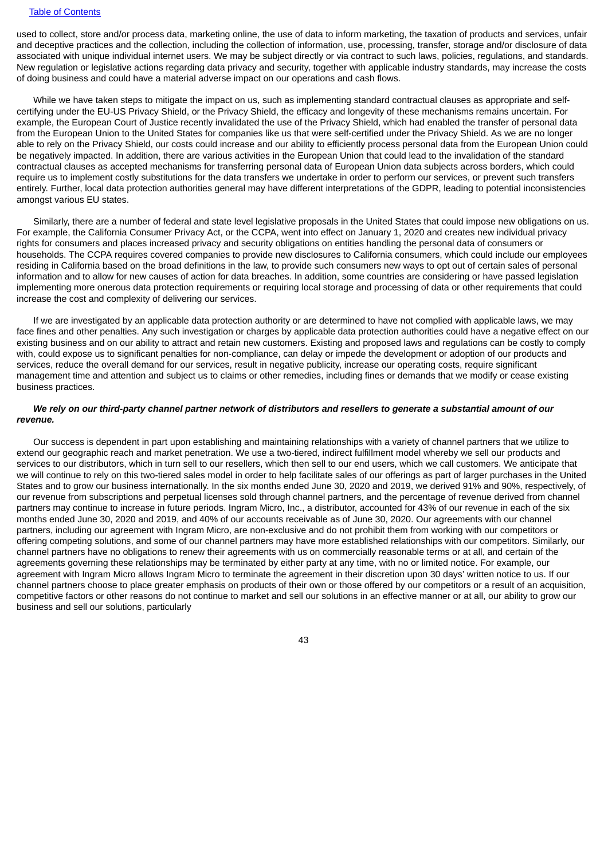used to collect, store and/or process data, marketing online, the use of data to inform marketing, the taxation of products and services, unfair and deceptive practices and the collection, including the collection of information, use, processing, transfer, storage and/or disclosure of data associated with unique individual internet users. We may be subject directly or via contract to such laws, policies, regulations, and standards. New regulation or legislative actions regarding data privacy and security, together with applicable industry standards, may increase the costs of doing business and could have a material adverse impact on our operations and cash flows.

While we have taken steps to mitigate the impact on us, such as implementing standard contractual clauses as appropriate and selfcertifying under the EU-US Privacy Shield, or the Privacy Shield, the efficacy and longevity of these mechanisms remains uncertain. For example, the European Court of Justice recently invalidated the use of the Privacy Shield, which had enabled the transfer of personal data from the European Union to the United States for companies like us that were self-certified under the Privacy Shield. As we are no longer able to rely on the Privacy Shield, our costs could increase and our ability to efficiently process personal data from the European Union could be negatively impacted. In addition, there are various activities in the European Union that could lead to the invalidation of the standard contractual clauses as accepted mechanisms for transferring personal data of European Union data subjects across borders, which could require us to implement costly substitutions for the data transfers we undertake in order to perform our services, or prevent such transfers entirely. Further, local data protection authorities general may have different interpretations of the GDPR, leading to potential inconsistencies amongst various EU states.

Similarly, there are a number of federal and state level legislative proposals in the United States that could impose new obligations on us. For example, the California Consumer Privacy Act, or the CCPA, went into effect on January 1, 2020 and creates new individual privacy rights for consumers and places increased privacy and security obligations on entities handling the personal data of consumers or households. The CCPA requires covered companies to provide new disclosures to California consumers, which could include our employees residing in California based on the broad definitions in the law, to provide such consumers new ways to opt out of certain sales of personal information and to allow for new causes of action for data breaches. In addition, some countries are considering or have passed legislation implementing more onerous data protection requirements or requiring local storage and processing of data or other requirements that could increase the cost and complexity of delivering our services.

If we are investigated by an applicable data protection authority or are determined to have not complied with applicable laws, we may face fines and other penalties. Any such investigation or charges by applicable data protection authorities could have a negative effect on our existing business and on our ability to attract and retain new customers. Existing and proposed laws and regulations can be costly to comply with, could expose us to significant penalties for non-compliance, can delay or impede the development or adoption of our products and services, reduce the overall demand for our services, result in negative publicity, increase our operating costs, require significant management time and attention and subject us to claims or other remedies, including fines or demands that we modify or cease existing business practices.

#### We rely on our third-party channel partner network of distributors and resellers to generate a substantial amount of our *revenue.*

Our success is dependent in part upon establishing and maintaining relationships with a variety of channel partners that we utilize to extend our geographic reach and market penetration. We use a two-tiered, indirect fulfillment model whereby we sell our products and services to our distributors, which in turn sell to our resellers, which then sell to our end users, which we call customers. We anticipate that we will continue to rely on this two-tiered sales model in order to help facilitate sales of our offerings as part of larger purchases in the United States and to grow our business internationally. In the six months ended June 30, 2020 and 2019, we derived 91% and 90%, respectively, of our revenue from subscriptions and perpetual licenses sold through channel partners, and the percentage of revenue derived from channel partners may continue to increase in future periods. Ingram Micro, Inc., a distributor, accounted for 43% of our revenue in each of the six months ended June 30, 2020 and 2019, and 40% of our accounts receivable as of June 30, 2020. Our agreements with our channel partners, including our agreement with Ingram Micro, are non-exclusive and do not prohibit them from working with our competitors or offering competing solutions, and some of our channel partners may have more established relationships with our competitors. Similarly, our channel partners have no obligations to renew their agreements with us on commercially reasonable terms or at all, and certain of the agreements governing these relationships may be terminated by either party at any time, with no or limited notice. For example, our agreement with Ingram Micro allows Ingram Micro to terminate the agreement in their discretion upon 30 days' written notice to us. If our channel partners choose to place greater emphasis on products of their own or those offered by our competitors or a result of an acquisition, competitive factors or other reasons do not continue to market and sell our solutions in an effective manner or at all, our ability to grow our business and sell our solutions, particularly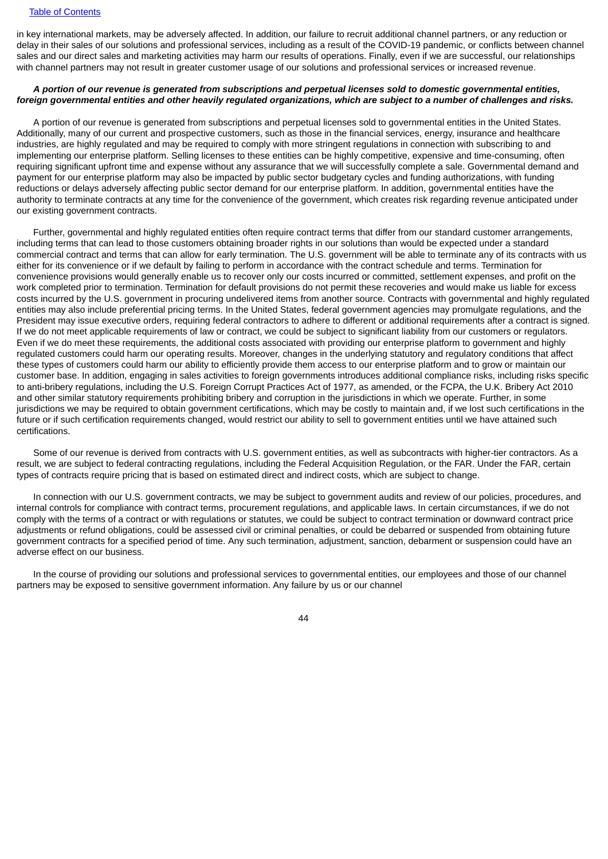in key international markets, may be adversely affected. In addition, our failure to recruit additional channel partners, or any reduction or delay in their sales of our solutions and professional services, including as a result of the COVID-19 pandemic, or conflicts between channel sales and our direct sales and marketing activities may harm our results of operations. Finally, even if we are successful, our relationships with channel partners may not result in greater customer usage of our solutions and professional services or increased revenue.

## A portion of our revenue is generated from subscriptions and perpetual licenses sold to domestic governmental entities. foreign governmental entities and other heavily regulated organizations, which are subject to a number of challenges and risks.

A portion of our revenue is generated from subscriptions and perpetual licenses sold to governmental entities in the United States. Additionally, many of our current and prospective customers, such as those in the financial services, energy, insurance and healthcare industries, are highly regulated and may be required to comply with more stringent regulations in connection with subscribing to and implementing our enterprise platform. Selling licenses to these entities can be highly competitive, expensive and time-consuming, often requiring significant upfront time and expense without any assurance that we will successfully complete a sale. Governmental demand and payment for our enterprise platform may also be impacted by public sector budgetary cycles and funding authorizations, with funding reductions or delays adversely affecting public sector demand for our enterprise platform. In addition, governmental entities have the authority to terminate contracts at any time for the convenience of the government, which creates risk regarding revenue anticipated under our existing government contracts.

Further, governmental and highly regulated entities often require contract terms that differ from our standard customer arrangements, including terms that can lead to those customers obtaining broader rights in our solutions than would be expected under a standard commercial contract and terms that can allow for early termination. The U.S. government will be able to terminate any of its contracts with us either for its convenience or if we default by failing to perform in accordance with the contract schedule and terms. Termination for convenience provisions would generally enable us to recover only our costs incurred or committed, settlement expenses, and profit on the work completed prior to termination. Termination for default provisions do not permit these recoveries and would make us liable for excess costs incurred by the U.S. government in procuring undelivered items from another source. Contracts with governmental and highly regulated entities may also include preferential pricing terms. In the United States, federal government agencies may promulgate regulations, and the President may issue executive orders, requiring federal contractors to adhere to different or additional requirements after a contract is signed. If we do not meet applicable requirements of law or contract, we could be subject to significant liability from our customers or regulators. Even if we do meet these requirements, the additional costs associated with providing our enterprise platform to government and highly regulated customers could harm our operating results. Moreover, changes in the underlying statutory and regulatory conditions that affect these types of customers could harm our ability to efficiently provide them access to our enterprise platform and to grow or maintain our customer base. In addition, engaging in sales activities to foreign governments introduces additional compliance risks, including risks specific to anti-bribery regulations, including the U.S. Foreign Corrupt Practices Act of 1977, as amended, or the FCPA, the U.K. Bribery Act 2010 and other similar statutory requirements prohibiting bribery and corruption in the jurisdictions in which we operate. Further, in some jurisdictions we may be required to obtain government certifications, which may be costly to maintain and, if we lost such certifications in the future or if such certification requirements changed, would restrict our ability to sell to government entities until we have attained such certifications.

Some of our revenue is derived from contracts with U.S. government entities, as well as subcontracts with higher-tier contractors. As a result, we are subject to federal contracting regulations, including the Federal Acquisition Regulation, or the FAR. Under the FAR, certain types of contracts require pricing that is based on estimated direct and indirect costs, which are subject to change.

In connection with our U.S. government contracts, we may be subject to government audits and review of our policies, procedures, and internal controls for compliance with contract terms, procurement regulations, and applicable laws. In certain circumstances, if we do not comply with the terms of a contract or with regulations or statutes, we could be subject to contract termination or downward contract price adjustments or refund obligations, could be assessed civil or criminal penalties, or could be debarred or suspended from obtaining future government contracts for a specified period of time. Any such termination, adjustment, sanction, debarment or suspension could have an adverse effect on our business.

In the course of providing our solutions and professional services to governmental entities, our employees and those of our channel partners may be exposed to sensitive government information. Any failure by us or our channel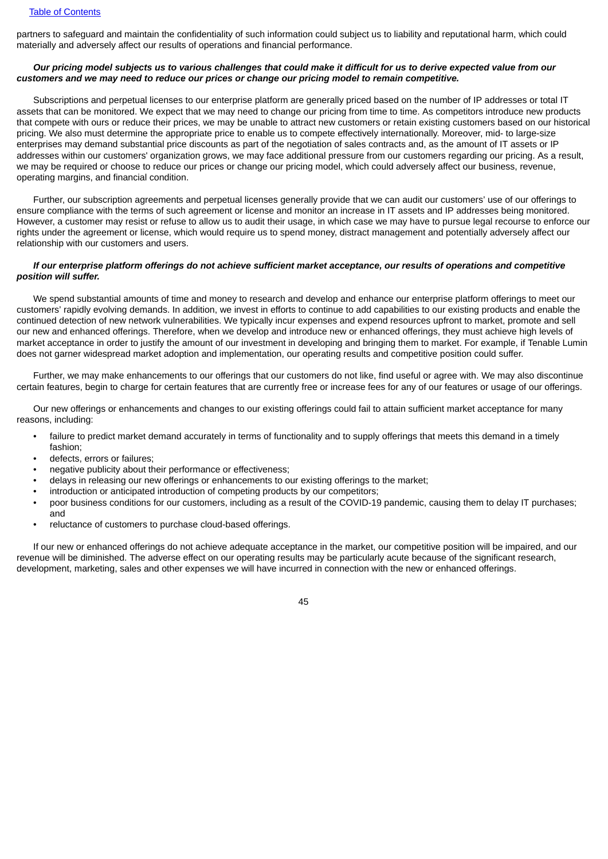partners to safeguard and maintain the confidentiality of such information could subject us to liability and reputational harm, which could materially and adversely affect our results of operations and financial performance.

## Our pricing model subjects us to various challenges that could make it difficult for us to derive expected value from our *customers and we may need to reduce our prices or change our pricing model to remain competitive.*

Subscriptions and perpetual licenses to our enterprise platform are generally priced based on the number of IP addresses or total IT assets that can be monitored. We expect that we may need to change our pricing from time to time. As competitors introduce new products that compete with ours or reduce their prices, we may be unable to attract new customers or retain existing customers based on our historical pricing. We also must determine the appropriate price to enable us to compete effectively internationally. Moreover, mid- to large-size enterprises may demand substantial price discounts as part of the negotiation of sales contracts and, as the amount of IT assets or IP addresses within our customers' organization grows, we may face additional pressure from our customers regarding our pricing. As a result, we may be required or choose to reduce our prices or change our pricing model, which could adversely affect our business, revenue, operating margins, and financial condition.

Further, our subscription agreements and perpetual licenses generally provide that we can audit our customers' use of our offerings to ensure compliance with the terms of such agreement or license and monitor an increase in IT assets and IP addresses being monitored. However, a customer may resist or refuse to allow us to audit their usage, in which case we may have to pursue legal recourse to enforce our rights under the agreement or license, which would require us to spend money, distract management and potentially adversely affect our relationship with our customers and users.

#### If our enterprise platform offerings do not achieve sufficient market acceptance, our results of operations and competitive *position will suffer.*

We spend substantial amounts of time and money to research and develop and enhance our enterprise platform offerings to meet our customers' rapidly evolving demands. In addition, we invest in efforts to continue to add capabilities to our existing products and enable the continued detection of new network vulnerabilities. We typically incur expenses and expend resources upfront to market, promote and sell our new and enhanced offerings. Therefore, when we develop and introduce new or enhanced offerings, they must achieve high levels of market acceptance in order to justify the amount of our investment in developing and bringing them to market. For example, if Tenable Lumin does not garner widespread market adoption and implementation, our operating results and competitive position could suffer.

Further, we may make enhancements to our offerings that our customers do not like, find useful or agree with. We may also discontinue certain features, begin to charge for certain features that are currently free or increase fees for any of our features or usage of our offerings.

Our new offerings or enhancements and changes to our existing offerings could fail to attain sufficient market acceptance for many reasons, including:

- failure to predict market demand accurately in terms of functionality and to supply offerings that meets this demand in a timely fashion;
- defects, errors or failures;
- negative publicity about their performance or effectiveness;
- delays in releasing our new offerings or enhancements to our existing offerings to the market;
- introduction or anticipated introduction of competing products by our competitors;
- poor business conditions for our customers, including as a result of the COVID-19 pandemic, causing them to delay IT purchases; and
- reluctance of customers to purchase cloud-based offerings.

If our new or enhanced offerings do not achieve adequate acceptance in the market, our competitive position will be impaired, and our revenue will be diminished. The adverse effect on our operating results may be particularly acute because of the significant research, development, marketing, sales and other expenses we will have incurred in connection with the new or enhanced offerings.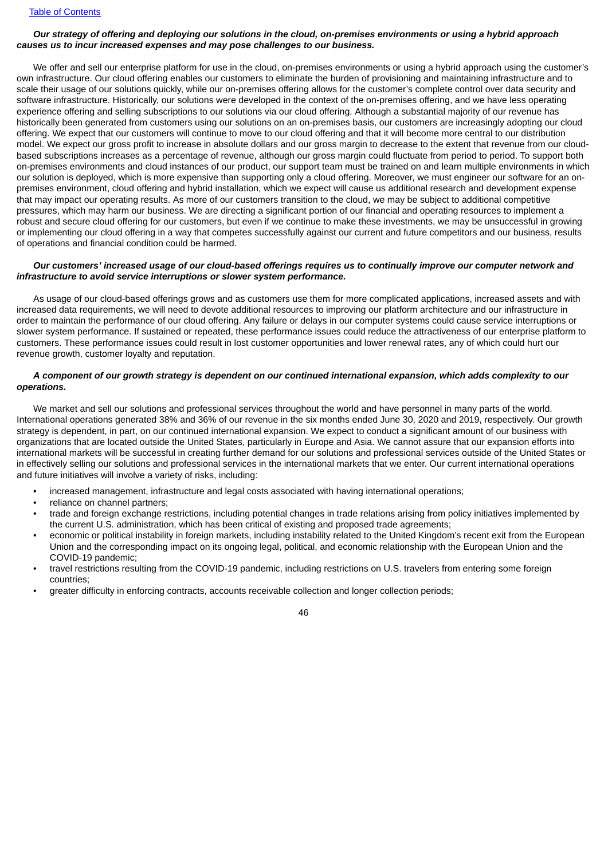#### Our strategy of offering and deploying our solutions in the cloud, on-premises environments or using a hybrid approach *causes us to incur increased expenses and may pose challenges to our business.*

We offer and sell our enterprise platform for use in the cloud, on-premises environments or using a hybrid approach using the customer's own infrastructure. Our cloud offering enables our customers to eliminate the burden of provisioning and maintaining infrastructure and to scale their usage of our solutions quickly, while our on-premises offering allows for the customer's complete control over data security and software infrastructure. Historically, our solutions were developed in the context of the on-premises offering, and we have less operating experience offering and selling subscriptions to our solutions via our cloud offering. Although a substantial majority of our revenue has historically been generated from customers using our solutions on an on-premises basis, our customers are increasingly adopting our cloud offering. We expect that our customers will continue to move to our cloud offering and that it will become more central to our distribution model. We expect our gross profit to increase in absolute dollars and our gross margin to decrease to the extent that revenue from our cloudbased subscriptions increases as a percentage of revenue, although our gross margin could fluctuate from period to period. To support both on-premises environments and cloud instances of our product, our support team must be trained on and learn multiple environments in which our solution is deployed, which is more expensive than supporting only a cloud offering. Moreover, we must engineer our software for an onpremises environment, cloud offering and hybrid installation, which we expect will cause us additional research and development expense that may impact our operating results. As more of our customers transition to the cloud, we may be subject to additional competitive pressures, which may harm our business. We are directing a significant portion of our financial and operating resources to implement a robust and secure cloud offering for our customers, but even if we continue to make these investments, we may be unsuccessful in growing or implementing our cloud offering in a way that competes successfully against our current and future competitors and our business, results of operations and financial condition could be harmed.

## Our customers' increased usage of our cloud-based offerings requires us to continually improve our computer network and *infrastructure to avoid service interruptions or slower system performance.*

As usage of our cloud-based offerings grows and as customers use them for more complicated applications, increased assets and with increased data requirements, we will need to devote additional resources to improving our platform architecture and our infrastructure in order to maintain the performance of our cloud offering. Any failure or delays in our computer systems could cause service interruptions or slower system performance. If sustained or repeated, these performance issues could reduce the attractiveness of our enterprise platform to customers. These performance issues could result in lost customer opportunities and lower renewal rates, any of which could hurt our revenue growth, customer loyalty and reputation.

## A component of our growth strategy is dependent on our continued international expansion, which adds complexity to our *operations.*

We market and sell our solutions and professional services throughout the world and have personnel in many parts of the world. International operations generated 38% and 36% of our revenue in the six months ended June 30, 2020 and 2019, respectively. Our growth strategy is dependent, in part, on our continued international expansion. We expect to conduct a significant amount of our business with organizations that are located outside the United States, particularly in Europe and Asia. We cannot assure that our expansion efforts into international markets will be successful in creating further demand for our solutions and professional services outside of the United States or in effectively selling our solutions and professional services in the international markets that we enter. Our current international operations and future initiatives will involve a variety of risks, including:

- increased management, infrastructure and legal costs associated with having international operations;
- reliance on channel partners;
- trade and foreign exchange restrictions, including potential changes in trade relations arising from policy initiatives implemented by the current U.S. administration, which has been critical of existing and proposed trade agreements;
- economic or political instability in foreign markets, including instability related to the United Kingdom's recent exit from the European Union and the corresponding impact on its ongoing legal, political, and economic relationship with the European Union and the COVID-19 pandemic;
- travel restrictions resulting from the COVID-19 pandemic, including restrictions on U.S. travelers from entering some foreign countries;
- greater difficulty in enforcing contracts, accounts receivable collection and longer collection periods;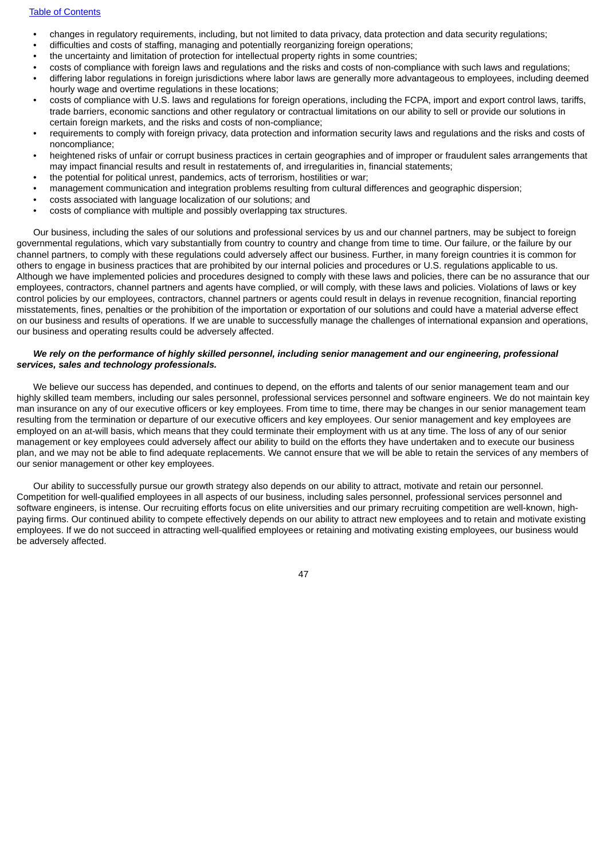- changes in regulatory requirements, including, but not limited to data privacy, data protection and data security regulations;
- difficulties and costs of staffing, managing and potentially reorganizing foreign operations;
- the uncertainty and limitation of protection for intellectual property rights in some countries;
- costs of compliance with foreign laws and regulations and the risks and costs of non-compliance with such laws and regulations;
- differing labor regulations in foreign jurisdictions where labor laws are generally more advantageous to employees, including deemed hourly wage and overtime regulations in these locations;
- costs of compliance with U.S. laws and regulations for foreign operations, including the FCPA, import and export control laws, tariffs, trade barriers, economic sanctions and other regulatory or contractual limitations on our ability to sell or provide our solutions in certain foreign markets, and the risks and costs of non-compliance;
- requirements to comply with foreign privacy, data protection and information security laws and regulations and the risks and costs of noncompliance;
- heightened risks of unfair or corrupt business practices in certain geographies and of improper or fraudulent sales arrangements that may impact financial results and result in restatements of, and irregularities in, financial statements;
- the potential for political unrest, pandemics, acts of terrorism, hostilities or war;
- management communication and integration problems resulting from cultural differences and geographic dispersion;
- costs associated with language localization of our solutions; and
- costs of compliance with multiple and possibly overlapping tax structures.

Our business, including the sales of our solutions and professional services by us and our channel partners, may be subject to foreign governmental regulations, which vary substantially from country to country and change from time to time. Our failure, or the failure by our channel partners, to comply with these regulations could adversely affect our business. Further, in many foreign countries it is common for others to engage in business practices that are prohibited by our internal policies and procedures or U.S. regulations applicable to us. Although we have implemented policies and procedures designed to comply with these laws and policies, there can be no assurance that our employees, contractors, channel partners and agents have complied, or will comply, with these laws and policies. Violations of laws or key control policies by our employees, contractors, channel partners or agents could result in delays in revenue recognition, financial reporting misstatements, fines, penalties or the prohibition of the importation or exportation of our solutions and could have a material adverse effect on our business and results of operations. If we are unable to successfully manage the challenges of international expansion and operations, our business and operating results could be adversely affected.

#### We rely on the performance of highly skilled personnel, including senior management and our engineering, professional *services, sales and technology professionals.*

We believe our success has depended, and continues to depend, on the efforts and talents of our senior management team and our highly skilled team members, including our sales personnel, professional services personnel and software engineers. We do not maintain key man insurance on any of our executive officers or key employees. From time to time, there may be changes in our senior management team resulting from the termination or departure of our executive officers and key employees. Our senior management and key employees are employed on an at-will basis, which means that they could terminate their employment with us at any time. The loss of any of our senior management or key employees could adversely affect our ability to build on the efforts they have undertaken and to execute our business plan, and we may not be able to find adequate replacements. We cannot ensure that we will be able to retain the services of any members of our senior management or other key employees.

Our ability to successfully pursue our growth strategy also depends on our ability to attract, motivate and retain our personnel. Competition for well-qualified employees in all aspects of our business, including sales personnel, professional services personnel and software engineers, is intense. Our recruiting efforts focus on elite universities and our primary recruiting competition are well-known, highpaying firms. Our continued ability to compete effectively depends on our ability to attract new employees and to retain and motivate existing employees. If we do not succeed in attracting well-qualified employees or retaining and motivating existing employees, our business would be adversely affected.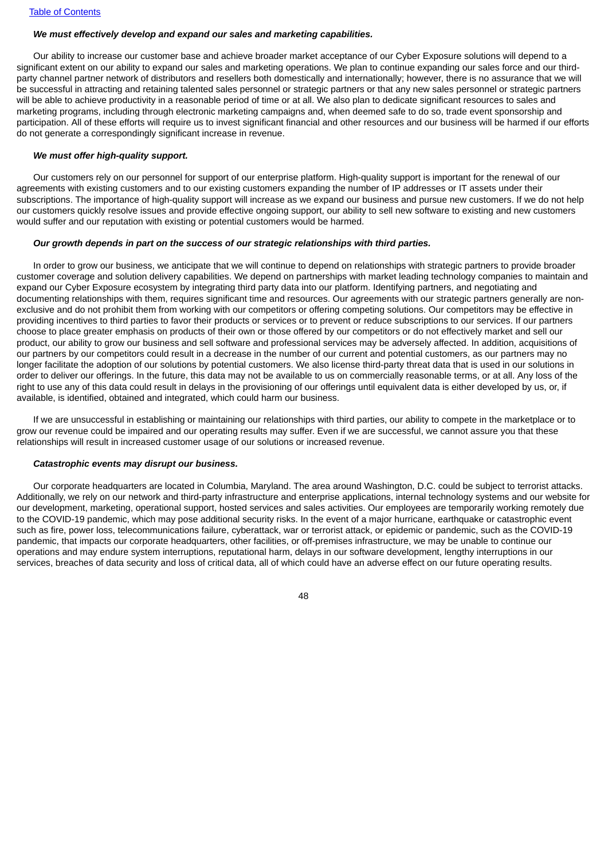#### *We must effectively develop and expand our sales and marketing capabilities.*

Our ability to increase our customer base and achieve broader market acceptance of our Cyber Exposure solutions will depend to a significant extent on our ability to expand our sales and marketing operations. We plan to continue expanding our sales force and our thirdparty channel partner network of distributors and resellers both domestically and internationally; however, there is no assurance that we will be successful in attracting and retaining talented sales personnel or strategic partners or that any new sales personnel or strategic partners will be able to achieve productivity in a reasonable period of time or at all. We also plan to dedicate significant resources to sales and marketing programs, including through electronic marketing campaigns and, when deemed safe to do so, trade event sponsorship and participation. All of these efforts will require us to invest significant financial and other resources and our business will be harmed if our efforts do not generate a correspondingly significant increase in revenue.

#### *We must offer high-quality support.*

Our customers rely on our personnel for support of our enterprise platform. High-quality support is important for the renewal of our agreements with existing customers and to our existing customers expanding the number of IP addresses or IT assets under their subscriptions. The importance of high-quality support will increase as we expand our business and pursue new customers. If we do not help our customers quickly resolve issues and provide effective ongoing support, our ability to sell new software to existing and new customers would suffer and our reputation with existing or potential customers would be harmed.

#### *Our growth depends in part on the success of our strategic relationships with third parties.*

In order to grow our business, we anticipate that we will continue to depend on relationships with strategic partners to provide broader customer coverage and solution delivery capabilities. We depend on partnerships with market leading technology companies to maintain and expand our Cyber Exposure ecosystem by integrating third party data into our platform. Identifying partners, and negotiating and documenting relationships with them, requires significant time and resources. Our agreements with our strategic partners generally are nonexclusive and do not prohibit them from working with our competitors or offering competing solutions. Our competitors may be effective in providing incentives to third parties to favor their products or services or to prevent or reduce subscriptions to our services. If our partners choose to place greater emphasis on products of their own or those offered by our competitors or do not effectively market and sell our product, our ability to grow our business and sell software and professional services may be adversely affected. In addition, acquisitions of our partners by our competitors could result in a decrease in the number of our current and potential customers, as our partners may no longer facilitate the adoption of our solutions by potential customers. We also license third-party threat data that is used in our solutions in order to deliver our offerings. In the future, this data may not be available to us on commercially reasonable terms, or at all. Any loss of the right to use any of this data could result in delays in the provisioning of our offerings until equivalent data is either developed by us, or, if available, is identified, obtained and integrated, which could harm our business.

If we are unsuccessful in establishing or maintaining our relationships with third parties, our ability to compete in the marketplace or to grow our revenue could be impaired and our operating results may suffer. Even if we are successful, we cannot assure you that these relationships will result in increased customer usage of our solutions or increased revenue.

#### *Catastrophic events may disrupt our business.*

Our corporate headquarters are located in Columbia, Maryland. The area around Washington, D.C. could be subject to terrorist attacks. Additionally, we rely on our network and third-party infrastructure and enterprise applications, internal technology systems and our website for our development, marketing, operational support, hosted services and sales activities. Our employees are temporarily working remotely due to the COVID-19 pandemic, which may pose additional security risks. In the event of a major hurricane, earthquake or catastrophic event such as fire, power loss, telecommunications failure, cyberattack, war or terrorist attack, or epidemic or pandemic, such as the COVID-19 pandemic, that impacts our corporate headquarters, other facilities, or off-premises infrastructure, we may be unable to continue our operations and may endure system interruptions, reputational harm, delays in our software development, lengthy interruptions in our services, breaches of data security and loss of critical data, all of which could have an adverse effect on our future operating results.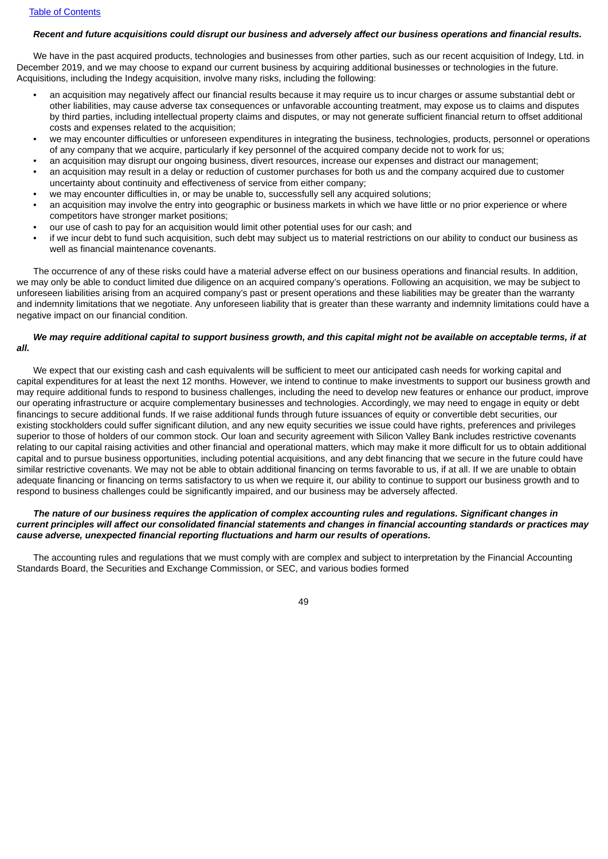#### Recent and future acquisitions could disrupt our business and adversely affect our business operations and financial results.

We have in the past acquired products, technologies and businesses from other parties, such as our recent acquisition of Indegy, Ltd. in December 2019, and we may choose to expand our current business by acquiring additional businesses or technologies in the future. Acquisitions, including the Indegy acquisition, involve many risks, including the following:

- an acquisition may negatively affect our financial results because it may require us to incur charges or assume substantial debt or other liabilities, may cause adverse tax consequences or unfavorable accounting treatment, may expose us to claims and disputes by third parties, including intellectual property claims and disputes, or may not generate sufficient financial return to offset additional costs and expenses related to the acquisition;
- we may encounter difficulties or unforeseen expenditures in integrating the business, technologies, products, personnel or operations of any company that we acquire, particularly if key personnel of the acquired company decide not to work for us;
- an acquisition may disrupt our ongoing business, divert resources, increase our expenses and distract our management;
- an acquisition may result in a delay or reduction of customer purchases for both us and the company acquired due to customer uncertainty about continuity and effectiveness of service from either company;
- we may encounter difficulties in, or may be unable to, successfully sell any acquired solutions;
- an acquisition may involve the entry into geographic or business markets in which we have little or no prior experience or where competitors have stronger market positions;
- our use of cash to pay for an acquisition would limit other potential uses for our cash; and
- if we incur debt to fund such acquisition, such debt may subject us to material restrictions on our ability to conduct our business as well as financial maintenance covenants.

The occurrence of any of these risks could have a material adverse effect on our business operations and financial results. In addition, we may only be able to conduct limited due diligence on an acquired company's operations. Following an acquisition, we may be subject to unforeseen liabilities arising from an acquired company's past or present operations and these liabilities may be greater than the warranty and indemnity limitations that we negotiate. Any unforeseen liability that is greater than these warranty and indemnity limitations could have a negative impact on our financial condition.

#### We may require additional capital to support business growth, and this capital might not be available on acceptable terms, if at *all.*

We expect that our existing cash and cash equivalents will be sufficient to meet our anticipated cash needs for working capital and capital expenditures for at least the next 12 months. However, we intend to continue to make investments to support our business growth and may require additional funds to respond to business challenges, including the need to develop new features or enhance our product, improve our operating infrastructure or acquire complementary businesses and technologies. Accordingly, we may need to engage in equity or debt financings to secure additional funds. If we raise additional funds through future issuances of equity or convertible debt securities, our existing stockholders could suffer significant dilution, and any new equity securities we issue could have rights, preferences and privileges superior to those of holders of our common stock. Our loan and security agreement with Silicon Valley Bank includes restrictive covenants relating to our capital raising activities and other financial and operational matters, which may make it more difficult for us to obtain additional capital and to pursue business opportunities, including potential acquisitions, and any debt financing that we secure in the future could have similar restrictive covenants. We may not be able to obtain additional financing on terms favorable to us, if at all. If we are unable to obtain adequate financing or financing on terms satisfactory to us when we require it, our ability to continue to support our business growth and to respond to business challenges could be significantly impaired, and our business may be adversely affected.

## The nature of our business requires the application of complex accounting rules and regulations. Significant changes in current principles will affect our consolidated financial statements and changes in financial accounting standards or practices may *cause adverse, unexpected financial reporting fluctuations and harm our results of operations.*

The accounting rules and regulations that we must comply with are complex and subject to interpretation by the Financial Accounting Standards Board, the Securities and Exchange Commission, or SEC, and various bodies formed

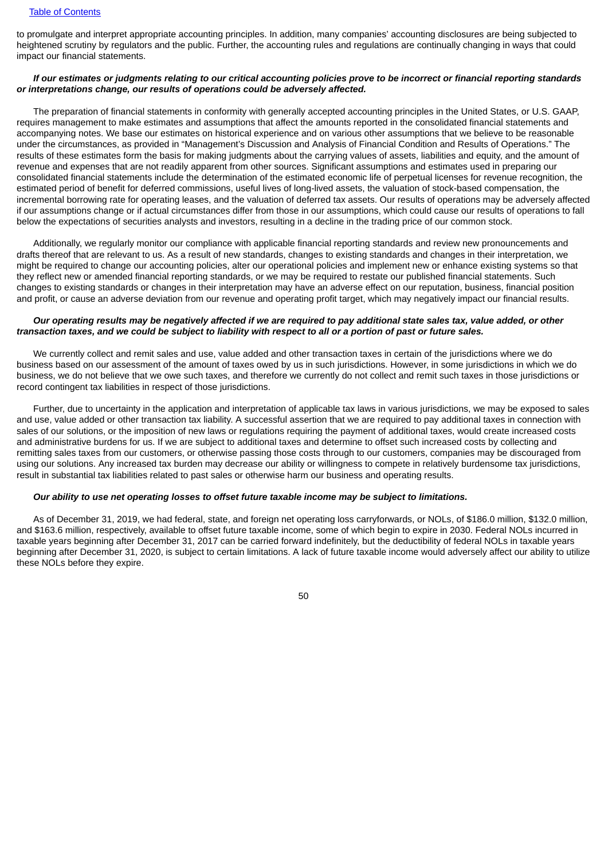to promulgate and interpret appropriate accounting principles. In addition, many companies' accounting disclosures are being subjected to heightened scrutiny by regulators and the public. Further, the accounting rules and regulations are continually changing in ways that could impact our financial statements.

#### If our estimates or judgments relating to our critical accounting policies prove to be incorrect or financial reporting standards *or interpretations change, our results of operations could be adversely affected.*

The preparation of financial statements in conformity with generally accepted accounting principles in the United States, or U.S. GAAP, requires management to make estimates and assumptions that affect the amounts reported in the consolidated financial statements and accompanying notes. We base our estimates on historical experience and on various other assumptions that we believe to be reasonable under the circumstances, as provided in "Management's Discussion and Analysis of Financial Condition and Results of Operations." The results of these estimates form the basis for making judgments about the carrying values of assets, liabilities and equity, and the amount of revenue and expenses that are not readily apparent from other sources. Significant assumptions and estimates used in preparing our consolidated financial statements include the determination of the estimated economic life of perpetual licenses for revenue recognition, the estimated period of benefit for deferred commissions, useful lives of long-lived assets, the valuation of stock-based compensation, the incremental borrowing rate for operating leases, and the valuation of deferred tax assets. Our results of operations may be adversely affected if our assumptions change or if actual circumstances differ from those in our assumptions, which could cause our results of operations to fall below the expectations of securities analysts and investors, resulting in a decline in the trading price of our common stock.

Additionally, we regularly monitor our compliance with applicable financial reporting standards and review new pronouncements and drafts thereof that are relevant to us. As a result of new standards, changes to existing standards and changes in their interpretation, we might be required to change our accounting policies, alter our operational policies and implement new or enhance existing systems so that they reflect new or amended financial reporting standards, or we may be required to restate our published financial statements. Such changes to existing standards or changes in their interpretation may have an adverse effect on our reputation, business, financial position and profit, or cause an adverse deviation from our revenue and operating profit target, which may negatively impact our financial results.

## Our operating results may be negatively affected if we are required to pay additional state sales tax, value added, or other transaction taxes, and we could be subject to liability with respect to all or a portion of past or future sales.

We currently collect and remit sales and use, value added and other transaction taxes in certain of the jurisdictions where we do business based on our assessment of the amount of taxes owed by us in such jurisdictions. However, in some jurisdictions in which we do business, we do not believe that we owe such taxes, and therefore we currently do not collect and remit such taxes in those jurisdictions or record contingent tax liabilities in respect of those jurisdictions.

Further, due to uncertainty in the application and interpretation of applicable tax laws in various jurisdictions, we may be exposed to sales and use, value added or other transaction tax liability. A successful assertion that we are required to pay additional taxes in connection with sales of our solutions, or the imposition of new laws or regulations requiring the payment of additional taxes, would create increased costs and administrative burdens for us. If we are subject to additional taxes and determine to offset such increased costs by collecting and remitting sales taxes from our customers, or otherwise passing those costs through to our customers, companies may be discouraged from using our solutions. Any increased tax burden may decrease our ability or willingness to compete in relatively burdensome tax jurisdictions, result in substantial tax liabilities related to past sales or otherwise harm our business and operating results.

#### *Our ability to use net operating losses to offset future taxable income may be subject to limitations.*

As of December 31, 2019, we had federal, state, and foreign net operating loss carryforwards, or NOLs, of \$186.0 million, \$132.0 million, and \$163.6 million, respectively, available to offset future taxable income, some of which begin to expire in 2030. Federal NOLs incurred in taxable years beginning after December 31, 2017 can be carried forward indefinitely, but the deductibility of federal NOLs in taxable years beginning after December 31, 2020, is subject to certain limitations. A lack of future taxable income would adversely affect our ability to utilize these NOLs before they expire.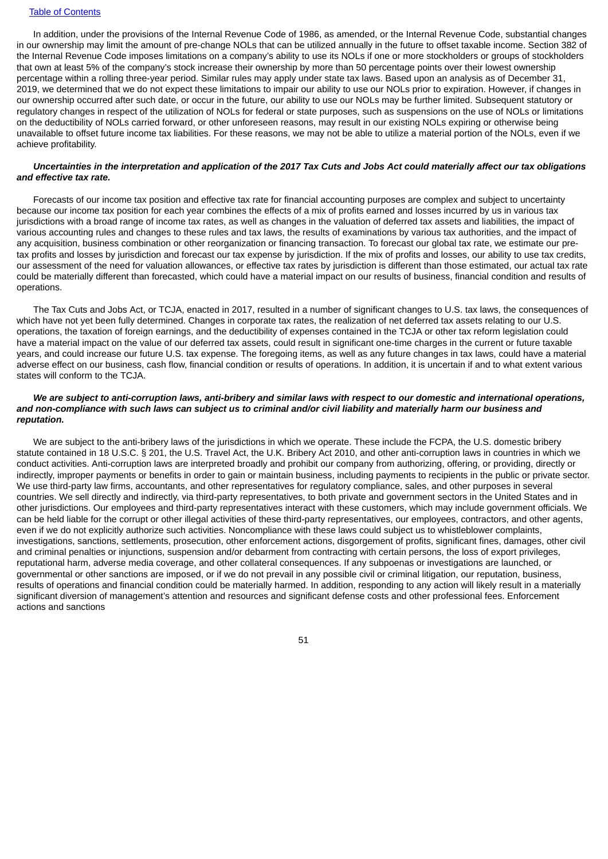In addition, under the provisions of the Internal Revenue Code of 1986, as amended, or the Internal Revenue Code, substantial changes in our ownership may limit the amount of pre-change NOLs that can be utilized annually in the future to offset taxable income. Section 382 of the Internal Revenue Code imposes limitations on a company's ability to use its NOLs if one or more stockholders or groups of stockholders that own at least 5% of the company's stock increase their ownership by more than 50 percentage points over their lowest ownership percentage within a rolling three-year period. Similar rules may apply under state tax laws. Based upon an analysis as of December 31, 2019, we determined that we do not expect these limitations to impair our ability to use our NOLs prior to expiration. However, if changes in our ownership occurred after such date, or occur in the future, our ability to use our NOLs may be further limited. Subsequent statutory or regulatory changes in respect of the utilization of NOLs for federal or state purposes, such as suspensions on the use of NOLs or limitations on the deductibility of NOLs carried forward, or other unforeseen reasons, may result in our existing NOLs expiring or otherwise being unavailable to offset future income tax liabilities. For these reasons, we may not be able to utilize a material portion of the NOLs, even if we achieve profitability.

#### Uncertainties in the interpretation and application of the 2017 Tax Cuts and Jobs Act could materially affect our tax obligations *and effective tax rate.*

Forecasts of our income tax position and effective tax rate for financial accounting purposes are complex and subject to uncertainty because our income tax position for each year combines the effects of a mix of profits earned and losses incurred by us in various tax jurisdictions with a broad range of income tax rates, as well as changes in the valuation of deferred tax assets and liabilities, the impact of various accounting rules and changes to these rules and tax laws, the results of examinations by various tax authorities, and the impact of any acquisition, business combination or other reorganization or financing transaction. To forecast our global tax rate, we estimate our pretax profits and losses by jurisdiction and forecast our tax expense by jurisdiction. If the mix of profits and losses, our ability to use tax credits, our assessment of the need for valuation allowances, or effective tax rates by jurisdiction is different than those estimated, our actual tax rate could be materially different than forecasted, which could have a material impact on our results of business, financial condition and results of operations.

The Tax Cuts and Jobs Act, or TCJA, enacted in 2017, resulted in a number of significant changes to U.S. tax laws, the consequences of which have not yet been fully determined. Changes in corporate tax rates, the realization of net deferred tax assets relating to our U.S. operations, the taxation of foreign earnings, and the deductibility of expenses contained in the TCJA or other tax reform legislation could have a material impact on the value of our deferred tax assets, could result in significant one-time charges in the current or future taxable years, and could increase our future U.S. tax expense. The foregoing items, as well as any future changes in tax laws, could have a material adverse effect on our business, cash flow, financial condition or results of operations. In addition, it is uncertain if and to what extent various states will conform to the TCJA.

#### We are subject to anti-corruption laws, anti-bribery and similar laws with respect to our domestic and international operations, and non-compliance with such laws can subject us to criminal and/or civil liability and materially harm our business and *reputation.*

We are subject to the anti-bribery laws of the jurisdictions in which we operate. These include the FCPA, the U.S. domestic bribery statute contained in 18 U.S.C. § 201, the U.S. Travel Act, the U.K. Bribery Act 2010, and other anti-corruption laws in countries in which we conduct activities. Anti-corruption laws are interpreted broadly and prohibit our company from authorizing, offering, or providing, directly or indirectly, improper payments or benefits in order to gain or maintain business, including payments to recipients in the public or private sector. We use third-party law firms, accountants, and other representatives for regulatory compliance, sales, and other purposes in several countries. We sell directly and indirectly, via third-party representatives, to both private and government sectors in the United States and in other jurisdictions. Our employees and third-party representatives interact with these customers, which may include government officials. We can be held liable for the corrupt or other illegal activities of these third-party representatives, our employees, contractors, and other agents, even if we do not explicitly authorize such activities. Noncompliance with these laws could subject us to whistleblower complaints, investigations, sanctions, settlements, prosecution, other enforcement actions, disgorgement of profits, significant fines, damages, other civil and criminal penalties or injunctions, suspension and/or debarment from contracting with certain persons, the loss of export privileges, reputational harm, adverse media coverage, and other collateral consequences. If any subpoenas or investigations are launched, or governmental or other sanctions are imposed, or if we do not prevail in any possible civil or criminal litigation, our reputation, business, results of operations and financial condition could be materially harmed. In addition, responding to any action will likely result in a materially significant diversion of management's attention and resources and significant defense costs and other professional fees. Enforcement actions and sanctions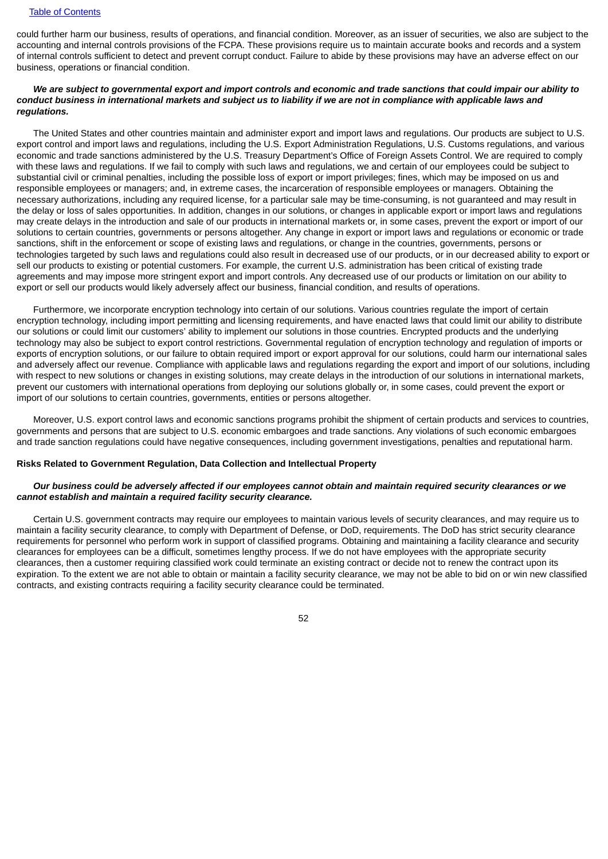could further harm our business, results of operations, and financial condition. Moreover, as an issuer of securities, we also are subject to the accounting and internal controls provisions of the FCPA. These provisions require us to maintain accurate books and records and a system of internal controls sufficient to detect and prevent corrupt conduct. Failure to abide by these provisions may have an adverse effect on our business, operations or financial condition.

#### We are subject to governmental export and import controls and economic and trade sanctions that could impair our ability to conduct business in international markets and subiect us to liability if we are not in compliance with applicable laws and *regulations.*

The United States and other countries maintain and administer export and import laws and regulations. Our products are subject to U.S. export control and import laws and regulations, including the U.S. Export Administration Regulations, U.S. Customs regulations, and various economic and trade sanctions administered by the U.S. Treasury Department's Office of Foreign Assets Control. We are required to comply with these laws and regulations. If we fail to comply with such laws and regulations, we and certain of our employees could be subject to substantial civil or criminal penalties, including the possible loss of export or import privileges; fines, which may be imposed on us and responsible employees or managers; and, in extreme cases, the incarceration of responsible employees or managers. Obtaining the necessary authorizations, including any required license, for a particular sale may be time-consuming, is not guaranteed and may result in the delay or loss of sales opportunities. In addition, changes in our solutions, or changes in applicable export or import laws and regulations may create delays in the introduction and sale of our products in international markets or, in some cases, prevent the export or import of our solutions to certain countries, governments or persons altogether. Any change in export or import laws and regulations or economic or trade sanctions, shift in the enforcement or scope of existing laws and regulations, or change in the countries, governments, persons or technologies targeted by such laws and regulations could also result in decreased use of our products, or in our decreased ability to export or sell our products to existing or potential customers. For example, the current U.S. administration has been critical of existing trade agreements and may impose more stringent export and import controls. Any decreased use of our products or limitation on our ability to export or sell our products would likely adversely affect our business, financial condition, and results of operations.

Furthermore, we incorporate encryption technology into certain of our solutions. Various countries regulate the import of certain encryption technology, including import permitting and licensing requirements, and have enacted laws that could limit our ability to distribute our solutions or could limit our customers' ability to implement our solutions in those countries. Encrypted products and the underlying technology may also be subject to export control restrictions. Governmental regulation of encryption technology and regulation of imports or exports of encryption solutions, or our failure to obtain required import or export approval for our solutions, could harm our international sales and adversely affect our revenue. Compliance with applicable laws and regulations regarding the export and import of our solutions, including with respect to new solutions or changes in existing solutions, may create delays in the introduction of our solutions in international markets, prevent our customers with international operations from deploying our solutions globally or, in some cases, could prevent the export or import of our solutions to certain countries, governments, entities or persons altogether.

Moreover, U.S. export control laws and economic sanctions programs prohibit the shipment of certain products and services to countries, governments and persons that are subject to U.S. economic embargoes and trade sanctions. Any violations of such economic embargoes and trade sanction regulations could have negative consequences, including government investigations, penalties and reputational harm.

#### **Risks Related to Government Regulation, Data Collection and Intellectual Property**

#### Our business could be adversely affected if our employees cannot obtain and maintain required security clearances or we *cannot establish and maintain a required facility security clearance.*

Certain U.S. government contracts may require our employees to maintain various levels of security clearances, and may require us to maintain a facility security clearance, to comply with Department of Defense, or DoD, requirements. The DoD has strict security clearance requirements for personnel who perform work in support of classified programs. Obtaining and maintaining a facility clearance and security clearances for employees can be a difficult, sometimes lengthy process. If we do not have employees with the appropriate security clearances, then a customer requiring classified work could terminate an existing contract or decide not to renew the contract upon its expiration. To the extent we are not able to obtain or maintain a facility security clearance, we may not be able to bid on or win new classified contracts, and existing contracts requiring a facility security clearance could be terminated.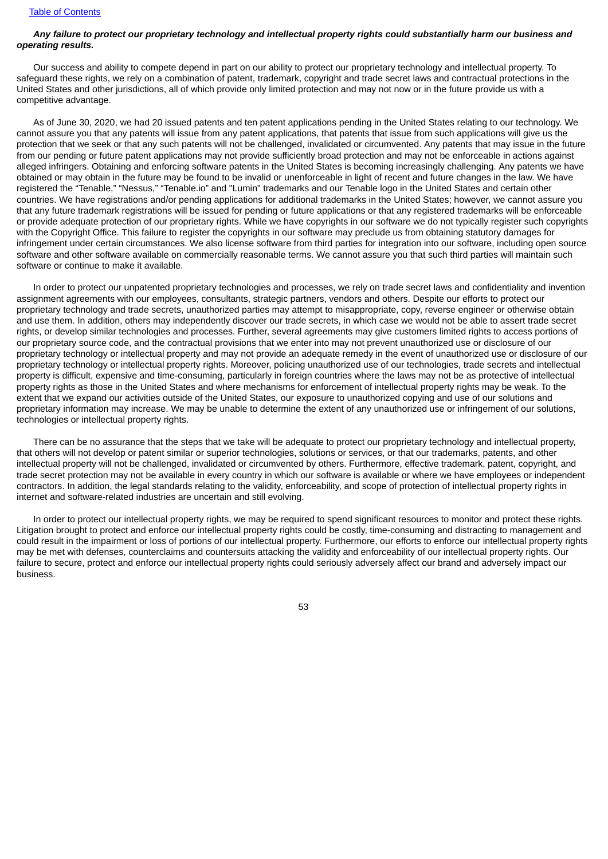## Any failure to protect our proprietary technology and intellectual property rights could substantially harm our business and *operating results.*

Our success and ability to compete depend in part on our ability to protect our proprietary technology and intellectual property. To safeguard these rights, we rely on a combination of patent, trademark, copyright and trade secret laws and contractual protections in the United States and other jurisdictions, all of which provide only limited protection and may not now or in the future provide us with a competitive advantage.

As of June 30, 2020, we had 20 issued patents and ten patent applications pending in the United States relating to our technology. We cannot assure you that any patents will issue from any patent applications, that patents that issue from such applications will give us the protection that we seek or that any such patents will not be challenged, invalidated or circumvented. Any patents that may issue in the future from our pending or future patent applications may not provide sufficiently broad protection and may not be enforceable in actions against alleged infringers. Obtaining and enforcing software patents in the United States is becoming increasingly challenging. Any patents we have obtained or may obtain in the future may be found to be invalid or unenforceable in light of recent and future changes in the law. We have registered the "Tenable," "Nessus," "Tenable.io" and "Lumin" trademarks and our Tenable logo in the United States and certain other countries. We have registrations and/or pending applications for additional trademarks in the United States; however, we cannot assure you that any future trademark registrations will be issued for pending or future applications or that any registered trademarks will be enforceable or provide adequate protection of our proprietary rights. While we have copyrights in our software we do not typically register such copyrights with the Copyright Office. This failure to register the copyrights in our software may preclude us from obtaining statutory damages for infringement under certain circumstances. We also license software from third parties for integration into our software, including open source software and other software available on commercially reasonable terms. We cannot assure you that such third parties will maintain such software or continue to make it available.

In order to protect our unpatented proprietary technologies and processes, we rely on trade secret laws and confidentiality and invention assignment agreements with our employees, consultants, strategic partners, vendors and others. Despite our efforts to protect our proprietary technology and trade secrets, unauthorized parties may attempt to misappropriate, copy, reverse engineer or otherwise obtain and use them. In addition, others may independently discover our trade secrets, in which case we would not be able to assert trade secret rights, or develop similar technologies and processes. Further, several agreements may give customers limited rights to access portions of our proprietary source code, and the contractual provisions that we enter into may not prevent unauthorized use or disclosure of our proprietary technology or intellectual property and may not provide an adequate remedy in the event of unauthorized use or disclosure of our proprietary technology or intellectual property rights. Moreover, policing unauthorized use of our technologies, trade secrets and intellectual property is difficult, expensive and time-consuming, particularly in foreign countries where the laws may not be as protective of intellectual property rights as those in the United States and where mechanisms for enforcement of intellectual property rights may be weak. To the extent that we expand our activities outside of the United States, our exposure to unauthorized copying and use of our solutions and proprietary information may increase. We may be unable to determine the extent of any unauthorized use or infringement of our solutions, technologies or intellectual property rights.

There can be no assurance that the steps that we take will be adequate to protect our proprietary technology and intellectual property, that others will not develop or patent similar or superior technologies, solutions or services, or that our trademarks, patents, and other intellectual property will not be challenged, invalidated or circumvented by others. Furthermore, effective trademark, patent, copyright, and trade secret protection may not be available in every country in which our software is available or where we have employees or independent contractors. In addition, the legal standards relating to the validity, enforceability, and scope of protection of intellectual property rights in internet and software-related industries are uncertain and still evolving.

In order to protect our intellectual property rights, we may be required to spend significant resources to monitor and protect these rights. Litigation brought to protect and enforce our intellectual property rights could be costly, time-consuming and distracting to management and could result in the impairment or loss of portions of our intellectual property. Furthermore, our efforts to enforce our intellectual property rights may be met with defenses, counterclaims and countersuits attacking the validity and enforceability of our intellectual property rights. Our failure to secure, protect and enforce our intellectual property rights could seriously adversely affect our brand and adversely impact our business.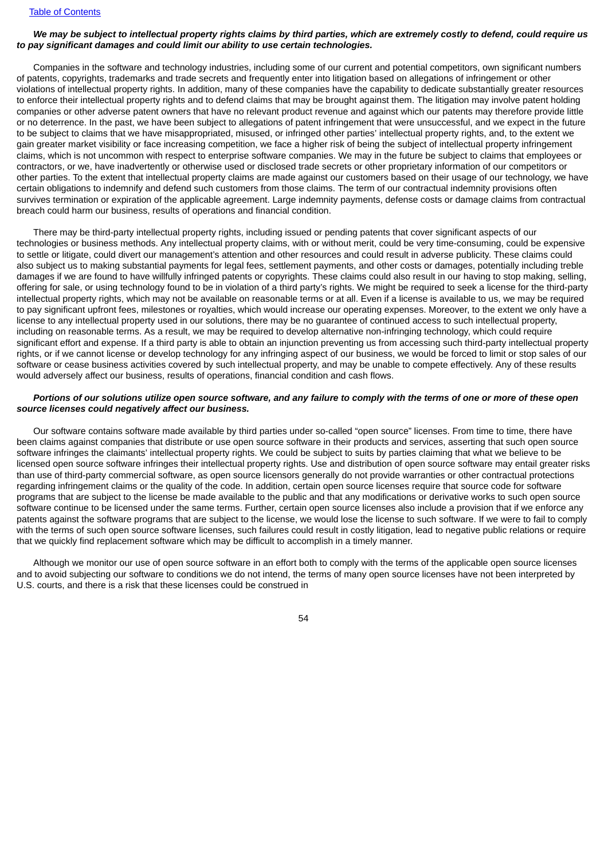#### We may be subject to intellectual property rights claims by third parties, which are extremely costly to defend, could require us *to pay significant damages and could limit our ability to use certain technologies.*

Companies in the software and technology industries, including some of our current and potential competitors, own significant numbers of patents, copyrights, trademarks and trade secrets and frequently enter into litigation based on allegations of infringement or other violations of intellectual property rights. In addition, many of these companies have the capability to dedicate substantially greater resources to enforce their intellectual property rights and to defend claims that may be brought against them. The litigation may involve patent holding companies or other adverse patent owners that have no relevant product revenue and against which our patents may therefore provide little or no deterrence. In the past, we have been subject to allegations of patent infringement that were unsuccessful, and we expect in the future to be subject to claims that we have misappropriated, misused, or infringed other parties' intellectual property rights, and, to the extent we gain greater market visibility or face increasing competition, we face a higher risk of being the subject of intellectual property infringement claims, which is not uncommon with respect to enterprise software companies. We may in the future be subject to claims that employees or contractors, or we, have inadvertently or otherwise used or disclosed trade secrets or other proprietary information of our competitors or other parties. To the extent that intellectual property claims are made against our customers based on their usage of our technology, we have certain obligations to indemnify and defend such customers from those claims. The term of our contractual indemnity provisions often survives termination or expiration of the applicable agreement. Large indemnity payments, defense costs or damage claims from contractual breach could harm our business, results of operations and financial condition.

There may be third-party intellectual property rights, including issued or pending patents that cover significant aspects of our technologies or business methods. Any intellectual property claims, with or without merit, could be very time-consuming, could be expensive to settle or litigate, could divert our management's attention and other resources and could result in adverse publicity. These claims could also subject us to making substantial payments for legal fees, settlement payments, and other costs or damages, potentially including treble damages if we are found to have willfully infringed patents or copyrights. These claims could also result in our having to stop making, selling, offering for sale, or using technology found to be in violation of a third party's rights. We might be required to seek a license for the third-party intellectual property rights, which may not be available on reasonable terms or at all. Even if a license is available to us, we may be required to pay significant upfront fees, milestones or royalties, which would increase our operating expenses. Moreover, to the extent we only have a license to any intellectual property used in our solutions, there may be no guarantee of continued access to such intellectual property, including on reasonable terms. As a result, we may be required to develop alternative non-infringing technology, which could require significant effort and expense. If a third party is able to obtain an injunction preventing us from accessing such third-party intellectual property rights, or if we cannot license or develop technology for any infringing aspect of our business, we would be forced to limit or stop sales of our software or cease business activities covered by such intellectual property, and may be unable to compete effectively. Any of these results would adversely affect our business, results of operations, financial condition and cash flows.

## Portions of our solutions utilize open source software, and any failure to comply with the terms of one or more of these open *source licenses could negatively affect our business.*

Our software contains software made available by third parties under so-called "open source" licenses. From time to time, there have been claims against companies that distribute or use open source software in their products and services, asserting that such open source software infringes the claimants' intellectual property rights. We could be subject to suits by parties claiming that what we believe to be licensed open source software infringes their intellectual property rights. Use and distribution of open source software may entail greater risks than use of third-party commercial software, as open source licensors generally do not provide warranties or other contractual protections regarding infringement claims or the quality of the code. In addition, certain open source licenses require that source code for software programs that are subject to the license be made available to the public and that any modifications or derivative works to such open source software continue to be licensed under the same terms. Further, certain open source licenses also include a provision that if we enforce any patents against the software programs that are subject to the license, we would lose the license to such software. If we were to fail to comply with the terms of such open source software licenses, such failures could result in costly litigation, lead to negative public relations or require that we quickly find replacement software which may be difficult to accomplish in a timely manner.

Although we monitor our use of open source software in an effort both to comply with the terms of the applicable open source licenses and to avoid subjecting our software to conditions we do not intend, the terms of many open source licenses have not been interpreted by U.S. courts, and there is a risk that these licenses could be construed in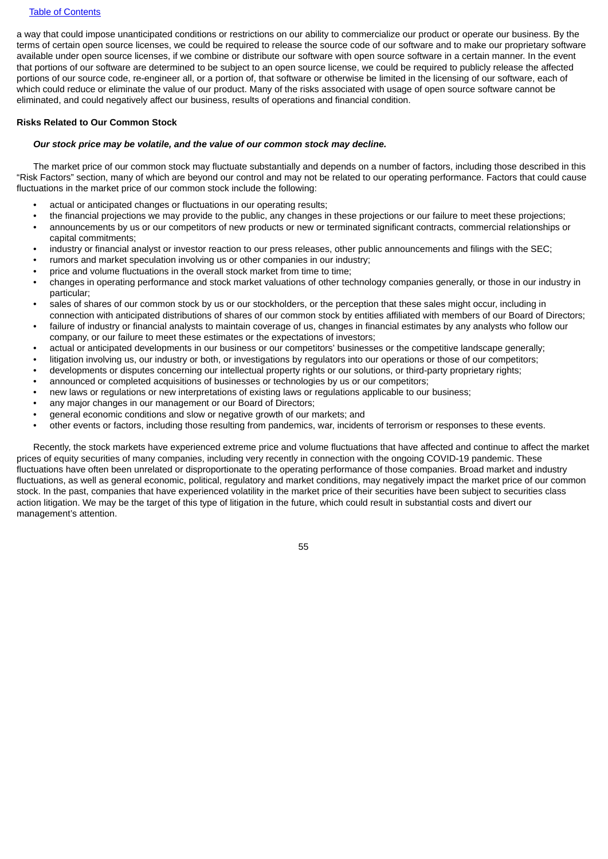a way that could impose unanticipated conditions or restrictions on our ability to commercialize our product or operate our business. By the terms of certain open source licenses, we could be required to release the source code of our software and to make our proprietary software available under open source licenses, if we combine or distribute our software with open source software in a certain manner. In the event that portions of our software are determined to be subject to an open source license, we could be required to publicly release the affected portions of our source code, re-engineer all, or a portion of, that software or otherwise be limited in the licensing of our software, each of which could reduce or eliminate the value of our product. Many of the risks associated with usage of open source software cannot be eliminated, and could negatively affect our business, results of operations and financial condition.

#### **Risks Related to Our Common Stock**

#### *Our stock price may be volatile, and the value of our common stock may decline.*

The market price of our common stock may fluctuate substantially and depends on a number of factors, including those described in this "Risk Factors" section, many of which are beyond our control and may not be related to our operating performance. Factors that could cause fluctuations in the market price of our common stock include the following:

- actual or anticipated changes or fluctuations in our operating results;
- the financial projections we may provide to the public, any changes in these projections or our failure to meet these projections;
- announcements by us or our competitors of new products or new or terminated significant contracts, commercial relationships or capital commitments;
- industry or financial analyst or investor reaction to our press releases, other public announcements and filings with the SEC;
- rumors and market speculation involving us or other companies in our industry;
- price and volume fluctuations in the overall stock market from time to time;
- changes in operating performance and stock market valuations of other technology companies generally, or those in our industry in particular;
- sales of shares of our common stock by us or our stockholders, or the perception that these sales might occur, including in connection with anticipated distributions of shares of our common stock by entities affiliated with members of our Board of Directors;
- failure of industry or financial analysts to maintain coverage of us, changes in financial estimates by any analysts who follow our company, or our failure to meet these estimates or the expectations of investors;
- actual or anticipated developments in our business or our competitors' businesses or the competitive landscape generally;
- litigation involving us, our industry or both, or investigations by regulators into our operations or those of our competitors;
- developments or disputes concerning our intellectual property rights or our solutions, or third-party proprietary rights;
- announced or completed acquisitions of businesses or technologies by us or our competitors;
- new laws or regulations or new interpretations of existing laws or regulations applicable to our business;
- any major changes in our management or our Board of Directors;
- general economic conditions and slow or negative growth of our markets; and
- other events or factors, including those resulting from pandemics, war, incidents of terrorism or responses to these events.

Recently, the stock markets have experienced extreme price and volume fluctuations that have affected and continue to affect the market prices of equity securities of many companies, including very recently in connection with the ongoing COVID-19 pandemic. These fluctuations have often been unrelated or disproportionate to the operating performance of those companies. Broad market and industry fluctuations, as well as general economic, political, regulatory and market conditions, may negatively impact the market price of our common stock. In the past, companies that have experienced volatility in the market price of their securities have been subject to securities class action litigation. We may be the target of this type of litigation in the future, which could result in substantial costs and divert our management's attention.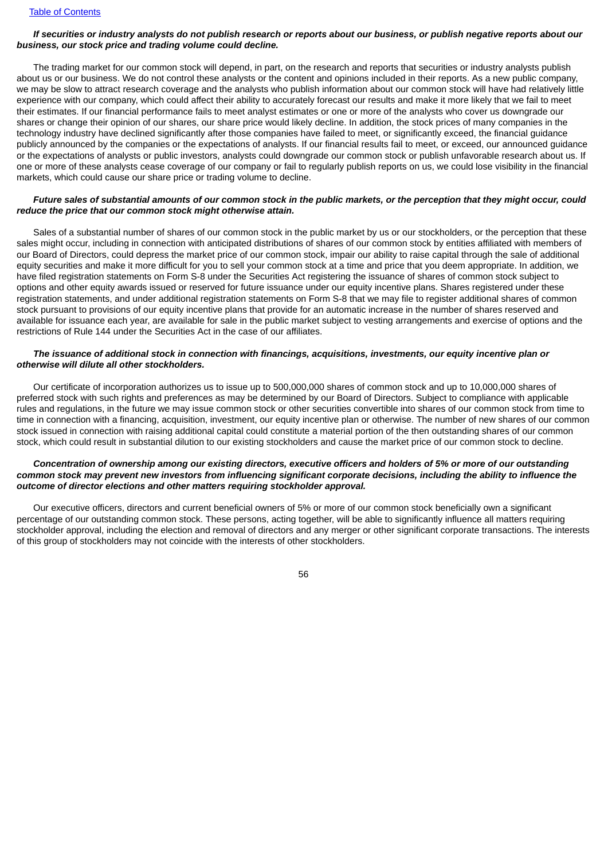#### If securities or industry analysts do not publish research or reports about our business, or publish negative reports about our *business, our stock price and trading volume could decline.*

The trading market for our common stock will depend, in part, on the research and reports that securities or industry analysts publish about us or our business. We do not control these analysts or the content and opinions included in their reports. As a new public company, we may be slow to attract research coverage and the analysts who publish information about our common stock will have had relatively little experience with our company, which could affect their ability to accurately forecast our results and make it more likely that we fail to meet their estimates. If our financial performance fails to meet analyst estimates or one or more of the analysts who cover us downgrade our shares or change their opinion of our shares, our share price would likely decline. In addition, the stock prices of many companies in the technology industry have declined significantly after those companies have failed to meet, or significantly exceed, the financial guidance publicly announced by the companies or the expectations of analysts. If our financial results fail to meet, or exceed, our announced guidance or the expectations of analysts or public investors, analysts could downgrade our common stock or publish unfavorable research about us. If one or more of these analysts cease coverage of our company or fail to regularly publish reports on us, we could lose visibility in the financial markets, which could cause our share price or trading volume to decline.

#### Future sales of substantial amounts of our common stock in the public markets, or the perception that they might occur, could *reduce the price that our common stock might otherwise attain.*

Sales of a substantial number of shares of our common stock in the public market by us or our stockholders, or the perception that these sales might occur, including in connection with anticipated distributions of shares of our common stock by entities affiliated with members of our Board of Directors, could depress the market price of our common stock, impair our ability to raise capital through the sale of additional equity securities and make it more difficult for you to sell your common stock at a time and price that you deem appropriate. In addition, we have filed registration statements on Form S-8 under the Securities Act registering the issuance of shares of common stock subject to options and other equity awards issued or reserved for future issuance under our equity incentive plans. Shares registered under these registration statements, and under additional registration statements on Form S-8 that we may file to register additional shares of common stock pursuant to provisions of our equity incentive plans that provide for an automatic increase in the number of shares reserved and available for issuance each year, are available for sale in the public market subject to vesting arrangements and exercise of options and the restrictions of Rule 144 under the Securities Act in the case of our affiliates.

#### The issuance of additional stock in connection with financings, acquisitions, investments, our equity incentive plan or *otherwise will dilute all other stockholders.*

Our certificate of incorporation authorizes us to issue up to 500,000,000 shares of common stock and up to 10,000,000 shares of preferred stock with such rights and preferences as may be determined by our Board of Directors. Subject to compliance with applicable rules and regulations, in the future we may issue common stock or other securities convertible into shares of our common stock from time to time in connection with a financing, acquisition, investment, our equity incentive plan or otherwise. The number of new shares of our common stock issued in connection with raising additional capital could constitute a material portion of the then outstanding shares of our common stock, which could result in substantial dilution to our existing stockholders and cause the market price of our common stock to decline.

## Concentration of ownership among our existing directors, executive officers and holders of 5% or more of our outstanding common stock may prevent new investors from influencing significant corporate decisions, including the ability to influence the *outcome of director elections and other matters requiring stockholder approval.*

Our executive officers, directors and current beneficial owners of 5% or more of our common stock beneficially own a significant percentage of our outstanding common stock. These persons, acting together, will be able to significantly influence all matters requiring stockholder approval, including the election and removal of directors and any merger or other significant corporate transactions. The interests of this group of stockholders may not coincide with the interests of other stockholders.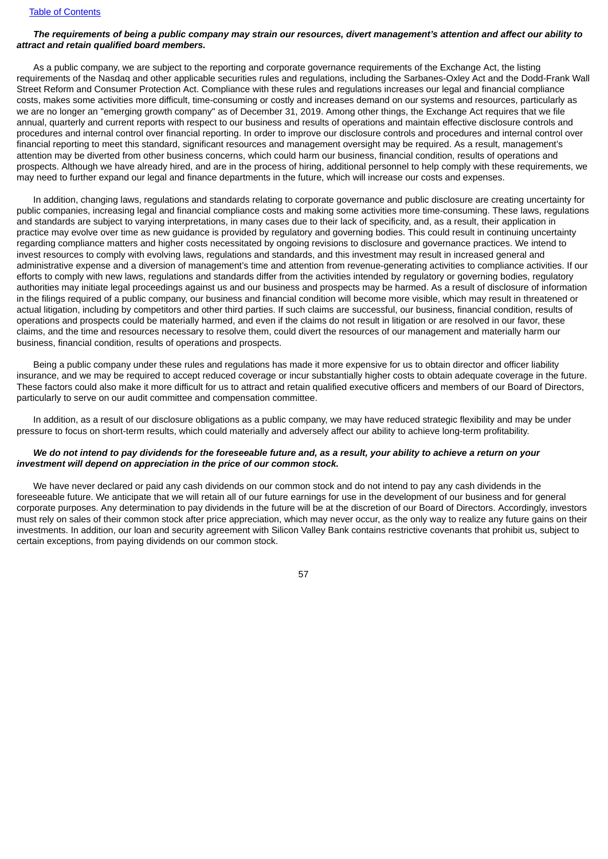## The requirements of being a public company may strain our resources, divert management's attention and affect our ability to *attract and retain qualified board members.*

As a public company, we are subject to the reporting and corporate governance requirements of the Exchange Act, the listing requirements of the Nasdaq and other applicable securities rules and regulations, including the Sarbanes-Oxley Act and the Dodd-Frank Wall Street Reform and Consumer Protection Act. Compliance with these rules and regulations increases our legal and financial compliance costs, makes some activities more difficult, time-consuming or costly and increases demand on our systems and resources, particularly as we are no longer an "emerging growth company" as of December 31, 2019. Among other things, the Exchange Act requires that we file annual, quarterly and current reports with respect to our business and results of operations and maintain effective disclosure controls and procedures and internal control over financial reporting. In order to improve our disclosure controls and procedures and internal control over financial reporting to meet this standard, significant resources and management oversight may be required. As a result, management's attention may be diverted from other business concerns, which could harm our business, financial condition, results of operations and prospects. Although we have already hired, and are in the process of hiring, additional personnel to help comply with these requirements, we may need to further expand our legal and finance departments in the future, which will increase our costs and expenses.

In addition, changing laws, regulations and standards relating to corporate governance and public disclosure are creating uncertainty for public companies, increasing legal and financial compliance costs and making some activities more time-consuming. These laws, regulations and standards are subject to varying interpretations, in many cases due to their lack of specificity, and, as a result, their application in practice may evolve over time as new guidance is provided by regulatory and governing bodies. This could result in continuing uncertainty regarding compliance matters and higher costs necessitated by ongoing revisions to disclosure and governance practices. We intend to invest resources to comply with evolving laws, regulations and standards, and this investment may result in increased general and administrative expense and a diversion of management's time and attention from revenue-generating activities to compliance activities. If our efforts to comply with new laws, regulations and standards differ from the activities intended by regulatory or governing bodies, regulatory authorities may initiate legal proceedings against us and our business and prospects may be harmed. As a result of disclosure of information in the filings required of a public company, our business and financial condition will become more visible, which may result in threatened or actual litigation, including by competitors and other third parties. If such claims are successful, our business, financial condition, results of operations and prospects could be materially harmed, and even if the claims do not result in litigation or are resolved in our favor, these claims, and the time and resources necessary to resolve them, could divert the resources of our management and materially harm our business, financial condition, results of operations and prospects.

Being a public company under these rules and regulations has made it more expensive for us to obtain director and officer liability insurance, and we may be required to accept reduced coverage or incur substantially higher costs to obtain adequate coverage in the future. These factors could also make it more difficult for us to attract and retain qualified executive officers and members of our Board of Directors, particularly to serve on our audit committee and compensation committee.

In addition, as a result of our disclosure obligations as a public company, we may have reduced strategic flexibility and may be under pressure to focus on short-term results, which could materially and adversely affect our ability to achieve long-term profitability.

## We do not intend to pay dividends for the foreseeable future and, as a result, your ability to achieve a return on your *investment will depend on appreciation in the price of our common stock.*

We have never declared or paid any cash dividends on our common stock and do not intend to pay any cash dividends in the foreseeable future. We anticipate that we will retain all of our future earnings for use in the development of our business and for general corporate purposes. Any determination to pay dividends in the future will be at the discretion of our Board of Directors. Accordingly, investors must rely on sales of their common stock after price appreciation, which may never occur, as the only way to realize any future gains on their investments. In addition, our loan and security agreement with Silicon Valley Bank contains restrictive covenants that prohibit us, subject to certain exceptions, from paying dividends on our common stock.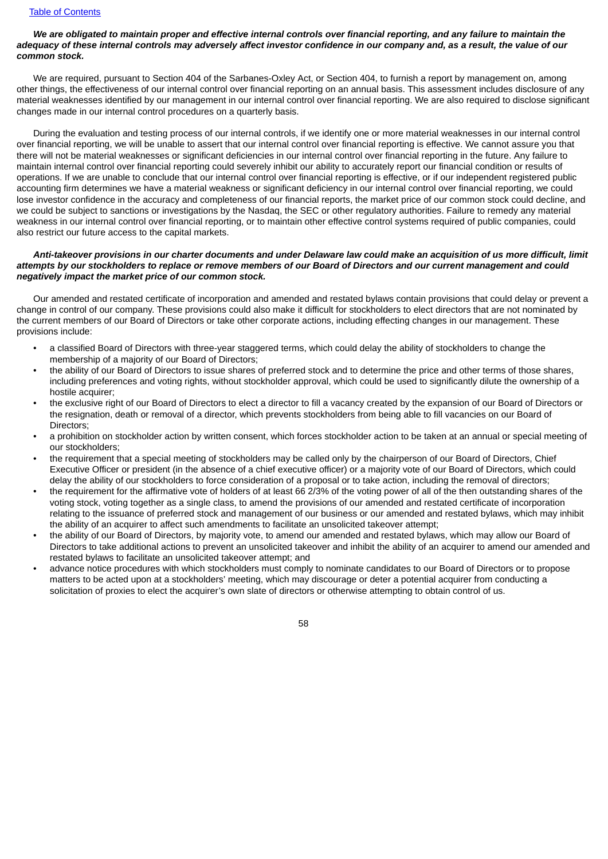#### We are obligated to maintain proper and effective internal controls over financial reporting, and any failure to maintain the adequacy of these internal controls may adversely affect investor confidence in our company and, as a result, the value of our *common stock.*

We are required, pursuant to Section 404 of the Sarbanes-Oxley Act, or Section 404, to furnish a report by management on, among other things, the effectiveness of our internal control over financial reporting on an annual basis. This assessment includes disclosure of any material weaknesses identified by our management in our internal control over financial reporting. We are also required to disclose significant changes made in our internal control procedures on a quarterly basis.

During the evaluation and testing process of our internal controls, if we identify one or more material weaknesses in our internal control over financial reporting, we will be unable to assert that our internal control over financial reporting is effective. We cannot assure you that there will not be material weaknesses or significant deficiencies in our internal control over financial reporting in the future. Any failure to maintain internal control over financial reporting could severely inhibit our ability to accurately report our financial condition or results of operations. If we are unable to conclude that our internal control over financial reporting is effective, or if our independent registered public accounting firm determines we have a material weakness or significant deficiency in our internal control over financial reporting, we could lose investor confidence in the accuracy and completeness of our financial reports, the market price of our common stock could decline, and we could be subject to sanctions or investigations by the Nasdaq, the SEC or other regulatory authorities. Failure to remedy any material weakness in our internal control over financial reporting, or to maintain other effective control systems required of public companies, could also restrict our future access to the capital markets.

## Anti-takeover provisions in our charter documents and under Delaware law could make an acquisition of us more difficult, limit attempts by our stockholders to replace or remove members of our Board of Directors and our current management and could *negatively impact the market price of our common stock.*

Our amended and restated certificate of incorporation and amended and restated bylaws contain provisions that could delay or prevent a change in control of our company. These provisions could also make it difficult for stockholders to elect directors that are not nominated by the current members of our Board of Directors or take other corporate actions, including effecting changes in our management. These provisions include:

- a classified Board of Directors with three-year staggered terms, which could delay the ability of stockholders to change the membership of a majority of our Board of Directors;
- the ability of our Board of Directors to issue shares of preferred stock and to determine the price and other terms of those shares, including preferences and voting rights, without stockholder approval, which could be used to significantly dilute the ownership of a hostile acquirer;
- the exclusive right of our Board of Directors to elect a director to fill a vacancy created by the expansion of our Board of Directors or the resignation, death or removal of a director, which prevents stockholders from being able to fill vacancies on our Board of Directors;
- a prohibition on stockholder action by written consent, which forces stockholder action to be taken at an annual or special meeting of our stockholders;
- the requirement that a special meeting of stockholders may be called only by the chairperson of our Board of Directors, Chief Executive Officer or president (in the absence of a chief executive officer) or a majority vote of our Board of Directors, which could delay the ability of our stockholders to force consideration of a proposal or to take action, including the removal of directors;
- the requirement for the affirmative vote of holders of at least 66 2/3% of the voting power of all of the then outstanding shares of the voting stock, voting together as a single class, to amend the provisions of our amended and restated certificate of incorporation relating to the issuance of preferred stock and management of our business or our amended and restated bylaws, which may inhibit the ability of an acquirer to affect such amendments to facilitate an unsolicited takeover attempt;
- the ability of our Board of Directors, by majority vote, to amend our amended and restated bylaws, which may allow our Board of Directors to take additional actions to prevent an unsolicited takeover and inhibit the ability of an acquirer to amend our amended and restated bylaws to facilitate an unsolicited takeover attempt; and
- advance notice procedures with which stockholders must comply to nominate candidates to our Board of Directors or to propose matters to be acted upon at a stockholders' meeting, which may discourage or deter a potential acquirer from conducting a solicitation of proxies to elect the acquirer's own slate of directors or otherwise attempting to obtain control of us.

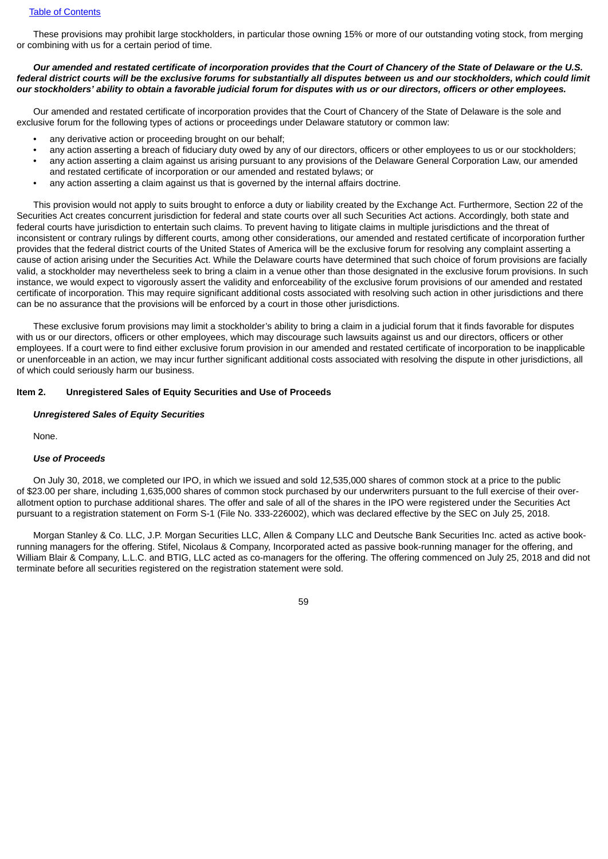These provisions may prohibit large stockholders, in particular those owning 15% or more of our outstanding voting stock, from merging or combining with us for a certain period of time.

## Our amended and restated certificate of incorporation provides that the Court of Chancery of the State of Delaware or the U.S. federal district courts will be the exclusive forums for substantially all disputes between us and our stockholders, which could limit our stockholders' ability to obtain a favorable judicial forum for disputes with us or our directors, officers or other employees.

Our amended and restated certificate of incorporation provides that the Court of Chancery of the State of Delaware is the sole and exclusive forum for the following types of actions or proceedings under Delaware statutory or common law:

- any derivative action or proceeding brought on our behalf;
- any action asserting a breach of fiduciary duty owed by any of our directors, officers or other employees to us or our stockholders;
- any action asserting a claim against us arising pursuant to any provisions of the Delaware General Corporation Law, our amended and restated certificate of incorporation or our amended and restated bylaws; or
- any action asserting a claim against us that is governed by the internal affairs doctrine.

This provision would not apply to suits brought to enforce a duty or liability created by the Exchange Act. Furthermore, Section 22 of the Securities Act creates concurrent jurisdiction for federal and state courts over all such Securities Act actions. Accordingly, both state and federal courts have jurisdiction to entertain such claims. To prevent having to litigate claims in multiple jurisdictions and the threat of inconsistent or contrary rulings by different courts, among other considerations, our amended and restated certificate of incorporation further provides that the federal district courts of the United States of America will be the exclusive forum for resolving any complaint asserting a cause of action arising under the Securities Act. While the Delaware courts have determined that such choice of forum provisions are facially valid, a stockholder may nevertheless seek to bring a claim in a venue other than those designated in the exclusive forum provisions. In such instance, we would expect to vigorously assert the validity and enforceability of the exclusive forum provisions of our amended and restated certificate of incorporation. This may require significant additional costs associated with resolving such action in other jurisdictions and there can be no assurance that the provisions will be enforced by a court in those other jurisdictions.

These exclusive forum provisions may limit a stockholder's ability to bring a claim in a judicial forum that it finds favorable for disputes with us or our directors, officers or other employees, which may discourage such lawsuits against us and our directors, officers or other employees. If a court were to find either exclusive forum provision in our amended and restated certificate of incorporation to be inapplicable or unenforceable in an action, we may incur further significant additional costs associated with resolving the dispute in other jurisdictions, all of which could seriously harm our business.

#### <span id="page-58-0"></span>**Item 2. Unregistered Sales of Equity Securities and Use of Proceeds**

#### *Unregistered Sales of Equity Securities*

None.

#### *Use of Proceeds*

On July 30, 2018, we completed our IPO, in which we issued and sold 12,535,000 shares of common stock at a price to the public of \$23.00 per share, including 1,635,000 shares of common stock purchased by our underwriters pursuant to the full exercise of their overallotment option to purchase additional shares. The offer and sale of all of the shares in the IPO were registered under the Securities Act pursuant to a registration statement on Form S-1 (File No. 333-226002), which was declared effective by the SEC on July 25, 2018.

Morgan Stanley & Co. LLC, J.P. Morgan Securities LLC, Allen & Company LLC and Deutsche Bank Securities Inc. acted as active bookrunning managers for the offering. Stifel, Nicolaus & Company, Incorporated acted as passive book-running manager for the offering, and William Blair & Company, L.L.C. and BTIG, LLC acted as co-managers for the offering. The offering commenced on July 25, 2018 and did not terminate before all securities registered on the registration statement were sold.

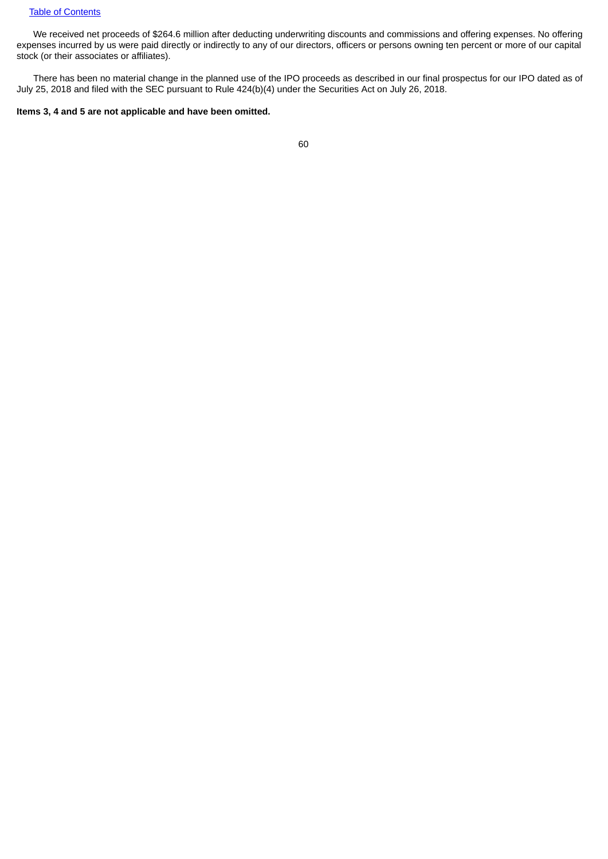We received net proceeds of \$264.6 million after deducting underwriting discounts and commissions and offering expenses. No offering expenses incurred by us were paid directly or indirectly to any of our directors, officers or persons owning ten percent or more of our capital stock (or their associates or affiliates).

There has been no material change in the planned use of the IPO proceeds as described in our final prospectus for our IPO dated as of July 25, 2018 and filed with the SEC pursuant to Rule 424(b)(4) under the Securities Act on July 26, 2018.

## **Items 3, 4 and 5 are not applicable and have been omitted.**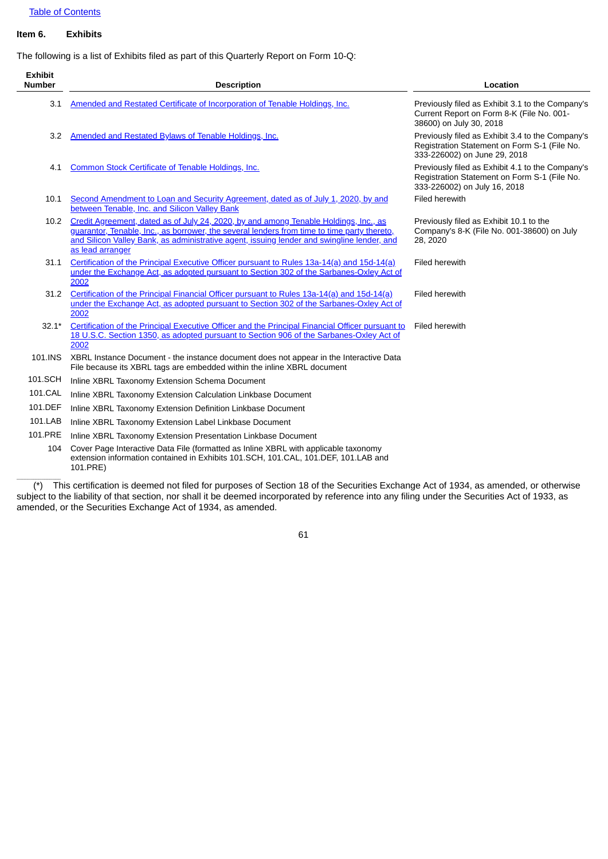## <span id="page-60-0"></span>**Item 6. Exhibits**

The following is a list of Exhibits filed as part of this Quarterly Report on Form 10-Q:

| <b>Exhibit</b><br><b>Number</b> | <b>Description</b>                                                                                                                                                                                                                                                                                    | Location                                                                                                                         |
|---------------------------------|-------------------------------------------------------------------------------------------------------------------------------------------------------------------------------------------------------------------------------------------------------------------------------------------------------|----------------------------------------------------------------------------------------------------------------------------------|
| 3.1                             | Amended and Restated Certificate of Incorporation of Tenable Holdings, Inc.                                                                                                                                                                                                                           | Previously filed as Exhibit 3.1 to the Company's<br>Current Report on Form 8-K (File No. 001-<br>38600) on July 30, 2018         |
| 3.2                             | Amended and Restated Bylaws of Tenable Holdings, Inc.                                                                                                                                                                                                                                                 | Previously filed as Exhibit 3.4 to the Company's<br>Registration Statement on Form S-1 (File No.<br>333-226002) on June 29, 2018 |
| 4.1                             | Common Stock Certificate of Tenable Holdings, Inc.                                                                                                                                                                                                                                                    | Previously filed as Exhibit 4.1 to the Company's<br>Registration Statement on Form S-1 (File No.<br>333-226002) on July 16, 2018 |
| 10.1                            | Second Amendment to Loan and Security Agreement, dated as of July 1, 2020, by and<br>between Tenable, Inc. and Silicon Valley Bank                                                                                                                                                                    | Filed herewith                                                                                                                   |
| 10.2                            | Credit Agreement, dated as of July 24, 2020, by and among Tenable Holdings, Inc., as<br>guarantor, Tenable, Inc., as borrower, the several lenders from time to time party thereto,<br>and Silicon Valley Bank, as administrative agent, issuing lender and swingline lender, and<br>as lead arranger | Previously filed as Exhibit 10.1 to the<br>Company's 8-K (File No. 001-38600) on July<br>28, 2020                                |
| 31.1                            | Certification of the Principal Executive Officer pursuant to Rules 13a-14(a) and 15d-14(a)<br>under the Exchange Act, as adopted pursuant to Section 302 of the Sarbanes-Oxley Act of<br>2002                                                                                                         | Filed herewith                                                                                                                   |
| 31.2                            | Certification of the Principal Financial Officer pursuant to Rules 13a-14(a) and 15d-14(a).<br>under the Exchange Act, as adopted pursuant to Section 302 of the Sarbanes-Oxley Act of<br>2002                                                                                                        | Filed herewith                                                                                                                   |
| $32.1*$                         | Certification of the Principal Executive Officer and the Principal Financial Officer pursuant to<br>18 U.S.C. Section 1350, as adopted pursuant to Section 906 of the Sarbanes-Oxley Act of<br>2002                                                                                                   | Filed herewith                                                                                                                   |
| 101.INS                         | XBRL Instance Document - the instance document does not appear in the Interactive Data<br>File because its XBRL tags are embedded within the inline XBRL document                                                                                                                                     |                                                                                                                                  |
| 101.SCH                         | Inline XBRL Taxonomy Extension Schema Document                                                                                                                                                                                                                                                        |                                                                                                                                  |
| 101.CAL                         | Inline XBRL Taxonomy Extension Calculation Linkbase Document                                                                                                                                                                                                                                          |                                                                                                                                  |
| 101.DEF                         | Inline XBRL Taxonomy Extension Definition Linkbase Document                                                                                                                                                                                                                                           |                                                                                                                                  |
| 101.LAB                         | Inline XBRL Taxonomy Extension Label Linkbase Document                                                                                                                                                                                                                                                |                                                                                                                                  |
| 101.PRE                         | Inline XBRL Taxonomy Extension Presentation Linkbase Document                                                                                                                                                                                                                                         |                                                                                                                                  |
| 104                             | Cover Page Interactive Data File (formatted as Inline XBRL with applicable taxonomy<br>extension information contained in Exhibits 101.SCH, 101.CAL, 101.DEF, 101.LAB and<br>101.PRE)                                                                                                                 |                                                                                                                                  |

 $\overline{\phantom{a}^{\text{}}^{\text{}}\,}$  This certification is deemed not filed for purposes of Section 18 of the Securities Exchange Act of 1934, as amended, or otherwise subject to the liability of that section, nor shall it be deemed incorporated by reference into any filing under the Securities Act of 1933, as amended, or the Securities Exchange Act of 1934, as amended.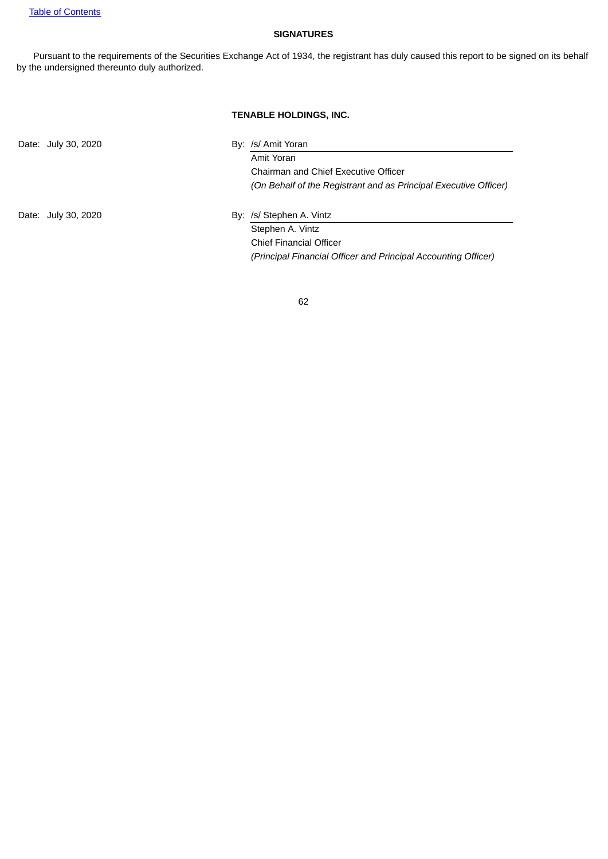#### **SIGNATURES**

<span id="page-61-0"></span>Pursuant to the requirements of the Securities Exchange Act of 1934, the registrant has duly caused this report to be signed on its behalf by the undersigned thereunto duly authorized.

#### **TENABLE HOLDINGS, INC.**

Date: July 30, 2020 By: /s/ Amit Yoran

Amit Yoran Chairman and Chief Executive Officer *(On Behalf of the Registrant and as Principal Executive Officer)*

# Date: July 30, 2020 **By:** /s/ Stephen A. Vintz

Stephen A. Vintz Chief Financial Officer *(Principal Financial Officer and Principal Accounting Officer)*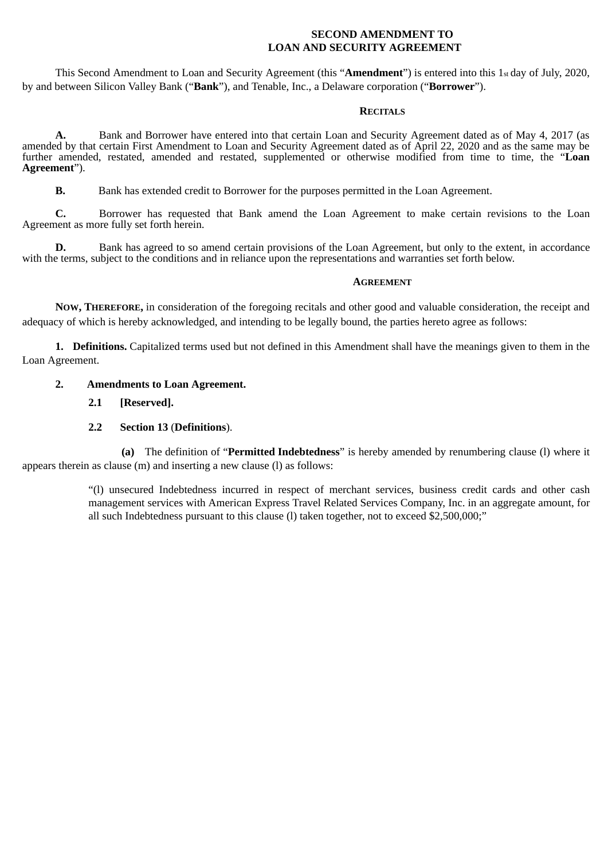## **SECOND AMENDMENT TO LOAN AND SECURITY AGREEMENT**

<span id="page-62-0"></span>This Second Amendment to Loan and Security Agreement (this "**Amendment**") is entered into this 1st day of July, 2020, by and between Silicon Valley Bank ("**Bank**"), and Tenable, Inc., a Delaware corporation ("**Borrower**").

## **RECITALS**

**A.** Bank and Borrower have entered into that certain Loan and Security Agreement dated as of May 4, 2017 (as amended by that certain First Amendment to Loan and Security Agreement dated as of April 22, 2020 and as the same may be further amended, restated, amended and restated, supplemented or otherwise modified from time to time, the "**Loan Agreement**").

**B.** Bank has extended credit to Borrower for the purposes permitted in the Loan Agreement.

**C.** Borrower has requested that Bank amend the Loan Agreement to make certain revisions to the Loan Agreement as more fully set forth herein.

**D.** Bank has agreed to so amend certain provisions of the Loan Agreement, but only to the extent, in accordance with the terms, subject to the conditions and in reliance upon the representations and warranties set forth below.

## **AGREEMENT**

**NOW, THEREFORE,** in consideration of the foregoing recitals and other good and valuable consideration, the receipt and adequacy of which is hereby acknowledged, and intending to be legally bound, the parties hereto agree as follows:

**1. Definitions.** Capitalized terms used but not defined in this Amendment shall have the meanings given to them in the Loan Agreement.

# **2. Amendments to Loan Agreement.**

# **2.1 [Reserved].**

# **2.2 Section 13** (**Definitions**).

**(a)** The definition of "**Permitted Indebtedness**" is hereby amended by renumbering clause (l) where it appears therein as clause (m) and inserting a new clause (l) as follows:

> "(l) unsecured Indebtedness incurred in respect of merchant services, business credit cards and other cash management services with American Express Travel Related Services Company, Inc. in an aggregate amount, for all such Indebtedness pursuant to this clause (l) taken together, not to exceed \$2,500,000;"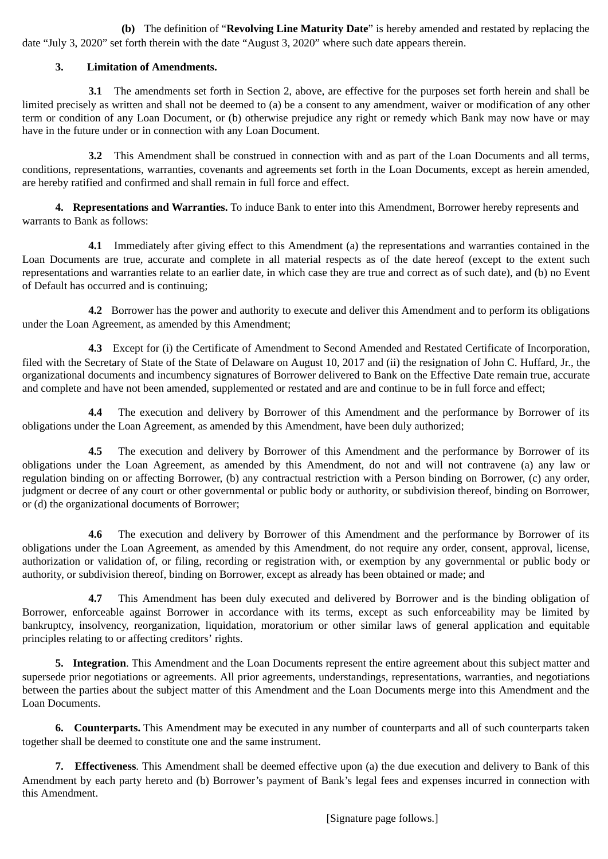**(b)** The definition of "**Revolving Line Maturity Date**" is hereby amended and restated by replacing the date "July 3, 2020" set forth therein with the date "August 3, 2020" where such date appears therein.

# **3. Limitation of Amendments.**

**3.1** The amendments set forth in Section 2, above, are effective for the purposes set forth herein and shall be limited precisely as written and shall not be deemed to (a) be a consent to any amendment, waiver or modification of any other term or condition of any Loan Document, or (b) otherwise prejudice any right or remedy which Bank may now have or may have in the future under or in connection with any Loan Document.

**3.2** This Amendment shall be construed in connection with and as part of the Loan Documents and all terms, conditions, representations, warranties, covenants and agreements set forth in the Loan Documents, except as herein amended, are hereby ratified and confirmed and shall remain in full force and effect.

**4. Representations and Warranties.** To induce Bank to enter into this Amendment, Borrower hereby represents and warrants to Bank as follows:

**4.1** Immediately after giving effect to this Amendment (a) the representations and warranties contained in the Loan Documents are true, accurate and complete in all material respects as of the date hereof (except to the extent such representations and warranties relate to an earlier date, in which case they are true and correct as of such date), and (b) no Event of Default has occurred and is continuing;

**4.2** Borrower has the power and authority to execute and deliver this Amendment and to perform its obligations under the Loan Agreement, as amended by this Amendment;

**4.3** Except for (i) the Certificate of Amendment to Second Amended and Restated Certificate of Incorporation, filed with the Secretary of State of the State of Delaware on August 10, 2017 and (ii) the resignation of John C. Huffard, Jr., the organizational documents and incumbency signatures of Borrower delivered to Bank on the Effective Date remain true, accurate and complete and have not been amended, supplemented or restated and are and continue to be in full force and effect;

**4.4** The execution and delivery by Borrower of this Amendment and the performance by Borrower of its obligations under the Loan Agreement, as amended by this Amendment, have been duly authorized;

**4.5** The execution and delivery by Borrower of this Amendment and the performance by Borrower of its obligations under the Loan Agreement, as amended by this Amendment, do not and will not contravene (a) any law or regulation binding on or affecting Borrower, (b) any contractual restriction with a Person binding on Borrower, (c) any order, judgment or decree of any court or other governmental or public body or authority, or subdivision thereof, binding on Borrower, or (d) the organizational documents of Borrower;

**4.6** The execution and delivery by Borrower of this Amendment and the performance by Borrower of its obligations under the Loan Agreement, as amended by this Amendment, do not require any order, consent, approval, license, authorization or validation of, or filing, recording or registration with, or exemption by any governmental or public body or authority, or subdivision thereof, binding on Borrower, except as already has been obtained or made; and

**4.7** This Amendment has been duly executed and delivered by Borrower and is the binding obligation of Borrower, enforceable against Borrower in accordance with its terms, except as such enforceability may be limited by bankruptcy, insolvency, reorganization, liquidation, moratorium or other similar laws of general application and equitable principles relating to or affecting creditors' rights.

**5. Integration**. This Amendment and the Loan Documents represent the entire agreement about this subject matter and supersede prior negotiations or agreements. All prior agreements, understandings, representations, warranties, and negotiations between the parties about the subject matter of this Amendment and the Loan Documents merge into this Amendment and the Loan Documents.

**6. Counterparts.** This Amendment may be executed in any number of counterparts and all of such counterparts taken together shall be deemed to constitute one and the same instrument.

**7. Effectiveness**. This Amendment shall be deemed effective upon (a) the due execution and delivery to Bank of this Amendment by each party hereto and (b) Borrower's payment of Bank's legal fees and expenses incurred in connection with this Amendment.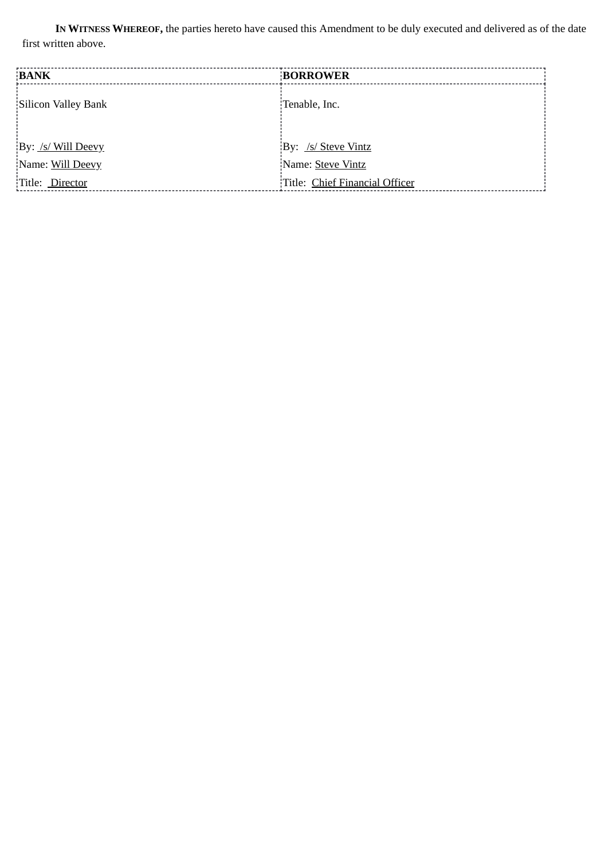**IN WITNESS WHEREOF,** the parties hereto have caused this Amendment to be duly executed and delivered as of the date first written above.

| <b>BANK</b>         | BORROWER                       |  |
|---------------------|--------------------------------|--|
| Silicon Valley Bank | Tenable, Inc.                  |  |
| By: /s/ Will Deevy  | By: /s/ Steve Vintz            |  |
| Name: Will Deevy    | Name: Steve Vintz              |  |
| Title: Director     | Title: Chief Financial Officer |  |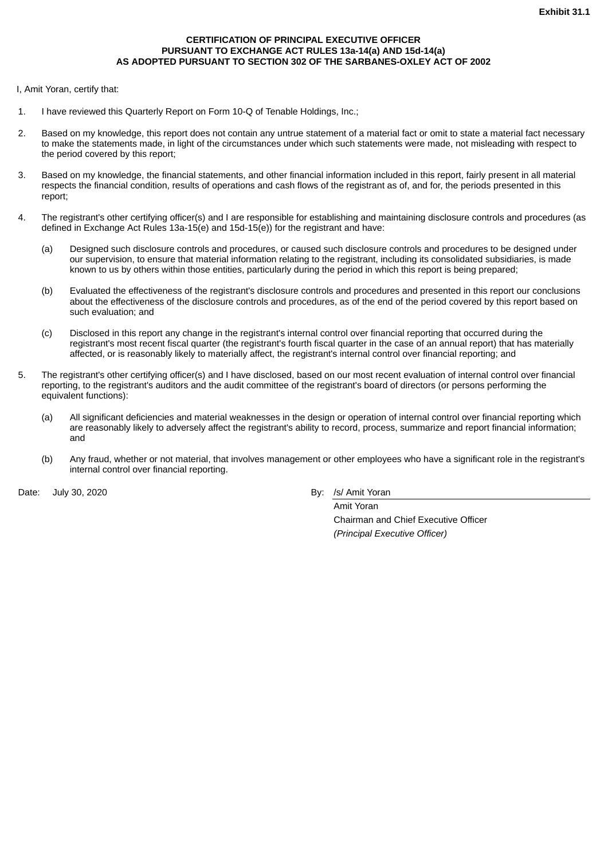## **CERTIFICATION OF PRINCIPAL EXECUTIVE OFFICER PURSUANT TO EXCHANGE ACT RULES 13a-14(a) AND 15d-14(a) AS ADOPTED PURSUANT TO SECTION 302 OF THE SARBANES-OXLEY ACT OF 2002**

<span id="page-65-0"></span>I, Amit Yoran, certify that:

- 1. I have reviewed this Quarterly Report on Form 10-Q of Tenable Holdings, Inc.;
- 2. Based on my knowledge, this report does not contain any untrue statement of a material fact or omit to state a material fact necessary to make the statements made, in light of the circumstances under which such statements were made, not misleading with respect to the period covered by this report;
- 3. Based on my knowledge, the financial statements, and other financial information included in this report, fairly present in all material respects the financial condition, results of operations and cash flows of the registrant as of, and for, the periods presented in this report;
- 4. The registrant's other certifying officer(s) and I are responsible for establishing and maintaining disclosure controls and procedures (as defined in Exchange Act Rules 13a-15(e) and 15d-15(e)) for the registrant and have:
	- (a) Designed such disclosure controls and procedures, or caused such disclosure controls and procedures to be designed under our supervision, to ensure that material information relating to the registrant, including its consolidated subsidiaries, is made known to us by others within those entities, particularly during the period in which this report is being prepared;
	- (b) Evaluated the effectiveness of the registrant's disclosure controls and procedures and presented in this report our conclusions about the effectiveness of the disclosure controls and procedures, as of the end of the period covered by this report based on such evaluation; and
	- (c) Disclosed in this report any change in the registrant's internal control over financial reporting that occurred during the registrant's most recent fiscal quarter (the registrant's fourth fiscal quarter in the case of an annual report) that has materially affected, or is reasonably likely to materially affect, the registrant's internal control over financial reporting; and
- 5. The registrant's other certifying officer(s) and I have disclosed, based on our most recent evaluation of internal control over financial reporting, to the registrant's auditors and the audit committee of the registrant's board of directors (or persons performing the equivalent functions):
	- (a) All significant deficiencies and material weaknesses in the design or operation of internal control over financial reporting which are reasonably likely to adversely affect the registrant's ability to record, process, summarize and report financial information; and
	- (b) Any fraud, whether or not material, that involves management or other employees who have a significant role in the registrant's internal control over financial reporting.

Date: July 30, 2020 **By: /s/ Amit Yoran** 

Amit Yoran Chairman and Chief Executive Officer *(Principal Executive Officer)*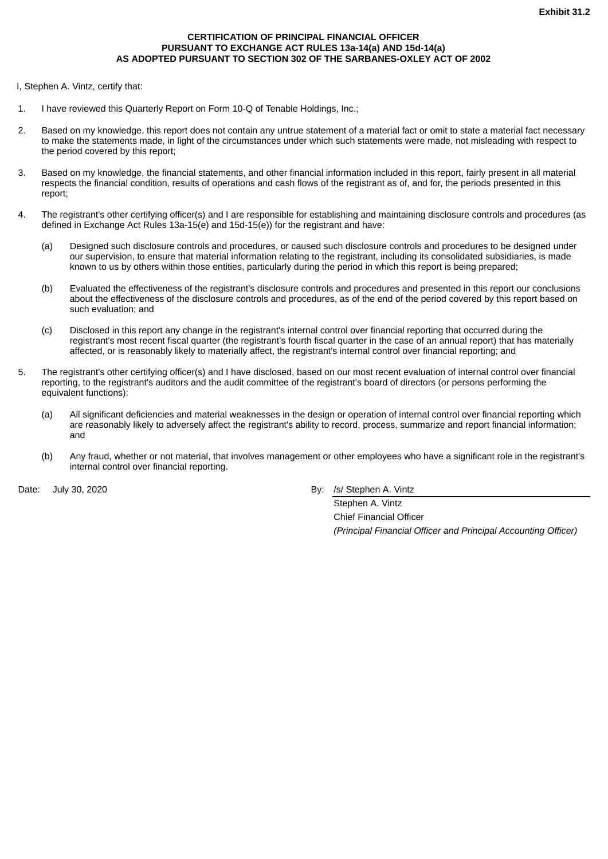#### **CERTIFICATION OF PRINCIPAL FINANCIAL OFFICER PURSUANT TO EXCHANGE ACT RULES 13a-14(a) AND 15d-14(a) AS ADOPTED PURSUANT TO SECTION 302 OF THE SARBANES-OXLEY ACT OF 2002**

<span id="page-66-0"></span>I, Stephen A. Vintz, certify that:

- 1. I have reviewed this Quarterly Report on Form 10-Q of Tenable Holdings, Inc.;
- 2. Based on my knowledge, this report does not contain any untrue statement of a material fact or omit to state a material fact necessary to make the statements made, in light of the circumstances under which such statements were made, not misleading with respect to the period covered by this report;
- 3. Based on my knowledge, the financial statements, and other financial information included in this report, fairly present in all material respects the financial condition, results of operations and cash flows of the registrant as of, and for, the periods presented in this report;
- 4. The registrant's other certifying officer(s) and I are responsible for establishing and maintaining disclosure controls and procedures (as defined in Exchange Act Rules 13a-15(e) and 15d-15(e)) for the registrant and have:
	- (a) Designed such disclosure controls and procedures, or caused such disclosure controls and procedures to be designed under our supervision, to ensure that material information relating to the registrant, including its consolidated subsidiaries, is made known to us by others within those entities, particularly during the period in which this report is being prepared;
	- (b) Evaluated the effectiveness of the registrant's disclosure controls and procedures and presented in this report our conclusions about the effectiveness of the disclosure controls and procedures, as of the end of the period covered by this report based on such evaluation; and
	- (c) Disclosed in this report any change in the registrant's internal control over financial reporting that occurred during the registrant's most recent fiscal quarter (the registrant's fourth fiscal quarter in the case of an annual report) that has materially affected, or is reasonably likely to materially affect, the registrant's internal control over financial reporting; and
- 5. The registrant's other certifying officer(s) and I have disclosed, based on our most recent evaluation of internal control over financial reporting, to the registrant's auditors and the audit committee of the registrant's board of directors (or persons performing the equivalent functions):
	- (a) All significant deficiencies and material weaknesses in the design or operation of internal control over financial reporting which are reasonably likely to adversely affect the registrant's ability to record, process, summarize and report financial information; and
	- (b) Any fraud, whether or not material, that involves management or other employees who have a significant role in the registrant's internal control over financial reporting.

Date: July 30, 2020 **By: /s/ Stephen A. Vintz** 

Stephen A. Vintz Chief Financial Officer *(Principal Financial Officer and Principal Accounting Officer)*